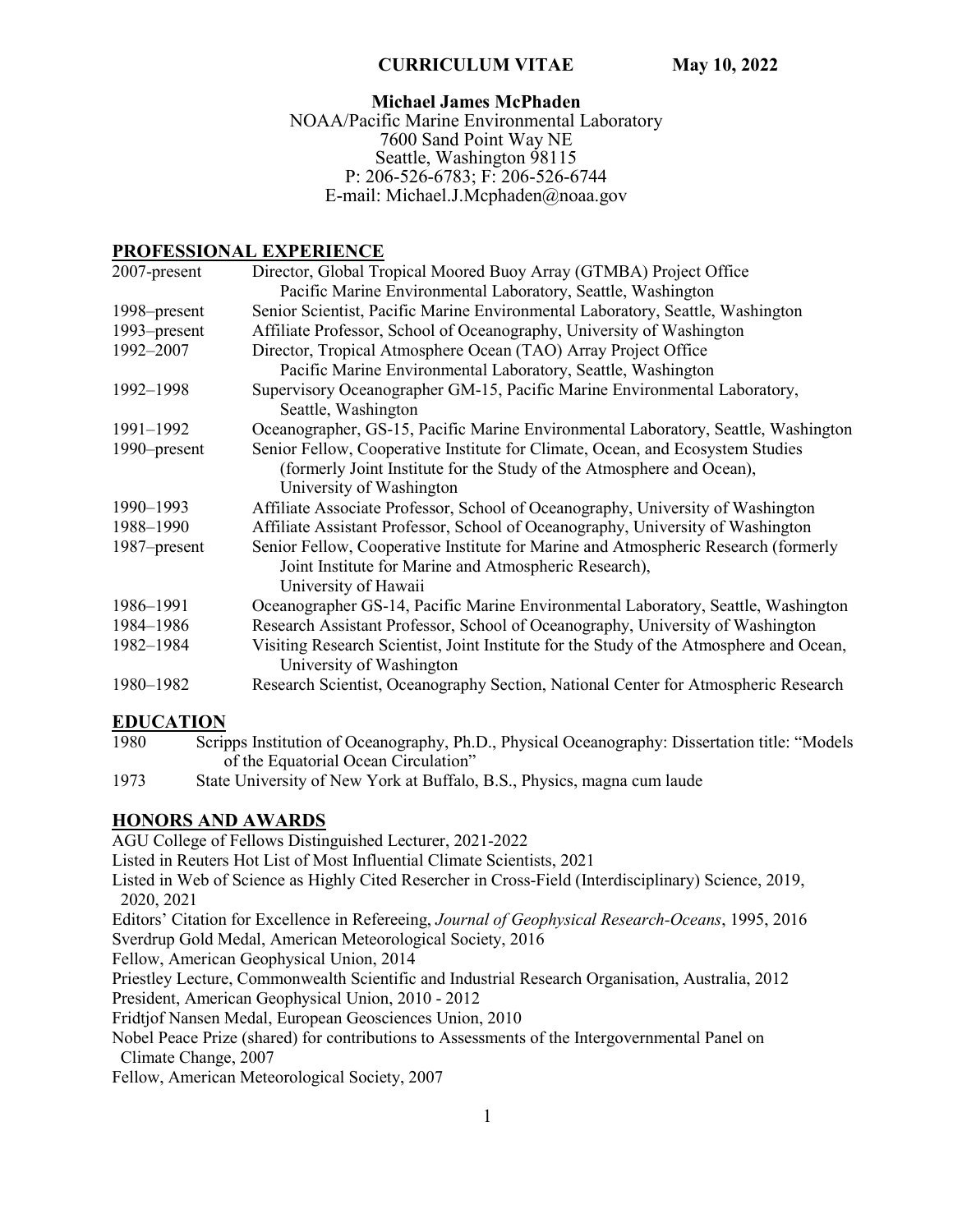#### **CURRICULUM VITAE May 10, 2022**

# **Michael James McPhaden**

NOAA/Pacific Marine Environmental Laboratory 7600 Sand Point Way NE Seattle, Washington 98115 P: 206-526-6783; F: 206-526-6744 E-mail: Michael.J.Mcphaden@noaa.gov

## **PROFESSIONAL EXPERIENCE**

| 2007-present | Director, Global Tropical Moored Buoy Array (GTMBA) Project Office                                                  |  |
|--------------|---------------------------------------------------------------------------------------------------------------------|--|
|              | Pacific Marine Environmental Laboratory, Seattle, Washington                                                        |  |
| 1998–present | Senior Scientist, Pacific Marine Environmental Laboratory, Seattle, Washington                                      |  |
| 1993–present | Affiliate Professor, School of Oceanography, University of Washington                                               |  |
| 1992-2007    | Director, Tropical Atmosphere Ocean (TAO) Array Project Office                                                      |  |
|              | Pacific Marine Environmental Laboratory, Seattle, Washington                                                        |  |
| 1992-1998    | Supervisory Oceanographer GM-15, Pacific Marine Environmental Laboratory,                                           |  |
|              | Seattle, Washington                                                                                                 |  |
| 1991-1992    | Oceanographer, GS-15, Pacific Marine Environmental Laboratory, Seattle, Washington                                  |  |
| 1990–present | Senior Fellow, Cooperative Institute for Climate, Ocean, and Ecosystem Studies                                      |  |
|              | (formerly Joint Institute for the Study of the Atmosphere and Ocean),                                               |  |
|              | University of Washington                                                                                            |  |
| 1990-1993    | Affiliate Associate Professor, School of Oceanography, University of Washington                                     |  |
| 1988-1990    | Affiliate Assistant Professor, School of Oceanography, University of Washington                                     |  |
| 1987–present | Senior Fellow, Cooperative Institute for Marine and Atmospheric Research (formerly                                  |  |
|              | Joint Institute for Marine and Atmospheric Research),                                                               |  |
|              | University of Hawaii                                                                                                |  |
| 1986-1991    | Oceanographer GS-14, Pacific Marine Environmental Laboratory, Seattle, Washington                                   |  |
| 1984-1986    | Research Assistant Professor, School of Oceanography, University of Washington                                      |  |
| 1982-1984    | Visiting Research Scientist, Joint Institute for the Study of the Atmosphere and Ocean,<br>University of Washington |  |
| 1980-1982    | Research Scientist, Oceanography Section, National Center for Atmospheric Research                                  |  |

# **EDUCATION**

- 1980 Scripps Institution of Oceanography, Ph.D., Physical Oceanography: Dissertation title: "Models of the Equatorial Ocean Circulation"
- 1973 State University of New York at Buffalo, B.S., Physics, magna cum laude

# **HONORS AND AWARDS**

AGU College of Fellows Distinguished Lecturer, 2021-2022

Listed in Reuters Hot List of Most Influential Climate Scientists, 2021

Listed in Web of Science as Highly Cited Resercher in Cross-Field (Interdisciplinary) Science, 2019, 2020, 2021

Editors' Citation for Excellence in Refereeing, *Journal of Geophysical Research-Oceans*, 1995, 2016 Sverdrup Gold Medal, American Meteorological Society, 2016

Fellow, American Geophysical Union, 2014

Priestley Lecture, Commonwealth Scientific and Industrial Research Organisation, Australia, 2012 President, American Geophysical Union, 2010 - 2012

Fridtjof Nansen Medal, European Geosciences Union, 2010

Nobel Peace Prize (shared) for contributions to Assessments of the Intergovernmental Panel on Climate Change, 2007

Fellow, American Meteorological Society, 2007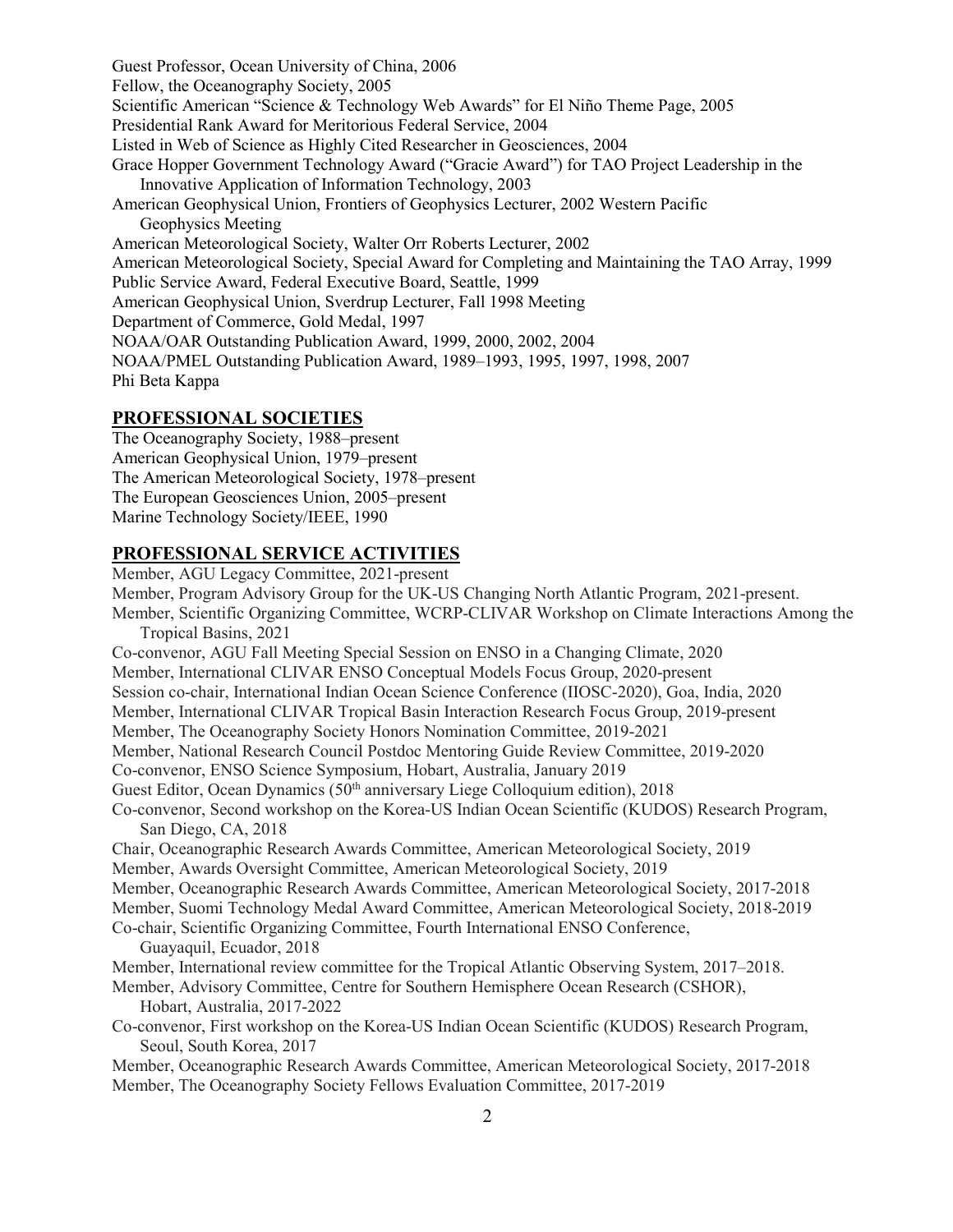Guest Professor, Ocean University of China, 2006 Fellow, the Oceanography Society, 2005 Scientific American "Science & Technology Web Awards" for El Niño Theme Page, 2005 Presidential Rank Award for Meritorious Federal Service, 2004 Listed in Web of Science as Highly Cited Researcher in Geosciences, 2004 Grace Hopper Government Technology Award ("Gracie Award") for TAO Project Leadership in the Innovative Application of Information Technology, 2003 American Geophysical Union, Frontiers of Geophysics Lecturer, 2002 Western Pacific Geophysics Meeting American Meteorological Society, Walter Orr Roberts Lecturer, 2002 American Meteorological Society, Special Award for Completing and Maintaining the TAO Array, 1999 Public Service Award, Federal Executive Board, Seattle, 1999 American Geophysical Union, Sverdrup Lecturer, Fall 1998 Meeting Department of Commerce, Gold Medal, 1997 NOAA/OAR Outstanding Publication Award, 1999, 2000, 2002, 2004 NOAA/PMEL Outstanding Publication Award, 1989–1993, 1995, 1997, 1998, 2007 Phi Beta Kappa

## **PROFESSIONAL SOCIETIES**

The Oceanography Society, 1988–present American Geophysical Union, 1979–present The American Meteorological Society, 1978–present The European Geosciences Union, 2005–present Marine Technology Society/IEEE, 1990

## **PROFESSIONAL SERVICE ACTIVITIES**

Member, AGU Legacy Committee, 2021-present Member, Program Advisory Group for the UK-US Changing North Atlantic Program, 2021-present. Member, Scientific Organizing Committee, WCRP-CLIVAR Workshop on Climate Interactions Among the Tropical Basins, 2021 Co-convenor, AGU Fall Meeting Special Session on ENSO in a Changing Climate, 2020 Member, International CLIVAR ENSO Conceptual Models Focus Group, 2020-present Session co-chair, International Indian Ocean Science Conference (IIOSC-2020), Goa, India, 2020 Member, International CLIVAR Tropical Basin Interaction Research Focus Group, 2019-present Member, The Oceanography Society Honors Nomination Committee, 2019-2021 Member, National Research Council Postdoc Mentoring Guide Review Committee, 2019-2020 Co-convenor, ENSO Science Symposium, Hobart, Australia, January 2019 Guest Editor, Ocean Dynamics (50<sup>th</sup> anniversary Liege Colloquium edition), 2018 Co-convenor, Second workshop on the Korea-US Indian Ocean Scientific (KUDOS) Research Program, San Diego, CA, 2018 Chair, Oceanographic Research Awards Committee, American Meteorological Society, 2019 Member, Awards Oversight Committee, American Meteorological Society, 2019 Member, Oceanographic Research Awards Committee, American Meteorological Society, 2017-2018 Member, Suomi Technology Medal Award Committee, American Meteorological Society, 2018-2019 Co-chair, Scientific Organizing Committee, Fourth International ENSO Conference, Guayaquil, Ecuador, 2018 Member, International review committee for the Tropical Atlantic Observing System, 2017–2018. Member, Advisory Committee, Centre for Southern Hemisphere Ocean Research (CSHOR), Hobart, Australia, 2017-2022 Co-convenor, First workshop on the Korea-US Indian Ocean Scientific (KUDOS) Research Program, Seoul, South Korea, 2017 Member, Oceanographic Research Awards Committee, American Meteorological Society, 2017-2018 Member, The Oceanography Society Fellows Evaluation Committee, 2017-2019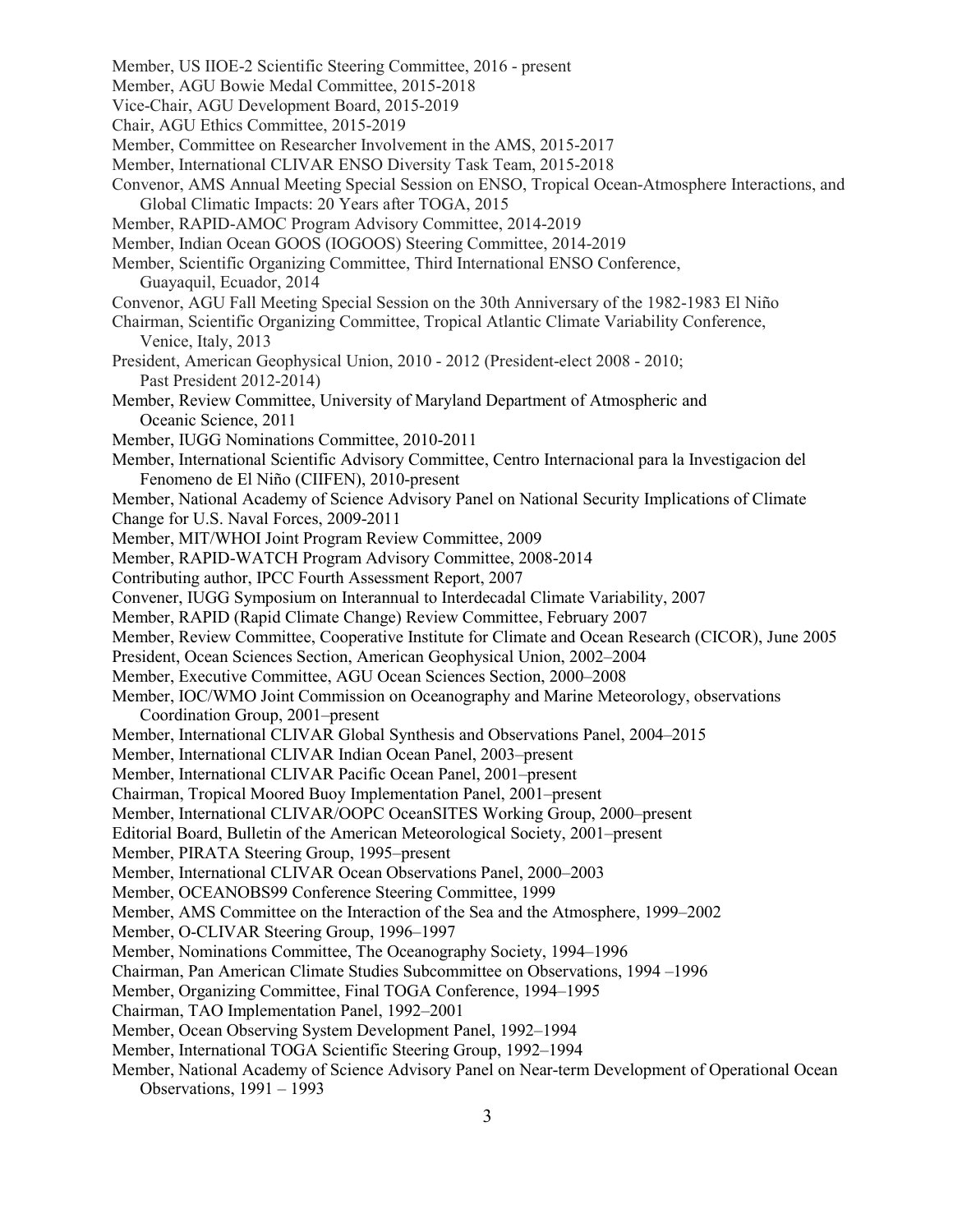- Member, US IIOE-2 Scientific Steering Committee, 2016 present
- Member, AGU Bowie Medal Committee, 2015-2018
- Vice-Chair, AGU Development Board, 2015-2019

Chair, AGU Ethics Committee, 2015-2019

- Member, Committee on Researcher Involvement in the AMS, 2015-2017
- Member, International CLIVAR ENSO Diversity Task Team, 2015-2018
- Convenor, AMS Annual Meeting Special Session on ENSO, Tropical Ocean-Atmosphere Interactions, and Global Climatic Impacts: 20 Years after TOGA, 2015
- Member, RAPID-AMOC Program Advisory Committee, 2014-2019
- Member, Indian Ocean GOOS (IOGOOS) Steering Committee, 2014-2019
- Member, Scientific Organizing Committee, Third International ENSO Conference, Guayaquil, Ecuador, 2014
- Convenor, AGU Fall Meeting Special Session on the 30th Anniversary of the 1982-1983 El Niño
- Chairman, Scientific Organizing Committee, Tropical Atlantic Climate Variability Conference, Venice, Italy, 2013
- President, American Geophysical Union, 2010 2012 (President-elect 2008 2010; Past President 2012-2014)
- Member, Review Committee, University of Maryland Department of Atmospheric and Oceanic Science, 2011
- Member, IUGG Nominations Committee, 2010-2011
- Member, International Scientific Advisory Committee, Centro Internacional para la Investigacion del Fenomeno de El Niño (CIIFEN), 2010-present
- Member, National Academy of Science Advisory Panel on National Security Implications of Climate Change for U.S. Naval Forces, 2009-2011
- Member, MIT/WHOI Joint Program Review Committee, 2009
- Member, RAPID-WATCH Program Advisory Committee, 2008-2014
- Contributing author, IPCC Fourth Assessment Report, 2007
- Convener, IUGG Symposium on Interannual to Interdecadal Climate Variability, 2007
- Member, RAPID (Rapid Climate Change) Review Committee, February 2007
- Member, Review Committee, Cooperative Institute for Climate and Ocean Research (CICOR), June 2005
- President, Ocean Sciences Section, American Geophysical Union, 2002–2004
- Member, Executive Committee, AGU Ocean Sciences Section, 2000–2008
- Member, IOC/WMO Joint Commission on Oceanography and Marine Meteorology, observations Coordination Group, 2001–present
- Member, International CLIVAR Global Synthesis and Observations Panel, 2004–2015
- Member, International CLIVAR Indian Ocean Panel, 2003–present
- Member, International CLIVAR Pacific Ocean Panel, 2001–present
- Chairman, Tropical Moored Buoy Implementation Panel, 2001–present
- Member, International CLIVAR/OOPC OceanSITES Working Group, 2000–present
- Editorial Board, Bulletin of the American Meteorological Society, 2001–present
- Member, PIRATA Steering Group, 1995–present
- Member, International CLIVAR Ocean Observations Panel, 2000–2003
- Member, OCEANOBS99 Conference Steering Committee, 1999
- Member, AMS Committee on the Interaction of the Sea and the Atmosphere, 1999–2002
- Member, O-CLIVAR Steering Group, 1996–1997
- Member, Nominations Committee, The Oceanography Society, 1994–1996
- Chairman, Pan American Climate Studies Subcommittee on Observations, 1994 –1996
- Member, Organizing Committee, Final TOGA Conference, 1994–1995
- Chairman, TAO Implementation Panel, 1992–2001
- Member, Ocean Observing System Development Panel, 1992–1994
- Member, International TOGA Scientific Steering Group, 1992–1994
- Member, National Academy of Science Advisory Panel on Near-term Development of Operational Ocean Observations, 1991 – 1993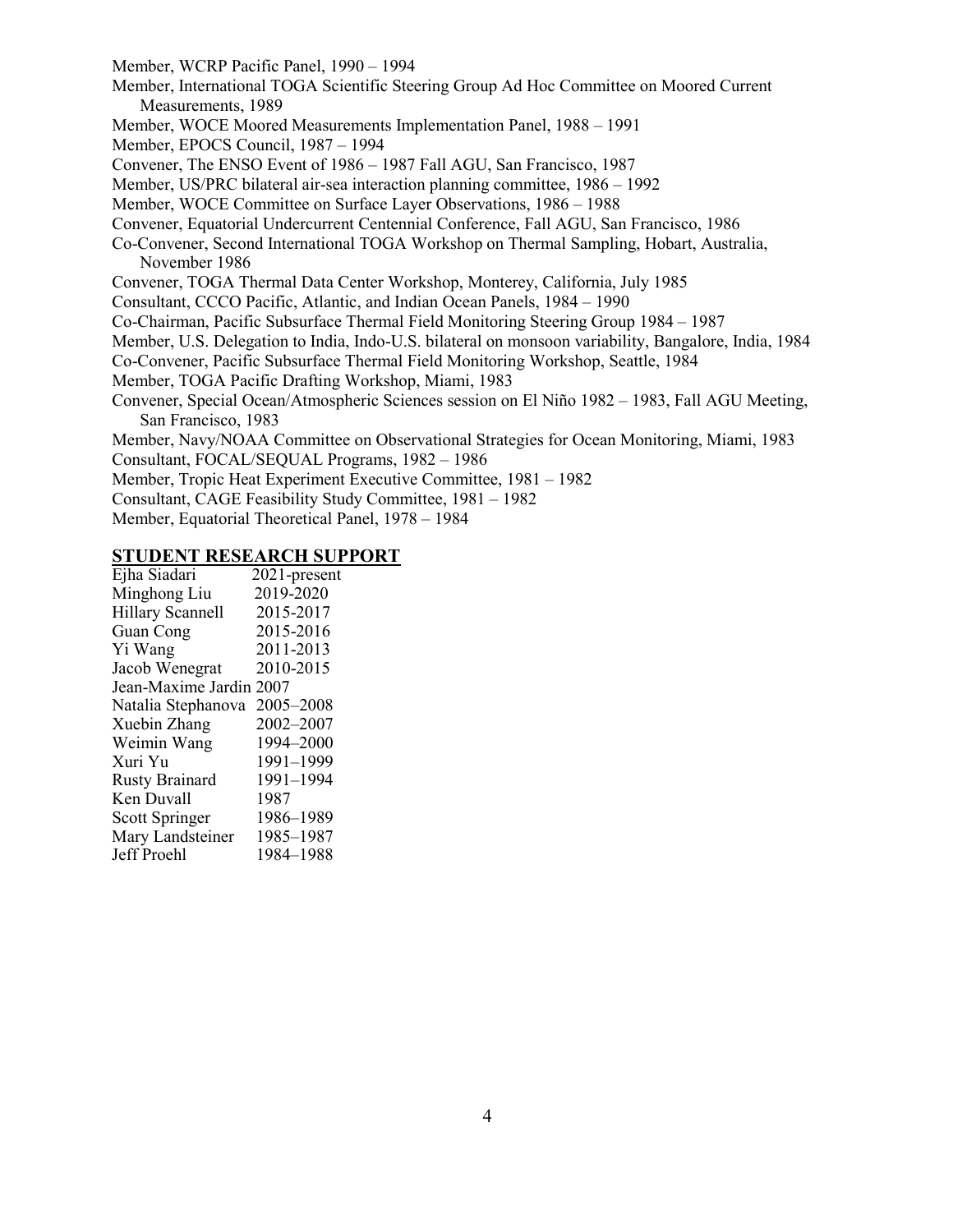Member, WCRP Pacific Panel, 1990 – 1994 Member, International TOGA Scientific Steering Group Ad Hoc Committee on Moored Current Measurements, 1989 Member, WOCE Moored Measurements Implementation Panel, 1988 – 1991 Member, EPOCS Council, 1987 – 1994 Convener, The ENSO Event of 1986 – 1987 Fall AGU, San Francisco, 1987 Member, US/PRC bilateral air-sea interaction planning committee, 1986 – 1992 Member, WOCE Committee on Surface Layer Observations, 1986 – 1988 Convener, Equatorial Undercurrent Centennial Conference, Fall AGU, San Francisco, 1986 Co-Convener, Second International TOGA Workshop on Thermal Sampling, Hobart, Australia, November 1986 Convener, TOGA Thermal Data Center Workshop, Monterey, California, July 1985 Consultant, CCCO Pacific, Atlantic, and Indian Ocean Panels, 1984 – 1990 Co-Chairman, Pacific Subsurface Thermal Field Monitoring Steering Group 1984 – 1987 Member, U.S. Delegation to India, Indo-U.S. bilateral on monsoon variability, Bangalore, India, 1984 Co-Convener, Pacific Subsurface Thermal Field Monitoring Workshop, Seattle, 1984 Member, TOGA Pacific Drafting Workshop, Miami, 1983 Convener, Special Ocean/Atmospheric Sciences session on El Niño 1982 – 1983, Fall AGU Meeting, San Francisco, 1983 Member, Navy/NOAA Committee on Observational Strategies for Ocean Monitoring, Miami, 1983 Consultant, FOCAL/SEQUAL Programs, 1982 – 1986 Member, Tropic Heat Experiment Executive Committee, 1981 – 1982 Consultant, CAGE Feasibility Study Committee, 1981 – 1982

Member, Equatorial Theoretical Panel, 1978 – 1984

#### **STUDENT RESEARCH SUPPORT**

| Ejha Siadari            | 2021-present |  |
|-------------------------|--------------|--|
| Minghong Liu            | 2019-2020    |  |
| <b>Hillary Scannell</b> | 2015-2017    |  |
| Guan Cong               | 2015-2016    |  |
| Yi Wang                 | 2011-2013    |  |
| Jacob Wenegrat          | 2010-2015    |  |
| Jean-Maxime Jardin 2007 |              |  |
| Natalia Stephanova      | 2005–2008    |  |
| Xuebin Zhang            | 2002-2007    |  |
| Weimin Wang             | 1994-2000    |  |
| Xuri Yu                 | 1991-1999    |  |
| <b>Rusty Brainard</b>   | 1991-1994    |  |
| Ken Duvall              | 1987         |  |
| Scott Springer          | 1986-1989    |  |
| Mary Landsteiner        | 1985-1987    |  |
| Jeff Proehl             | 1984-1988    |  |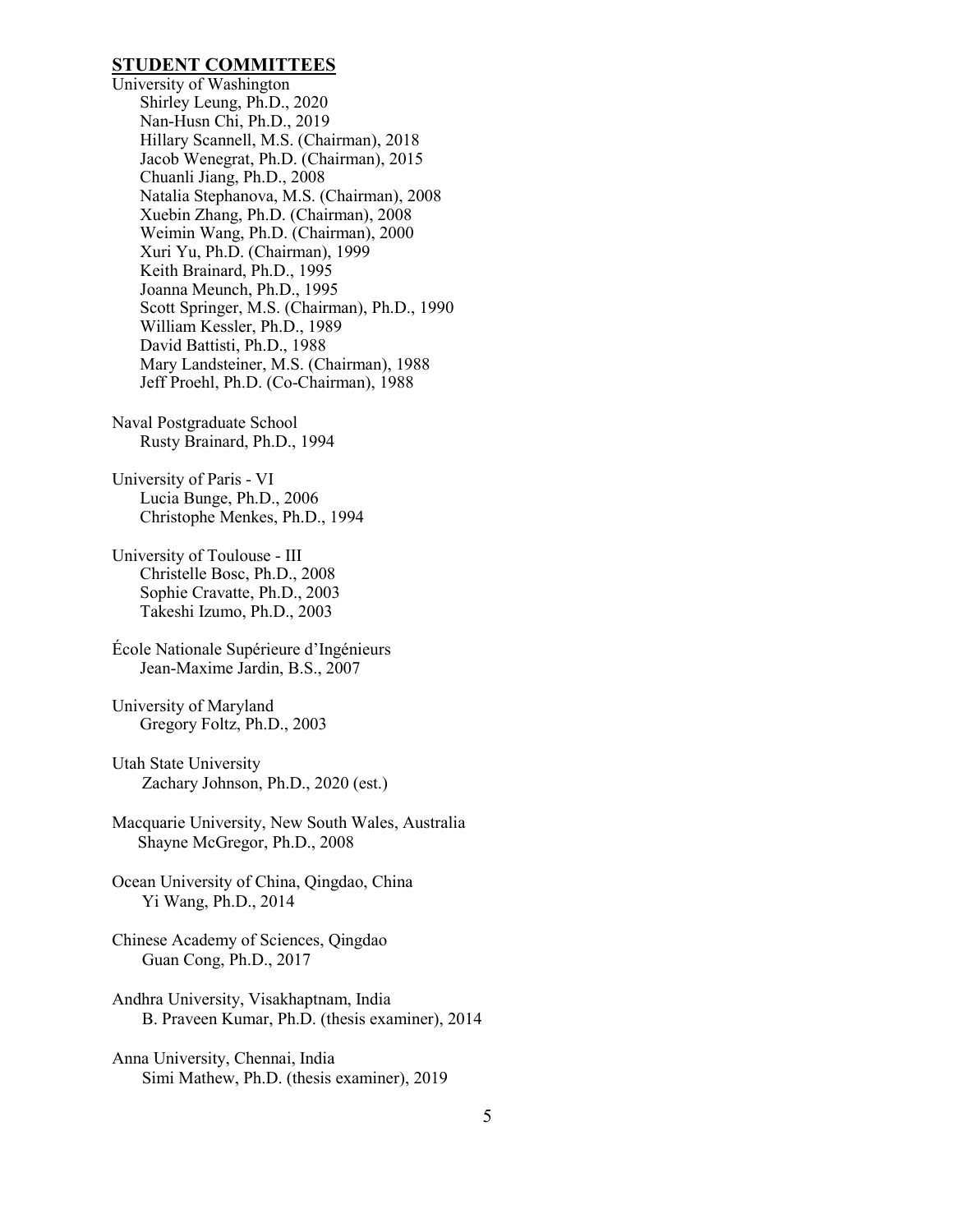## **STUDENT COMMITTEES**

- University of Washington Shirley Leung, Ph.D., 2020 Nan-Husn Chi, Ph.D., 2019 Hillary Scannell, M.S. (Chairman), 2018 Jacob Wenegrat, Ph.D. (Chairman), 2015 Chuanli Jiang, Ph.D., 2008 Natalia Stephanova, M.S. (Chairman), 2008 Xuebin Zhang, Ph.D. (Chairman), 2008 Weimin Wang, Ph.D. (Chairman), 2000 Xuri Yu, Ph.D. (Chairman), 1999 Keith Brainard, Ph.D., 1995 Joanna Meunch, Ph.D., 1995 Scott Springer, M.S. (Chairman), Ph.D., 1990 William Kessler, Ph.D., 1989 David Battisti, Ph.D., 1988 Mary Landsteiner, M.S. (Chairman), 1988 Jeff Proehl, Ph.D. (Co-Chairman), 1988
- Naval Postgraduate School Rusty Brainard, Ph.D., 1994
- University of Paris VI Lucia Bunge, Ph.D., 2006 Christophe Menkes, Ph.D., 1994
- University of Toulouse III Christelle Bosc, Ph.D., 2008 Sophie Cravatte, Ph.D., 2003 Takeshi Izumo, Ph.D., 2003
- École Nationale Supérieure d'Ingénieurs Jean-Maxime Jardin, B.S., 2007
- University of Maryland Gregory Foltz, Ph.D., 2003
- Utah State University Zachary Johnson, Ph.D., 2020 (est.)
- Macquarie University, New South Wales, Australia Shayne McGregor, Ph.D., 2008
- Ocean University of China, Qingdao, China Yi Wang, Ph.D., 2014
- Chinese Academy of Sciences, Qingdao Guan Cong, Ph.D., 2017
- Andhra University, Visakhaptnam, India B. Praveen Kumar, Ph.D. (thesis examiner), 2014
- Anna University, Chennai, India Simi Mathew, Ph.D. (thesis examiner), 2019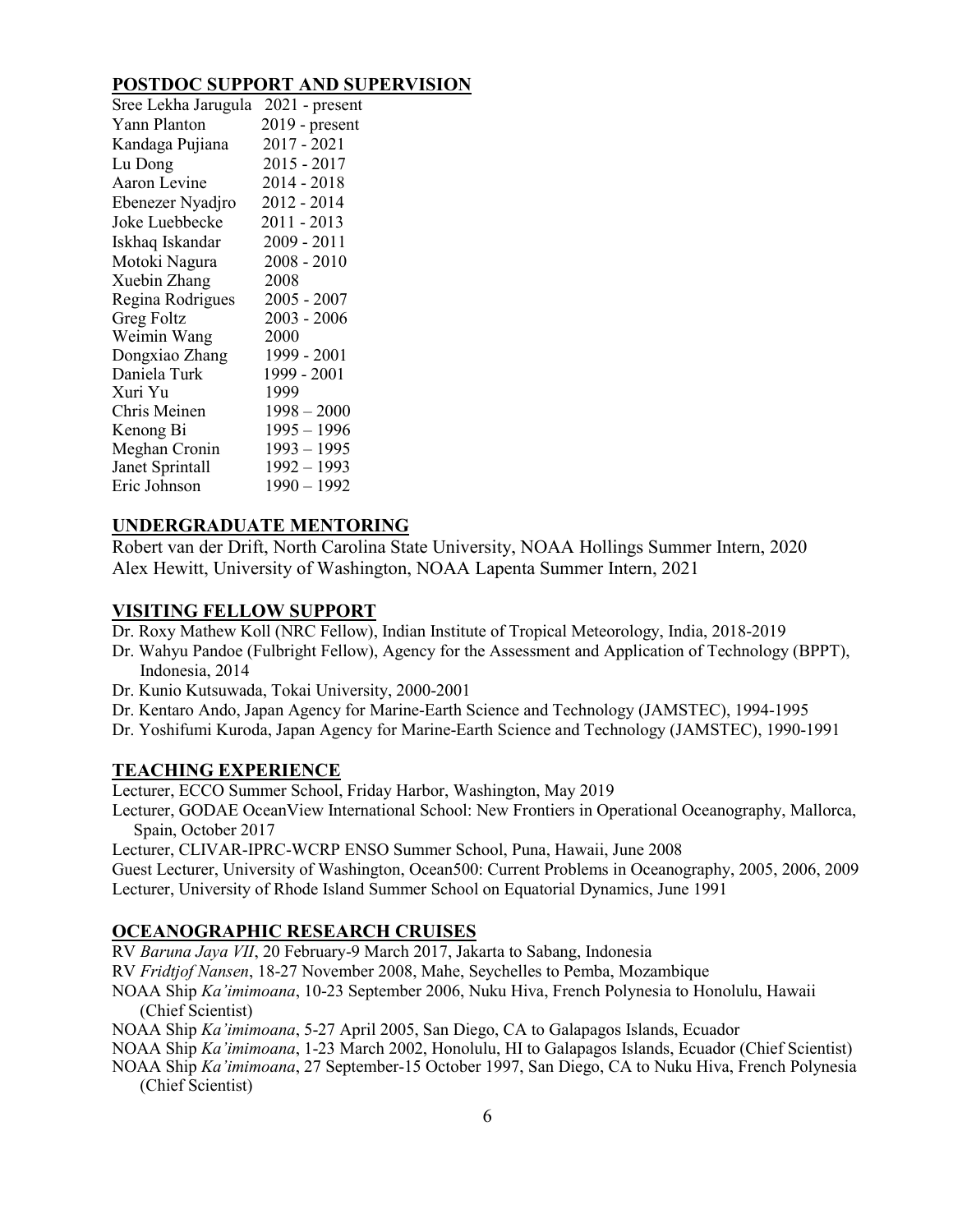## **POSTDOC SUPPORT AND SUPERVISION**

| Sree Lekha Jarugula | $2021$ - present |
|---------------------|------------------|
| Yann Planton        | $2019$ - present |
| Kandaga Pujiana     | $2017 - 2021$    |
| Lu Dong             | $2015 - 2017$    |
| Aaron Levine        | 2014 - 2018      |
| Ebenezer Nyadjro    | 2012 - 2014      |
| Joke Luebbecke      | 2011 - 2013      |
| Iskhaq Iskandar     | 2009 - 2011      |
| Motoki Nagura       | $2008 - 2010$    |
| Xuebin Zhang        | 2008             |
| Regina Rodrigues    | $2005 - 2007$    |
| <b>Greg Foltz</b>   | $2003 - 2006$    |
| Weimin Wang         | 2000             |
| Dongxiao Zhang      | 1999 - 2001      |
| Daniela Turk        | 1999 - 2001      |
| Xuri Yu             | 1999             |
| Chris Meinen        | $1998 - 2000$    |
| Kenong Bi           | $1995 - 1996$    |
| Meghan Cronin       | $1993 - 1995$    |
| Janet Sprintall     | $1992 - 1993$    |
| Eric Johnson        | $1990 - 1992$    |

## **UNDERGRADUATE MENTORING**

Robert van der Drift, North Carolina State University, NOAA Hollings Summer Intern, 2020 Alex Hewitt, University of Washington, NOAA Lapenta Summer Intern, 2021

## **VISITING FELLOW SUPPORT**

Dr. Roxy Mathew Koll (NRC Fellow), Indian Institute of Tropical Meteorology, India, 2018-2019

- Dr. Wahyu Pandoe (Fulbright Fellow), Agency for the Assessment and Application of Technology (BPPT), Indonesia, 2014
- Dr. Kunio Kutsuwada, Tokai University, 2000-2001
- Dr. Kentaro Ando, Japan Agency for Marine-Earth Science and Technology (JAMSTEC), 1994-1995
- Dr. Yoshifumi Kuroda, Japan Agency for Marine-Earth Science and Technology (JAMSTEC), 1990-1991

## **TEACHING EXPERIENCE**

Lecturer, ECCO Summer School, Friday Harbor, Washington, May 2019

Lecturer, GODAE OceanView International School: New Frontiers in Operational Oceanography, Mallorca, Spain, October 2017

Lecturer, CLIVAR-IPRC-WCRP ENSO Summer School, Puna, Hawaii, June 2008

Guest Lecturer, University of Washington, Ocean500: Current Problems in Oceanography, 2005, 2006, 2009 Lecturer, University of Rhode Island Summer School on Equatorial Dynamics, June 1991

# **OCEANOGRAPHIC RESEARCH CRUISES**

RV *Baruna Jaya VII*, 20 February-9 March 2017, Jakarta to Sabang, Indonesia

RV *Fridtjof Nansen*, 18-27 November 2008, Mahe, Seychelles to Pemba, Mozambique

NOAA Ship *Ka'imimoana*, 10-23 September 2006, Nuku Hiva, French Polynesia to Honolulu, Hawaii (Chief Scientist)

NOAA Ship *Ka'imimoana*, 5-27 April 2005, San Diego, CA to Galapagos Islands, Ecuador

NOAA Ship *Ka'imimoana*, 1-23 March 2002, Honolulu, HI to Galapagos Islands, Ecuador (Chief Scientist)

NOAA Ship *Ka'imimoana*, 27 September-15 October 1997, San Diego, CA to Nuku Hiva, French Polynesia (Chief Scientist)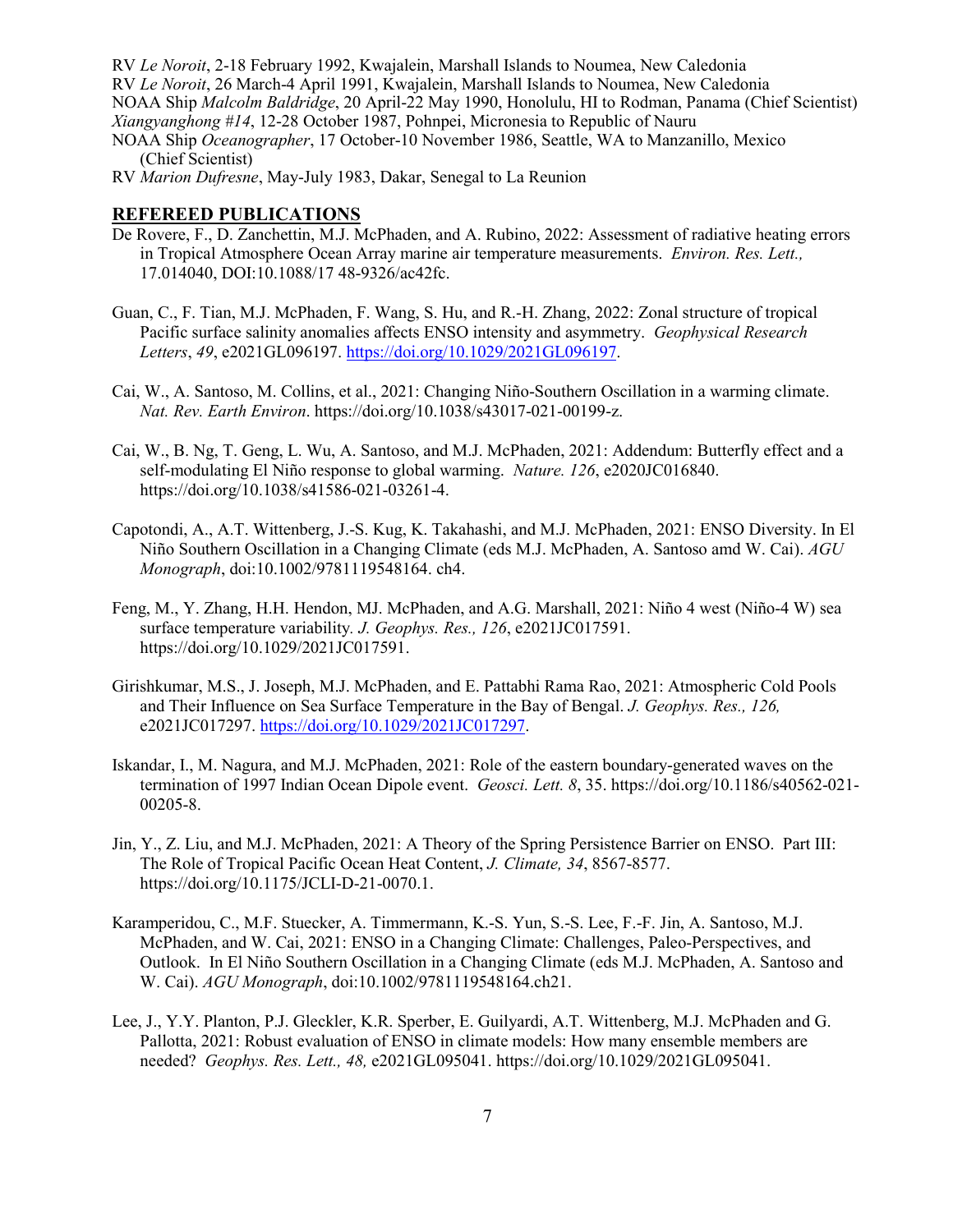RV *Le Noroit*, 2-18 February 1992, Kwajalein, Marshall Islands to Noumea, New Caledonia

RV *Le Noroit*, 26 March-4 April 1991, Kwajalein, Marshall Islands to Noumea, New Caledonia

NOAA Ship *Malcolm Baldridge*, 20 April-22 May 1990, Honolulu, HI to Rodman, Panama (Chief Scientist) *Xiangyanghong #14*, 12-28 October 1987, Pohnpei, Micronesia to Republic of Nauru

- NOAA Ship *Oceanographer*, 17 October-10 November 1986, Seattle, WA to Manzanillo, Mexico (Chief Scientist)
- RV *Marion Dufresne*, May-July 1983, Dakar, Senegal to La Reunion

## **REFEREED PUBLICATIONS**

- De Rovere, F., D. Zanchettin, M.J. McPhaden, and A. Rubino, 2022: Assessment of radiative heating errors in Tropical Atmosphere Ocean Array marine air temperature measurements. *Environ. Res. Lett.,* 17.014040, DOI:10.1088/17 48-9326/ac42fc.
- Guan, C., F. Tian, M.J. McPhaden, F. Wang, S. Hu, and R.-H. Zhang, 2022: Zonal structure of tropical Pacific surface salinity anomalies affects ENSO intensity and asymmetry. *Geophysical Research Letters*, *49*, e2021GL096197. [https://doi.org/10.1029/2021GL096197.](https://doi.org/10.1029/2021GL096197)
- Cai, W., A. Santoso, M. Collins, et al., 2021: Changing Niño-Southern Oscillation in a warming climate. *Nat. Rev. Earth Environ*. https://doi.org/10.1038/s43017-021-00199-z.
- Cai, W., B. Ng, T. Geng, L. Wu, A. Santoso, and M.J. McPhaden, 2021: Addendum: Butterfly effect and a self-modulating El Niño response to global warming. *Nature. 126*, e2020JC016840. https://doi.org/10.1038/s41586-021-03261-4.
- Capotondi, A., A.T. Wittenberg, J.-S. Kug, K. Takahashi, and M.J. McPhaden, 2021: ENSO Diversity. In El Niño Southern Oscillation in a Changing Climate (eds M.J. McPhaden, A. Santoso amd W. Cai). *AGU Monograph*, doi:10.1002/9781119548164. ch4.
- Feng, M., Y. Zhang, H.H. Hendon, MJ. McPhaden, and A.G. Marshall, 2021: Niño 4 west (Niño-4 W) sea surface temperature variability*. J. Geophys. Res., 126*, e2021JC017591. https://doi.org/10.1029/2021JC017591.
- Girishkumar, M.S., J. Joseph, M.J. McPhaden, and E. Pattabhi Rama Rao, 2021: Atmospheric Cold Pools and Their Influence on Sea Surface Temperature in the Bay of Bengal. *J. Geophys. Res., 126,* e2021JC017297. [https://doi.org/10.1029/2021JC017297.](https://doi.org/10.1029/2021JC017297)
- Iskandar, I., M. Nagura, and M.J. McPhaden, 2021: Role of the eastern boundary-generated waves on the termination of 1997 Indian Ocean Dipole event. *Geosci. Lett. 8*, 35. https://doi.org/10.1186/s40562-021- 00205-8.
- Jin, Y., Z. Liu, and M.J. McPhaden, 2021: A Theory of the Spring Persistence Barrier on ENSO. Part III: The Role of Tropical Pacific Ocean Heat Content, *J. Climate, 34*, 8567-8577. https://doi.org/10.1175/JCLI-D-21-0070.1.
- Karamperidou, C., M.F. Stuecker, A. Timmermann, K.-S. Yun, S.-S. Lee, F.-F. Jin, A. Santoso, M.J. McPhaden, and W. Cai, 2021: ENSO in a Changing Climate: Challenges, Paleo-Perspectives, and Outlook. In El Niño Southern Oscillation in a Changing Climate (eds M.J. McPhaden, A. Santoso and W. Cai). *AGU Monograph*, doi:10.1002/9781119548164.ch21.
- Lee, J., Y.Y. Planton, P.J. Gleckler, K.R. Sperber, E. Guilyardi, A.T. Wittenberg, M.J. McPhaden and G. Pallotta, 2021: Robust evaluation of ENSO in climate models: How many ensemble members are needed? *Geophys. Res. Lett., 48,* e2021GL095041. https://doi.org/10.1029/2021GL095041.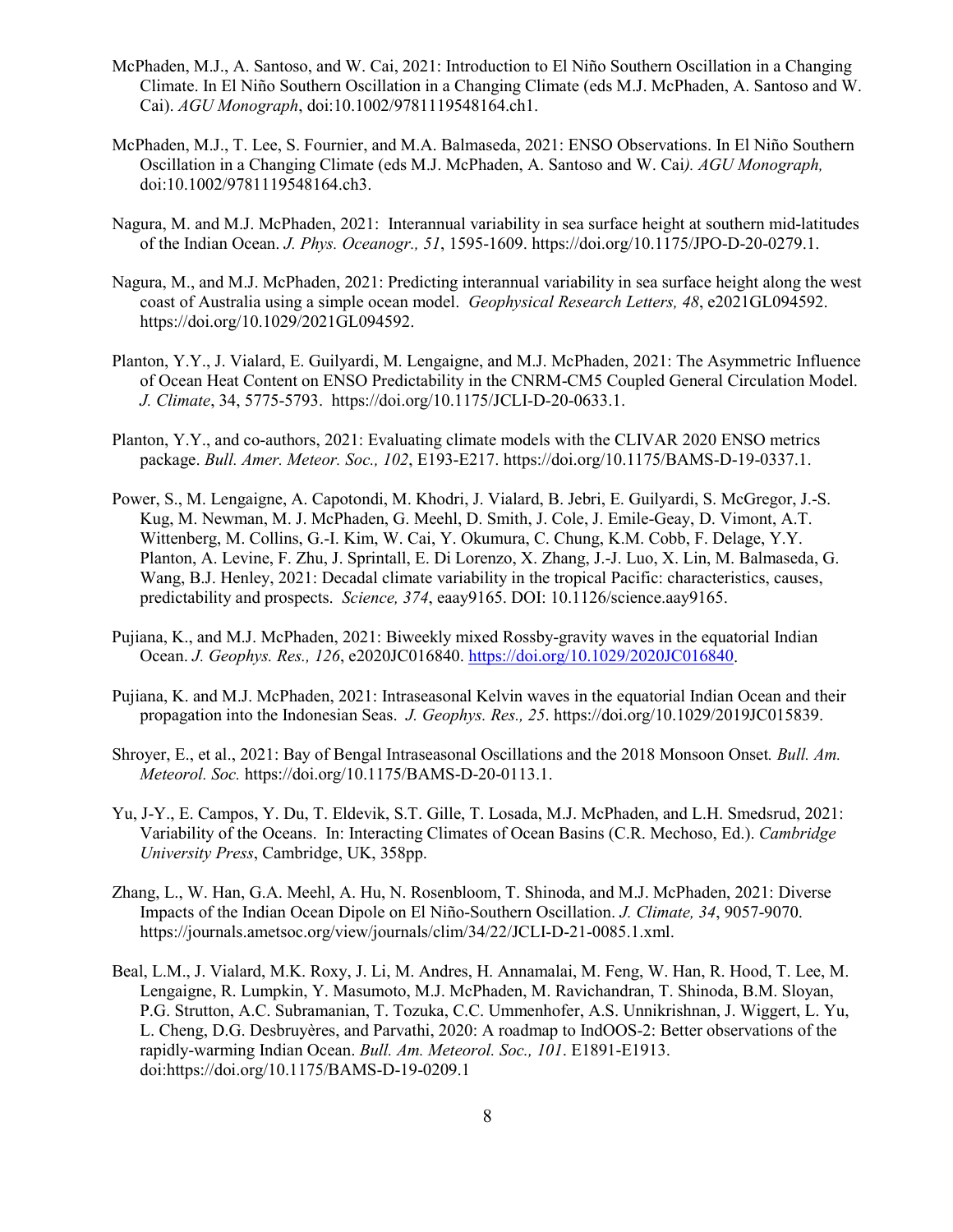- McPhaden, M.J., A. Santoso, and W. Cai, 2021: Introduction to El Niño Southern Oscillation in a Changing Climate. In El Niño Southern Oscillation in a Changing Climate (eds M.J. McPhaden, A. Santoso and W. Cai). *AGU Monograph*, doi:10.1002/9781119548164.ch1.
- McPhaden, M.J., T. Lee, S. Fournier, and M.A. Balmaseda, 2021: ENSO Observations. In El Niño Southern Oscillation in a Changing Climate (eds M.J. McPhaden, A. Santoso and W. Cai*). AGU Monograph,* doi:10.1002/9781119548164.ch3.
- Nagura, M. and M.J. McPhaden, 2021: Interannual variability in sea surface height at southern mid-latitudes of the Indian Ocean. *J. Phys. Oceanogr., 51*, 1595-1609. https://doi.org/10.1175/JPO-D-20-0279.1.
- Nagura, M., and M.J. McPhaden, 2021: Predicting interannual variability in sea surface height along the west coast of Australia using a simple ocean model. *Geophysical Research Letters, 48*, e2021GL094592. https://doi.org/10.1029/2021GL094592.
- Planton, Y.Y., J. Vialard, E. Guilyardi, M. Lengaigne, and M.J. McPhaden, 2021: The Asymmetric Influence of Ocean Heat Content on ENSO Predictability in the CNRM-CM5 Coupled General Circulation Model. *J. Climate*, 34, 5775-5793. https://doi.org/10.1175/JCLI-D-20-0633.1.
- Planton, Y.Y., and co-authors, 2021: Evaluating climate models with the CLIVAR 2020 ENSO metrics package. *Bull. Amer. Meteor. Soc., 102*, E193-E217. https://doi.org/10.1175/BAMS-D-19-0337.1.
- Power, S., M. Lengaigne, A. Capotondi, M. Khodri, J. Vialard, B. Jebri, E. Guilyardi, S. McGregor, J.-S. Kug, M. Newman, M. J. McPhaden, G. Meehl, D. Smith, J. Cole, J. Emile-Geay, D. Vimont, A.T. Wittenberg, M. Collins, G.-I. Kim, W. Cai, Y. Okumura, C. Chung, K.M. Cobb, F. Delage, Y.Y. Planton, A. Levine, F. Zhu, J. Sprintall, E. Di Lorenzo, X. Zhang, J.-J. Luo, X. Lin, M. Balmaseda, G. Wang, B.J. Henley, 2021: Decadal climate variability in the tropical Pacific: characteristics, causes, predictability and prospects. *Science, 374*, eaay9165. DOI: 10.1126/science.aay9165.
- Pujiana, K., and M.J. McPhaden, 2021: Biweekly mixed Rossby-gravity waves in the equatorial Indian Ocean. *J. Geophys. Res., 126*, e2020JC016840. [https://doi.org/10.1029/2020JC016840.](https://doi.org/10.1029/2020JC016840)
- Pujiana, K. and M.J. McPhaden, 2021: Intraseasonal Kelvin waves in the equatorial Indian Ocean and their propagation into the Indonesian Seas. *J. Geophys. Res., 25*. https://doi.org/10.1029/2019JC015839.
- Shroyer, E., et al., 2021: Bay of Bengal Intraseasonal Oscillations and the 2018 Monsoon Onset*. Bull. Am. Meteorol. Soc.* https://doi.org/10.1175/BAMS-D-20-0113.1.
- Yu, J-Y., E. Campos, Y. Du, T. Eldevik, S.T. Gille, T. Losada, M.J. McPhaden, and L.H. Smedsrud, 2021: Variability of the Oceans. In: Interacting Climates of Ocean Basins (C.R. Mechoso, Ed.). *Cambridge University Press*, Cambridge, UK, 358pp.
- Zhang, L., W. Han, G.A. Meehl, A. Hu, N. Rosenbloom, T. Shinoda, and M.J. McPhaden, 2021: Diverse Impacts of the Indian Ocean Dipole on El Niño-Southern Oscillation. *J. Climate, 34*, 9057-9070. https://journals.ametsoc.org/view/journals/clim/34/22/JCLI-D-21-0085.1.xml.
- Beal, L.M., J. Vialard, M.K. Roxy, J. Li, M. Andres, H. Annamalai, M. Feng, W. Han, R. Hood, T. Lee, M. Lengaigne, R. Lumpkin, Y. Masumoto, M.J. McPhaden, M. Ravichandran, T. Shinoda, B.M. Sloyan, P.G. Strutton, A.C. Subramanian, T. Tozuka, C.C. Ummenhofer, A.S. Unnikrishnan, J. Wiggert, L. Yu, L. Cheng, D.G. Desbruyères, and Parvathi, 2020: A roadmap to IndOOS-2: Better observations of the rapidly-warming Indian Ocean. *Bull. Am. Meteorol. Soc., 101*. E1891-E1913. doi:https://doi.org/10.1175/BAMS-D-19-0209.1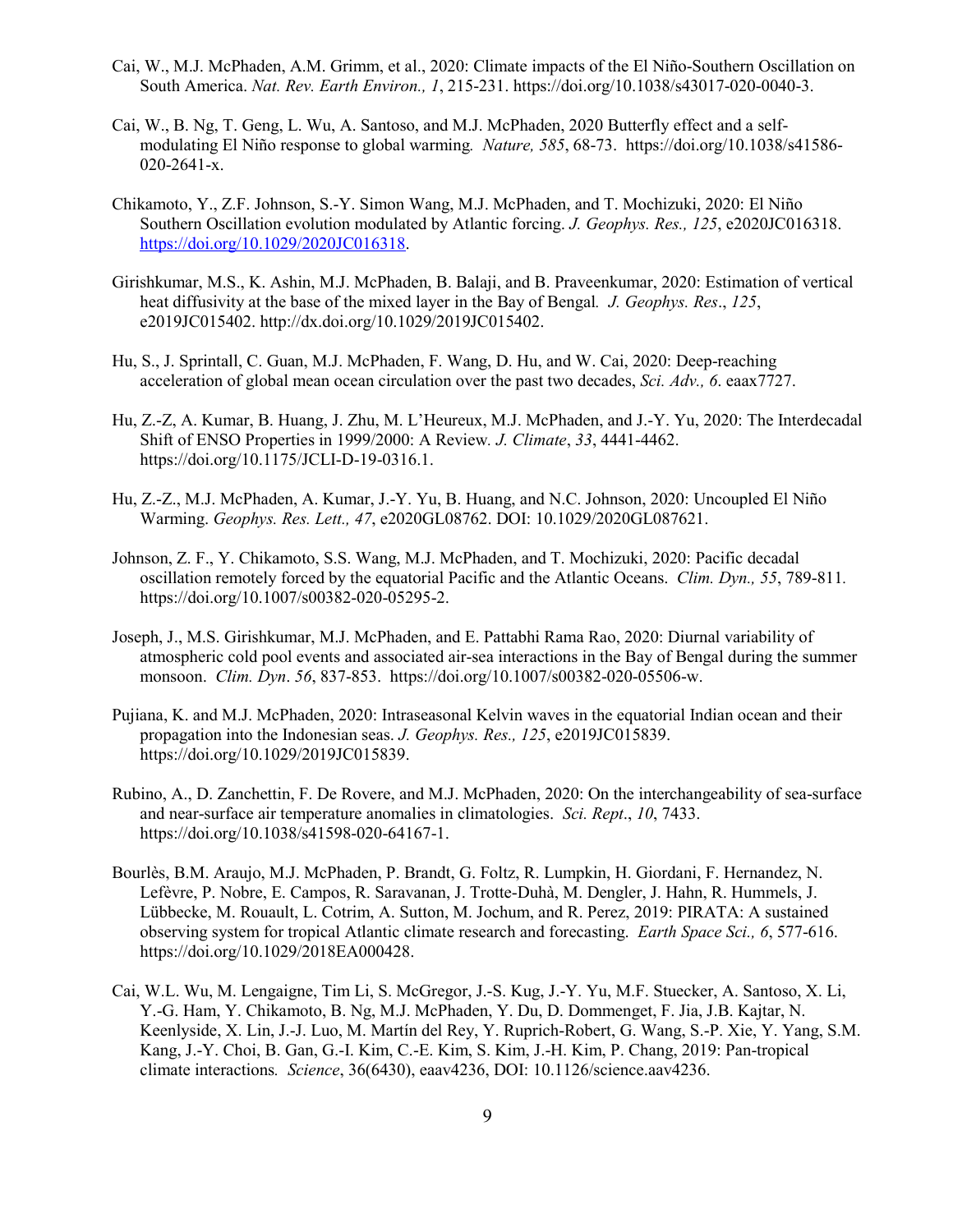- Cai, W., M.J. McPhaden, A.M. Grimm, et al., 2020: Climate impacts of the El Niño-Southern Oscillation on South America. *Nat. Rev. Earth Environ., 1*, 215-231. https://doi.org/10.1038/s43017-020-0040-3.
- Cai, W., B. Ng, T. Geng, L. Wu, A. Santoso, and M.J. McPhaden, 2020 Butterfly effect and a selfmodulating El Niño response to global warming*. Nature, 585*, 68-73. https://doi.org/10.1038/s41586- 020-2641-x.
- Chikamoto, Y., Z.F. Johnson, S.-Y. Simon Wang, M.J. McPhaden, and T. Mochizuki, 2020: El Niño Southern Oscillation evolution modulated by Atlantic forcing. *J. Geophys. Res., 125*, e2020JC016318. [https://doi.org/10.1029/2020JC016318.](https://doi.org/10.1029/2020JC016318)
- Girishkumar, M.S., K. Ashin, M.J. McPhaden, B. Balaji, and B. Praveenkumar, 2020: Estimation of vertical heat diffusivity at the base of the mixed layer in the Bay of Bengal*. J. Geophys. Res*., *125*, e2019JC015402. http://dx.doi.org/10.1029/2019JC015402.
- Hu, S., J. Sprintall, C. Guan, M.J. McPhaden, F. Wang, D. Hu, and W. Cai, 2020: Deep-reaching acceleration of global mean ocean circulation over the past two decades, *Sci. Adv., 6*. eaax7727.
- Hu, Z.-Z, A. Kumar, B. Huang, J. Zhu, M. L'Heureux, M.J. McPhaden, and J.-Y. Yu, 2020: The Interdecadal Shift of ENSO Properties in 1999/2000: A Review*. J. Climate*, *33*, 4441-4462. https://doi.org/10.1175/JCLI-D-19-0316.1.
- Hu, Z.-Z., M.J. McPhaden, A. Kumar, J.-Y. Yu, B. Huang, and N.C. Johnson, 2020: Uncoupled El Niño Warming. *Geophys. Res. Lett., 47*, e2020GL08762. DOI: 10.1029/2020GL087621.
- Johnson, Z. F., Y. Chikamoto, S.S. Wang, M.J. McPhaden, and T. Mochizuki, 2020: Pacific decadal oscillation remotely forced by the equatorial Pacific and the Atlantic Oceans. *Clim. Dyn., 55*, 789-811*.* https://doi.org/10.1007/s00382-020-05295-2.
- Joseph, J., M.S. Girishkumar, M.J. McPhaden, and E. Pattabhi Rama Rao, 2020: Diurnal variability of atmospheric cold pool events and associated air-sea interactions in the Bay of Bengal during the summer monsoon. *Clim. Dyn*. *56*, 837-853. https://doi.org/10.1007/s00382-020-05506-w.
- Pujiana, K. and M.J. McPhaden, 2020: Intraseasonal Kelvin waves in the equatorial Indian ocean and their propagation into the Indonesian seas. *J. Geophys. Res., 125*, e2019JC015839. https://doi.org/10.1029/2019JC015839.
- Rubino, A., D. Zanchettin, F. De Rovere, and M.J. McPhaden, 2020: On the interchangeability of sea-surface and near-surface air temperature anomalies in climatologies. *Sci. Rept*., *10*, 7433. https://doi.org/10.1038/s41598-020-64167-1.
- Bourlès, B.M. Araujo, M.J. McPhaden, P. Brandt, G. Foltz, R. Lumpkin, H. Giordani, F. Hernandez, N. Lefèvre, P. Nobre, E. Campos, R. Saravanan, J. Trotte-Duhà, M. Dengler, J. Hahn, R. Hummels, J. Lübbecke, M. Rouault, L. Cotrim, A. Sutton, M. Jochum, and R. Perez, 2019: PIRATA: A sustained observing system for tropical Atlantic climate research and forecasting. *Earth Space Sci., 6*, 577-616. https://doi.org/10.1029/2018EA000428.
- Cai, W.L. Wu, M. Lengaigne, Tim Li, S. McGregor, J.-S. Kug, J.-Y. Yu, M.F. Stuecker, A. Santoso, X. Li, Y.-G. Ham, Y. Chikamoto, B. Ng, M.J. McPhaden, Y. Du, D. Dommenget, F. Jia, J.B. Kajtar, N. Keenlyside, X. Lin, J.-J. Luo, M. Martín del Rey, Y. Ruprich-Robert, G. Wang, S.-P. Xie, Y. Yang, S.M. Kang, J.-Y. Choi, B. Gan, G.-I. Kim, C.-E. Kim, S. Kim, J.-H. Kim, P. Chang, 2019: Pan-tropical climate interactions*. Science*, 36(6430), eaav4236, DOI: 10.1126/science.aav4236.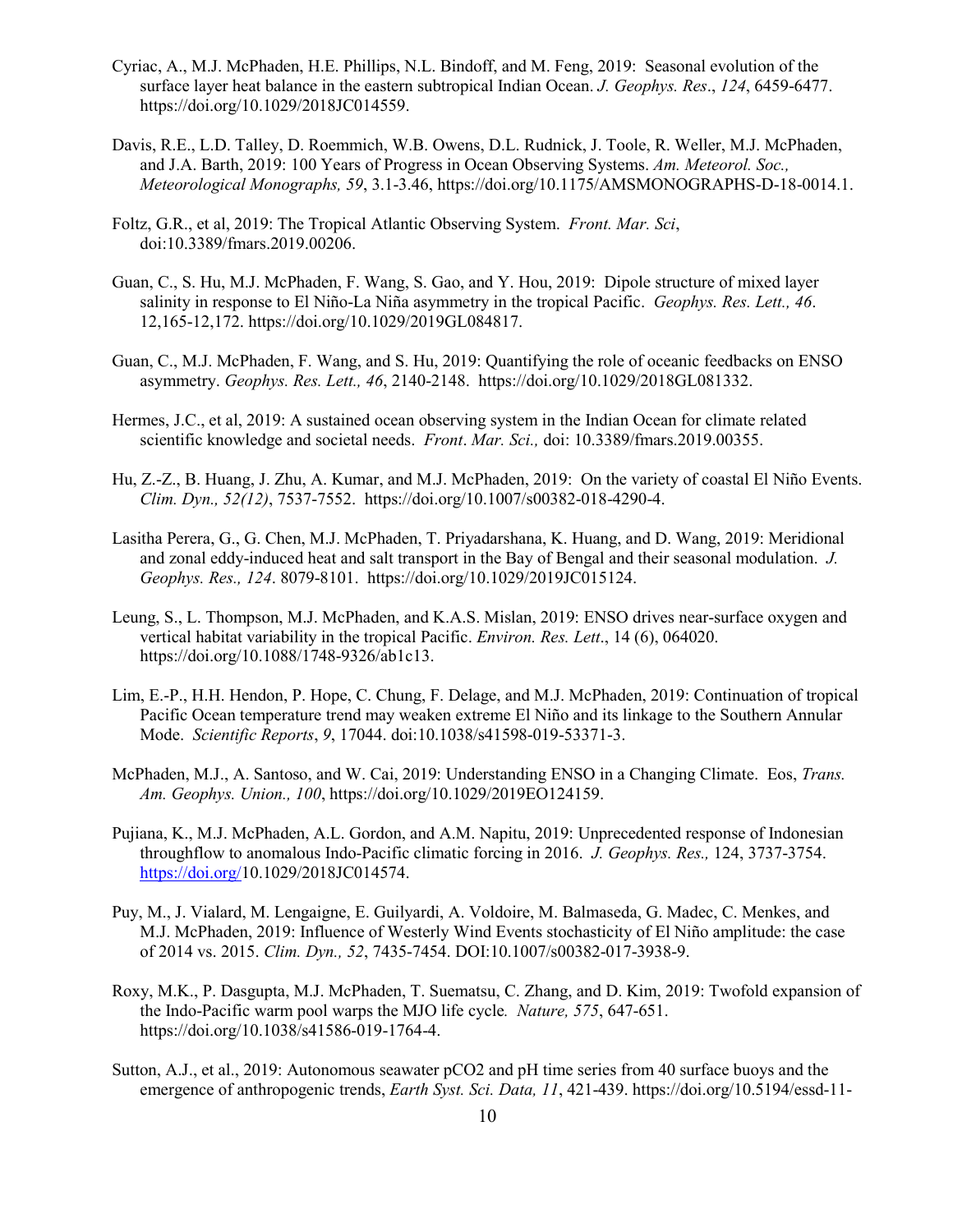- Cyriac, A., M.J. McPhaden, H.E. Phillips, N.L. Bindoff, and M. Feng, 2019: Seasonal evolution of the surface layer heat balance in the eastern subtropical Indian Ocean. *J. Geophys. Res*., *124*, 6459-6477. https://doi.org/10.1029/2018JC014559.
- Davis, R.E., L.D. Talley, D. Roemmich, W.B. Owens, D.L. Rudnick, J. Toole, R. Weller, M.J. McPhaden, and J.A. Barth, 2019: 100 Years of Progress in Ocean Observing Systems. *Am. Meteorol. Soc., Meteorological Monographs, 59*, 3.1-3.46, https://doi.org/10.1175/AMSMONOGRAPHS-D-18-0014.1.
- Foltz, G.R., et al, 2019: The Tropical Atlantic Observing System. *Front. Mar. Sci*, doi:10.3389/fmars.2019.00206.
- Guan, C., S. Hu, M.J. McPhaden, F. Wang, S. Gao, and Y. Hou, 2019: Dipole structure of mixed layer salinity in response to El Niño-La Niña asymmetry in the tropical Pacific. *Geophys. Res. Lett., 46*. 12,165-12,172. https://doi.org/10.1029/2019GL084817.
- Guan, C., M.J. McPhaden, F. Wang, and S. Hu, 2019: Quantifying the role of oceanic feedbacks on ENSO asymmetry. *Geophys. Res. Lett., 46*, 2140-2148. https://doi.org/10.1029/2018GL081332.
- Hermes, J.C., et al, 2019: A sustained ocean observing system in the Indian Ocean for climate related scientific knowledge and societal needs. *Front*. *Mar. Sci.,* doi: 10.3389/fmars.2019.00355.
- Hu, Z.-Z., B. Huang, J. Zhu, A. Kumar, and M.J. McPhaden, 2019: On the variety of coastal El Niño Events. *Clim. Dyn., 52(12)*, 7537-7552. https://doi.org/10.1007/s00382-018-4290-4.
- Lasitha Perera, G., G. Chen, M.J. McPhaden, T. Priyadarshana, K. Huang, and D. Wang, 2019: Meridional and zonal eddy-induced heat and salt transport in the Bay of Bengal and their seasonal modulation. *J. Geophys. Res., 124*. 8079-8101. https://doi.org/10.1029/2019JC015124.
- Leung, S., L. Thompson, M.J. McPhaden, and K.A.S. Mislan, 2019: ENSO drives near-surface oxygen and vertical habitat variability in the tropical Pacific. *Environ. Res. Lett*., 14 (6), 064020. https://doi.org/10.1088/1748-9326/ab1c13.
- Lim, E.-P., H.H. Hendon, P. Hope, C. Chung, F. Delage, and M.J. McPhaden, 2019: Continuation of tropical Pacific Ocean temperature trend may weaken extreme El Niño and its linkage to the Southern Annular Mode. *Scientific Reports*, *9*, 17044. doi:10.1038/s41598-019-53371-3.
- McPhaden, M.J., A. Santoso, and W. Cai, 2019: Understanding ENSO in a Changing Climate. Eos, *Trans. Am. Geophys. Union., 100*, https://doi.org/10.1029/2019EO124159.
- Pujiana, K., M.J. McPhaden, A.L. Gordon, and A.M. Napitu, 2019: Unprecedented response of Indonesian throughflow to anomalous Indo-Pacific climatic forcing in 2016. *J. Geophys. Res.,* 124, 3737-3754. [https://doi.org/1](https://doi.org/)0.1029/2018JC014574.
- Puy, M., J. Vialard, M. Lengaigne, E. Guilyardi, A. Voldoire, M. Balmaseda, G. Madec, C. Menkes, and M.J. McPhaden, 2019: Influence of Westerly Wind Events stochasticity of El Niño amplitude: the case of 2014 vs. 2015. *Clim. Dyn., 52*, 7435-7454. DOI:10.1007/s00382-017-3938-9.
- Roxy, M.K., P. Dasgupta, M.J. McPhaden, T. Suematsu, C. Zhang, and D. Kim, 2019: Twofold expansion of the Indo-Pacific warm pool warps the MJO life cycle*. Nature, 575*, 647-651. https://doi.org/10.1038/s41586-019-1764-4.
- Sutton, A.J., et al., 2019: Autonomous seawater pCO2 and pH time series from 40 surface buoys and the emergence of anthropogenic trends, *Earth Syst. Sci. Data, 11*, 421-439. https://doi.org/10.5194/essd-11-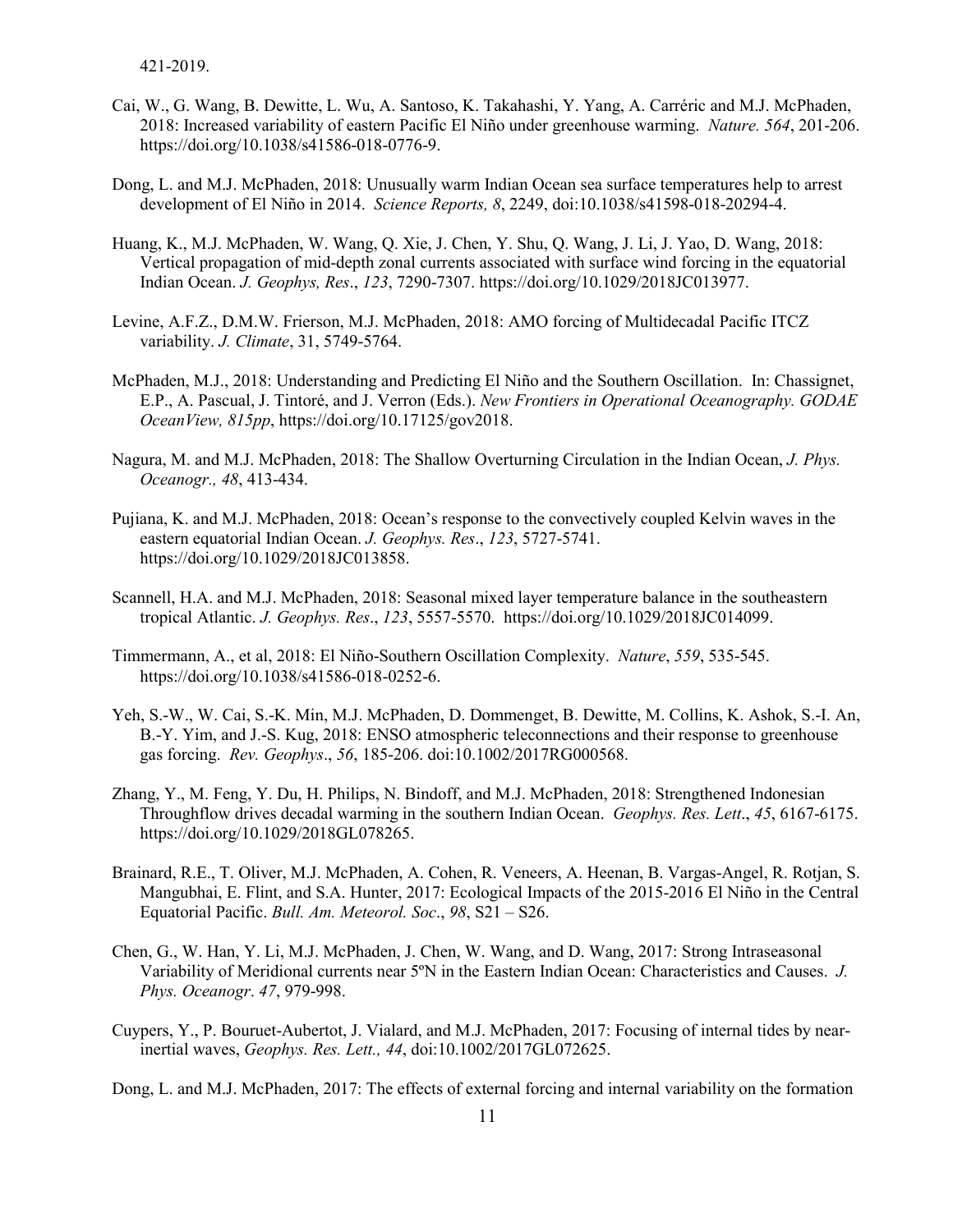- Cai, W., G. Wang, B. Dewitte, L. Wu, A. Santoso, K. Takahashi, Y. Yang, A. Carréric and M.J. McPhaden, 2018: Increased variability of eastern Pacific El Niño under greenhouse warming. *Nature. 564*, 201-206. https://doi.org/10.1038/s41586-018-0776-9.
- Dong, L. and M.J. McPhaden, 2018: Unusually warm Indian Ocean sea surface temperatures help to arrest development of El Niño in 2014. *Science Reports, 8*, 2249, doi:10.1038/s41598-018-20294-4.
- Huang, K., M.J. McPhaden, W. Wang, Q. Xie, J. Chen, Y. Shu, Q. Wang, J. Li, J. Yao, D. Wang, 2018: Vertical propagation of mid-depth zonal currents associated with surface wind forcing in the equatorial Indian Ocean. *J. Geophys, Res*., *123*, 7290-7307. https://doi.org/10.1029/2018JC013977.
- Levine, A.F.Z., D.M.W. Frierson, M.J. McPhaden, 2018: AMO forcing of Multidecadal Pacific ITCZ variability. *J. Climate*, 31, 5749-5764.
- McPhaden, M.J., 2018: Understanding and Predicting El Niño and the Southern Oscillation. In: Chassignet, E.P., A. Pascual, J. Tintoré, and J. Verron (Eds.). *New Frontiers in Operational Oceanography. GODAE OceanView, 815pp*, https://doi.org/10.17125/gov2018.
- Nagura, M. and M.J. McPhaden, 2018: The Shallow Overturning Circulation in the Indian Ocean, *J. Phys. Oceanogr., 48*, 413-434.
- Pujiana, K. and M.J. McPhaden, 2018: Ocean's response to the convectively coupled Kelvin waves in the eastern equatorial Indian Ocean. *J. Geophys. Res*., *123*, 5727-5741. https://doi.org/10.1029/2018JC013858.
- Scannell, H.A. and M.J. McPhaden, 2018: Seasonal mixed layer temperature balance in the southeastern tropical Atlantic. *J. Geophys. Res*., *123*, 5557-5570. https://doi.org/10.1029/2018JC014099.
- Timmermann, A., et al, 2018: El Niño-Southern Oscillation Complexity. *Nature*, *559*, 535-545. https://doi.org/10.1038/s41586-018-0252-6.
- Yeh, S.-W., W. Cai, S.-K. Min, M.J. McPhaden, D. Dommenget, B. Dewitte, M. Collins, K. Ashok, S.-I. An, B.-Y. Yim, and J.-S. Kug, 2018: ENSO atmospheric teleconnections and their response to greenhouse gas forcing. *Rev. Geophys*., *56*, 185-206. doi:10.1002/2017RG000568.
- Zhang, Y., M. Feng, Y. Du, H. Philips, N. Bindoff, and M.J. McPhaden, 2018: Strengthened Indonesian Throughflow drives decadal warming in the southern Indian Ocean. *Geophys. Res. Lett*., *45*, 6167-6175. https://doi.org/10.1029/2018GL078265.
- Brainard, R.E., T. Oliver, M.J. McPhaden, A. Cohen, R. Veneers, A. Heenan, B. Vargas-Angel, R. Rotjan, S. Mangubhai, E. Flint, and S.A. Hunter, 2017: Ecological Impacts of the 2015-2016 El Niño in the Central Equatorial Pacific. *Bull. Am. Meteorol. Soc*., *98*, S21 – S26.
- Chen, G., W. Han, Y. Li, M.J. McPhaden, J. Chen, W. Wang, and D. Wang, 2017: Strong Intraseasonal Variability of Meridional currents near 5ºN in the Eastern Indian Ocean: Characteristics and Causes. *J. Phys. Oceanogr*. *47*, 979-998.
- Cuypers, Y., P. Bouruet-Aubertot, J. Vialard, and M.J. McPhaden, 2017: Focusing of internal tides by nearinertial waves, *Geophys. Res. Lett., 44*, doi:10.1002/2017GL072625.

Dong, L. and M.J. McPhaden, 2017: The effects of external forcing and internal variability on the formation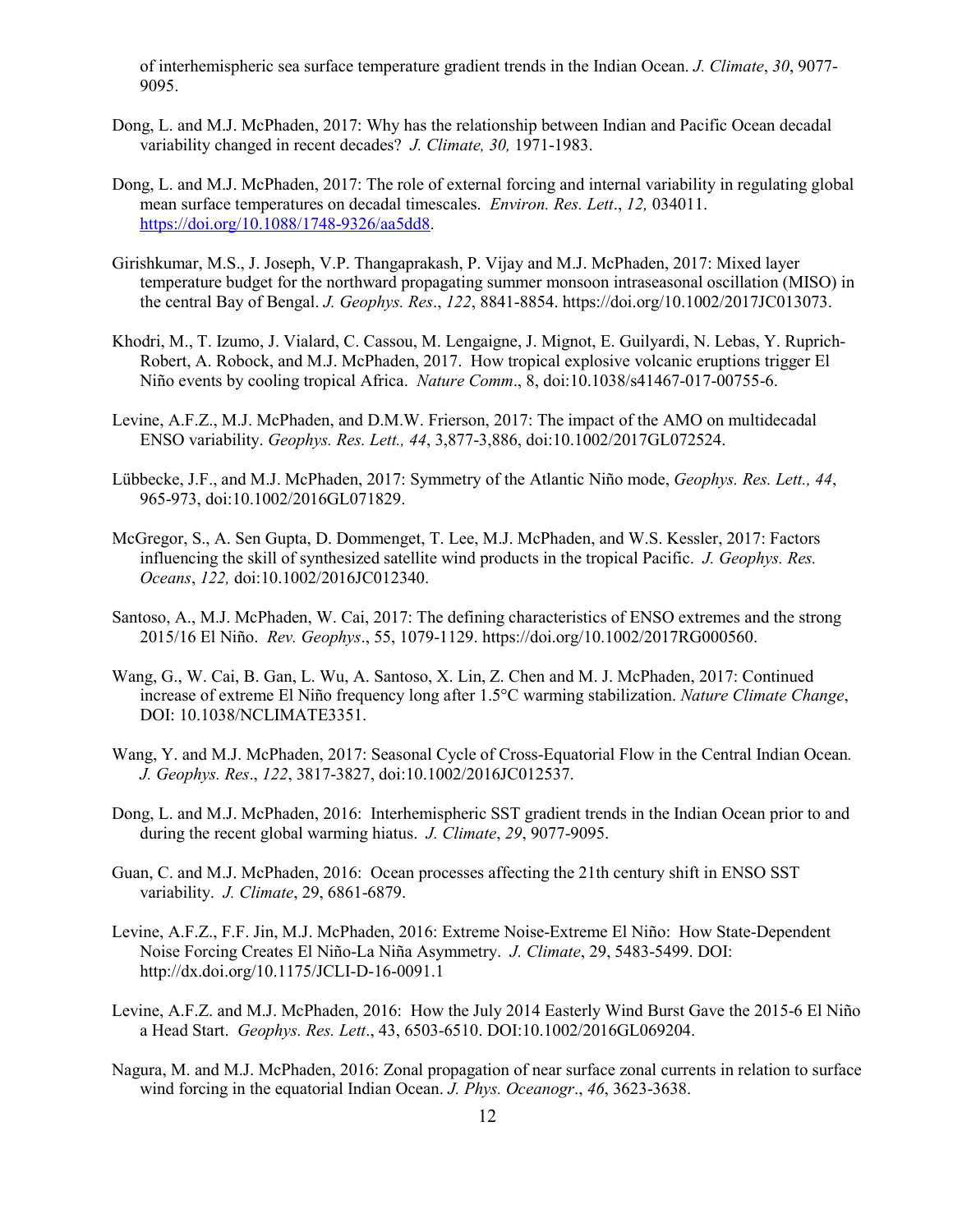of interhemispheric sea surface temperature gradient trends in the Indian Ocean. *J. Climate*, *30*, 9077- 9095.

- Dong, L. and M.J. McPhaden, 2017: Why has the relationship between Indian and Pacific Ocean decadal variability changed in recent decades? *J. Climate, 30,* 1971-1983.
- Dong, L. and M.J. McPhaden, 2017: The role of external forcing and internal variability in regulating global mean surface temperatures on decadal timescales. *Environ. Res. Lett*., *12,* 034011. [https://doi.org/10.1088/1748-9326/aa5dd8.](https://doi.org/10.1088/1748-9326/aa5dd8)
- Girishkumar, M.S., J. Joseph, V.P. Thangaprakash, P. Vijay and M.J. McPhaden, 2017: Mixed layer temperature budget for the northward propagating summer monsoon intraseasonal oscillation (MISO) in the central Bay of Bengal. *J. Geophys. Res*., *122*, 8841-8854. https://doi.org/10.1002/2017JC013073.
- Khodri, M., T. Izumo, J. Vialard, C. Cassou, M. Lengaigne, J. Mignot, E. Guilyardi, N. Lebas, Y. Ruprich-Robert, A. Robock, and M.J. McPhaden, 2017. How tropical explosive volcanic eruptions trigger El Niño events by cooling tropical Africa. *Nature Comm*., 8, doi:10.1038/s41467-017-00755-6.
- Levine, A.F.Z., M.J. McPhaden, and D.M.W. Frierson, 2017: The impact of the AMO on multidecadal ENSO variability. *Geophys. Res. Lett., 44*, 3,877-3,886, doi:10.1002/2017GL072524.
- Lübbecke, J.F., and M.J. McPhaden, 2017: Symmetry of the Atlantic Niño mode, *Geophys. Res. Lett., 44*, 965-973, doi:10.1002/2016GL071829.
- McGregor, S., A. Sen Gupta, D. Dommenget, T. Lee, M.J. McPhaden, and W.S. Kessler, 2017: Factors influencing the skill of synthesized satellite wind products in the tropical Pacific. *J. Geophys. Res. Oceans*, *122,* doi:10.1002/2016JC012340.
- Santoso, A., M.J. McPhaden, W. Cai, 2017: The defining characteristics of ENSO extremes and the strong 2015/16 El Niño. *Rev. Geophys*., 55, 1079-1129. https://doi.org/10.1002/2017RG000560.
- Wang, G., W. Cai, B. Gan, L. Wu, A. Santoso, X. Lin, Z. Chen and M. J. McPhaden, 2017: Continued increase of extreme El Niño frequency long after 1.5°C warming stabilization. *Nature Climate Change*, DOI: 10.1038/NCLIMATE3351.
- Wang, Y. and M.J. McPhaden, 2017: Seasonal Cycle of Cross-Equatorial Flow in the Central Indian Ocean*. J. Geophys. Res*., *122*, 3817-3827, doi:10.1002/2016JC012537.
- Dong, L. and M.J. McPhaden, 2016: Interhemispheric SST gradient trends in the Indian Ocean prior to and during the recent global warming hiatus. *J. Climate*, *29*, 9077-9095.
- Guan, C. and M.J. McPhaden, 2016: Ocean processes affecting the 21th century shift in ENSO SST variability. *J. Climate*, 29, 6861-6879.
- Levine, A.F.Z., F.F. Jin, M.J. McPhaden, 2016: Extreme Noise-Extreme El Niño: How State-Dependent Noise Forcing Creates El Niño-La Niña Asymmetry. *J. Climate*, 29, 5483-5499. DOI: http://dx.doi.org/10.1175/JCLI-D-16-0091.1
- Levine, A.F.Z. and M.J. McPhaden, 2016: How the July 2014 Easterly Wind Burst Gave the 2015-6 El Niño a Head Start. *Geophys. Res. Lett*., 43, 6503-6510. DOI:10.1002/2016GL069204.
- Nagura, M. and M.J. McPhaden, 2016: Zonal propagation of near surface zonal currents in relation to surface wind forcing in the equatorial Indian Ocean. *J. Phys. Oceanogr*., *46*, 3623-3638.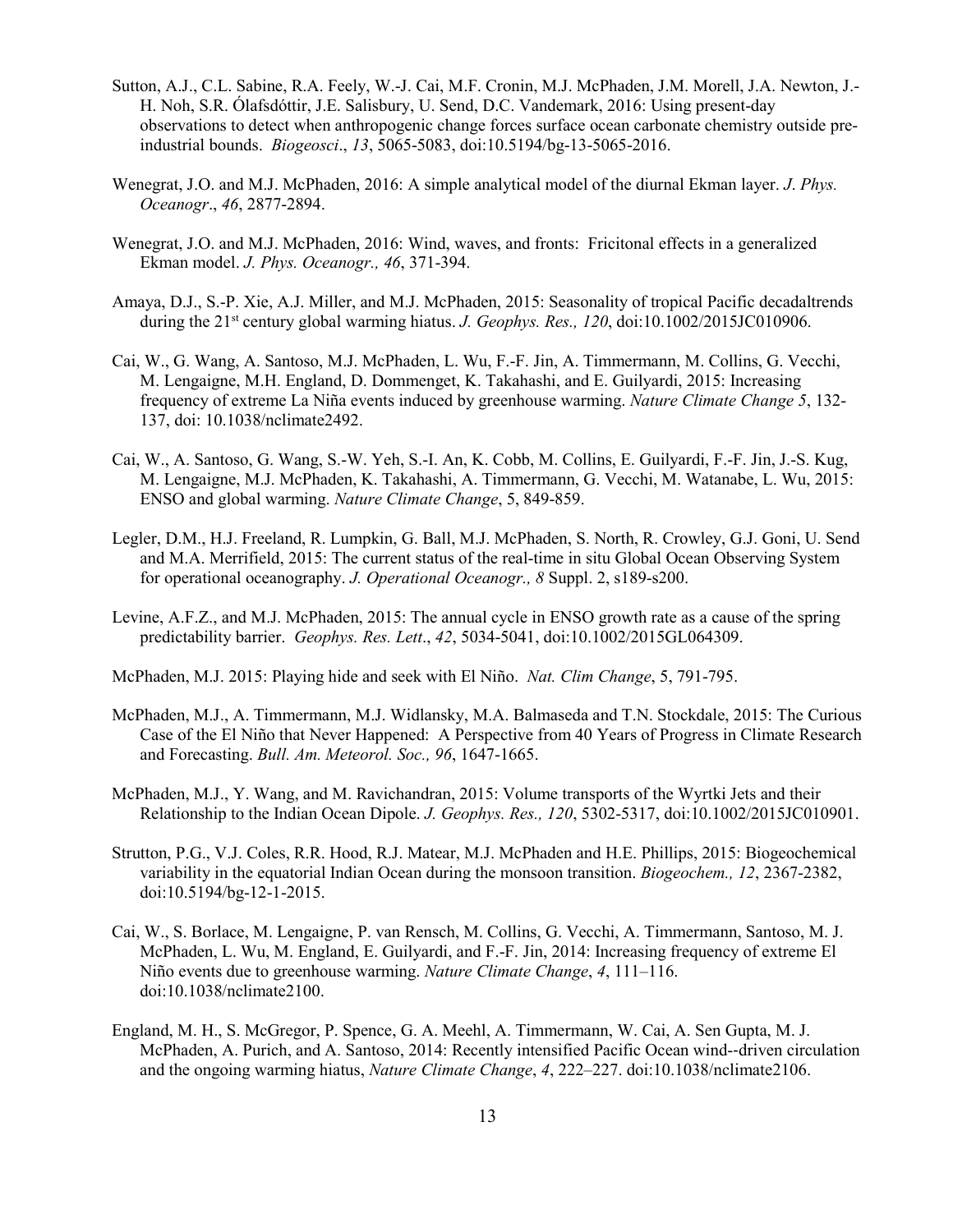- Sutton, A.J., C.L. Sabine, R.A. Feely, W.-J. Cai, M.F. Cronin, M.J. McPhaden, J.M. Morell, J.A. Newton, J.- H. Noh, S.R. Ólafsdóttir, J.E. Salisbury, U. Send, D.C. Vandemark, 2016: Using present-day observations to detect when anthropogenic change forces surface ocean carbonate chemistry outside preindustrial bounds. *Biogeosci*., *13*, 5065-5083, doi:10.5194/bg-13-5065-2016.
- Wenegrat, J.O. and M.J. McPhaden, 2016: A simple analytical model of the diurnal Ekman layer. *J*. *Phys. Oceanogr*., *46*, 2877-2894.
- Wenegrat, J.O. and M.J. McPhaden, 2016: Wind, waves, and fronts: Fricitonal effects in a generalized Ekman model. *J. Phys. Oceanogr., 46*, 371-394.
- Amaya, D.J., S.-P. Xie, A.J. Miller, and M.J. McPhaden, 2015: Seasonality of tropical Pacific decadaltrends during the 21st century global warming hiatus. *J. Geophys. Res., 120*, doi:10.1002/2015JC010906.
- Cai, W., G. Wang, A. Santoso, M.J. McPhaden, L. Wu, F.-F. Jin, A. Timmermann, M. Collins, G. Vecchi, M. Lengaigne, M.H. England, D. Dommenget, K. Takahashi, and E. Guilyardi, 2015: Increasing frequency of extreme La Niña events induced by greenhouse warming. *Nature Climate Change 5*, 132- 137, doi: 10.1038/nclimate2492.
- Cai, W., A. Santoso, G. Wang, S.-W. Yeh, S.-I. An, K. Cobb, M. Collins, E. Guilyardi, F.-F. Jin, J.-S. Kug, M. Lengaigne, M.J. McPhaden, K. Takahashi, A. Timmermann, G. Vecchi, M. Watanabe, L. Wu, 2015: ENSO and global warming. *Nature Climate Change*, 5, 849-859.
- Legler, D.M., H.J. Freeland, R. Lumpkin, G. Ball, M.J. McPhaden, S. North, R. Crowley, G.J. Goni, U. Send and M.A. Merrifield, 2015: The current status of the real-time in situ Global Ocean Observing System for operational oceanography. *J. Operational Oceanogr., 8* Suppl. 2, s189-s200.
- Levine, A.F.Z., and M.J. McPhaden, 2015: The annual cycle in ENSO growth rate as a cause of the spring predictability barrier. *Geophys. Res. Lett*., *42*, 5034-5041, doi:10.1002/2015GL064309.
- McPhaden, M.J. 2015: Playing hide and seek with El Niño. *Nat. Clim Change*, 5, 791-795.
- McPhaden, M.J., A. Timmermann, M.J. Widlansky, M.A. Balmaseda and T.N. Stockdale, 2015: The Curious Case of the El Niño that Never Happened: A Perspective from 40 Years of Progress in Climate Research and Forecasting. *Bull. Am. Meteorol. Soc., 96*, 1647-1665.
- McPhaden, M.J., Y. Wang, and M. Ravichandran, 2015: Volume transports of the Wyrtki Jets and their Relationship to the Indian Ocean Dipole. *J. Geophys. Res., 120*, 5302-5317, doi:10.1002/2015JC010901.
- Strutton, P.G., V.J. Coles, R.R. Hood, R.J. Matear, M.J. McPhaden and H.E. Phillips, 2015: Biogeochemical variability in the equatorial Indian Ocean during the monsoon transition. *Biogeochem., 12*, 2367-2382, doi:10.5194/bg-12-1-2015.
- Cai, W., S. Borlace, M. Lengaigne, P. van Rensch, M. Collins, G. Vecchi, A. Timmermann, Santoso, M. J. McPhaden, L. Wu, M. England, E. Guilyardi, and F.-F. Jin, 2014: Increasing frequency of extreme El Niño events due to greenhouse warming. *Nature Climate Change*, *4*, 111–116. doi:10.1038/nclimate2100.
- England, M. H., S. McGregor, P. Spence, G. A. Meehl, A. Timmermann, W. Cai, A. Sen Gupta, M. J. McPhaden, A. Purich, and A. Santoso, 2014: Recently intensified Pacific Ocean wind-‐driven circulation and the ongoing warming hiatus, *Nature Climate Change*, *4*, 222–227. doi:10.1038/nclimate2106.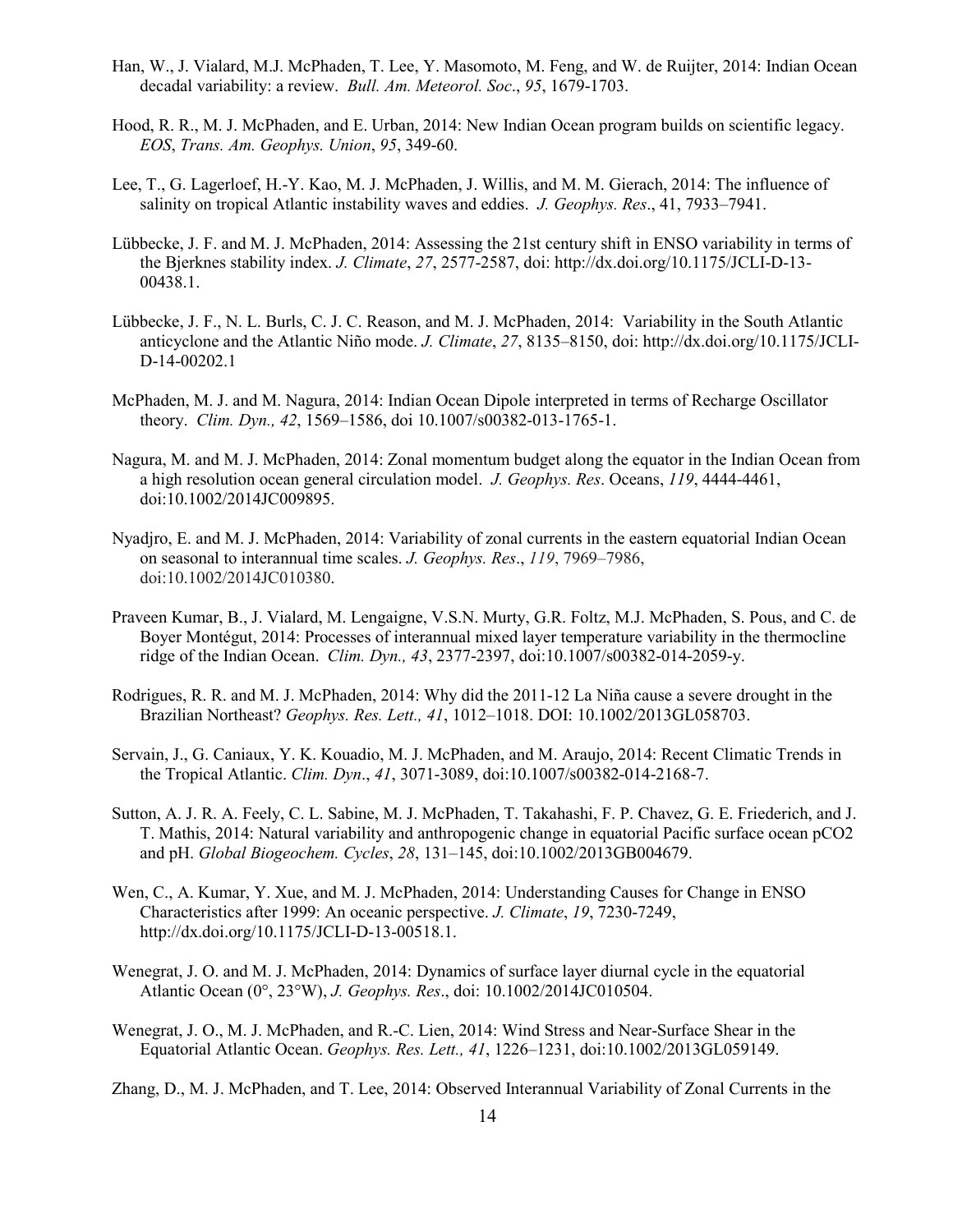- Han, W., J. Vialard, M.J. McPhaden, T. Lee, Y. Masomoto, M. Feng, and W. de Ruijter, 2014: Indian Ocean decadal variability: a review. *Bull. Am. Meteorol. Soc*., *95*, 1679-1703.
- Hood, R. R., M. J. McPhaden, and E. Urban, 2014: New Indian Ocean program builds on scientific legacy. *EOS*, *Trans. Am. Geophys. Union*, *95*, 349-60.
- Lee, T., G. Lagerloef, H.-Y. Kao, M. J. McPhaden, J. Willis, and M. M. Gierach, 2014: The influence of salinity on tropical Atlantic instability waves and eddies. *J. Geophys. Res*., 41, 7933–7941.
- Lübbecke, J. F. and M. J. McPhaden, 2014: Assessing the 21st century shift in ENSO variability in terms of the Bjerknes stability index. *J. Climate*, *27*, 2577-2587, doi: http://dx.doi.org/10.1175/JCLI-D-13- 00438.1.
- Lübbecke, J. F., N. L. Burls, C. J. C. Reason, and M. J. McPhaden, 2014: Variability in the South Atlantic anticyclone and the Atlantic Niño mode. *J. Climate*, *27*, 8135–8150, doi: [http://dx.doi.org/10.1175/JCLI-](http://dx.doi.org/10.1175/JCLI-D-14-00202.1)[D-14-00202.1](http://dx.doi.org/10.1175/JCLI-D-14-00202.1)
- McPhaden, M. J. and M. Nagura, 2014: Indian Ocean Dipole interpreted in terms of Recharge Oscillator theory. *Clim. Dyn., 42*, 1569–1586, doi 10.1007/s00382-013-1765-1.
- Nagura, M. and M. J. McPhaden, 2014: Zonal momentum budget along the equator in the Indian Ocean from a high resolution ocean general circulation model. *J. Geophys. Res*. Oceans, *119*, 4444-4461, doi:10.1002/2014JC009895.
- Nyadjro, E. and M. J. McPhaden, 2014: Variability of zonal currents in the eastern equatorial Indian Ocean on seasonal to interannual time scales. *J. Geophys. Res*., *119*, 7969–7986, doi:10.1002/2014JC010380.
- Praveen Kumar, B., J. Vialard, M. Lengaigne, V.S.N. Murty, G.R. Foltz, M.J. McPhaden, S. Pous, and C. de Boyer Montégut, 2014: Processes of interannual mixed layer temperature variability in the thermocline ridge of the Indian Ocean. *Clim. Dyn., 43*, 2377-2397, doi:10.1007/s00382-014-2059-y.
- Rodrigues, R. R. and M. J. McPhaden, 2014: Why did the 2011-12 La Niña cause a severe drought in the Brazilian Northeast? *Geophys. Res. Lett., 41*, 1012–1018. DOI: 10.1002/2013GL058703.
- Servain, J., G. Caniaux, Y. K. Kouadio, M. J. McPhaden, and M. Araujo, 2014: Recent Climatic Trends in the Tropical Atlantic. *Clim. Dyn*., *41*, 3071-3089, doi:10.1007/s00382-014-2168-7.
- Sutton, A. J. R. A. Feely, C. L. Sabine, M. J. McPhaden, T. Takahashi, F. P. Chavez, G. E. Friederich, and J. T. Mathis, 2014: Natural variability and anthropogenic change in equatorial Pacific surface ocean pCO2 and pH. *Global Biogeochem. Cycles*, *28*, 131–145, doi:10.1002/2013GB004679.
- Wen, C., A. Kumar, Y. Xue, and M. J. McPhaden, 2014: Understanding Causes for Change in ENSO Characteristics after 1999: An oceanic perspective. *J. Climate*, *19*, 7230-7249, http://dx.doi.org/10.1175/JCLI-D-13-00518.1.
- Wenegrat, J. O. and M. J. McPhaden, 2014: Dynamics of surface layer diurnal cycle in the equatorial Atlantic Ocean (0°, 23°W), *J. Geophys. Res*., doi: 10.1002/2014JC010504.
- Wenegrat, J. O., M. J. McPhaden, and R.-C. Lien, 2014: Wind Stress and Near-Surface Shear in the Equatorial Atlantic Ocean. *Geophys. Res. Lett., 41*, 1226–1231, doi:10.1002/2013GL059149.

Zhang, D., M. J. McPhaden, and T. Lee, 2014: Observed Interannual Variability of Zonal Currents in the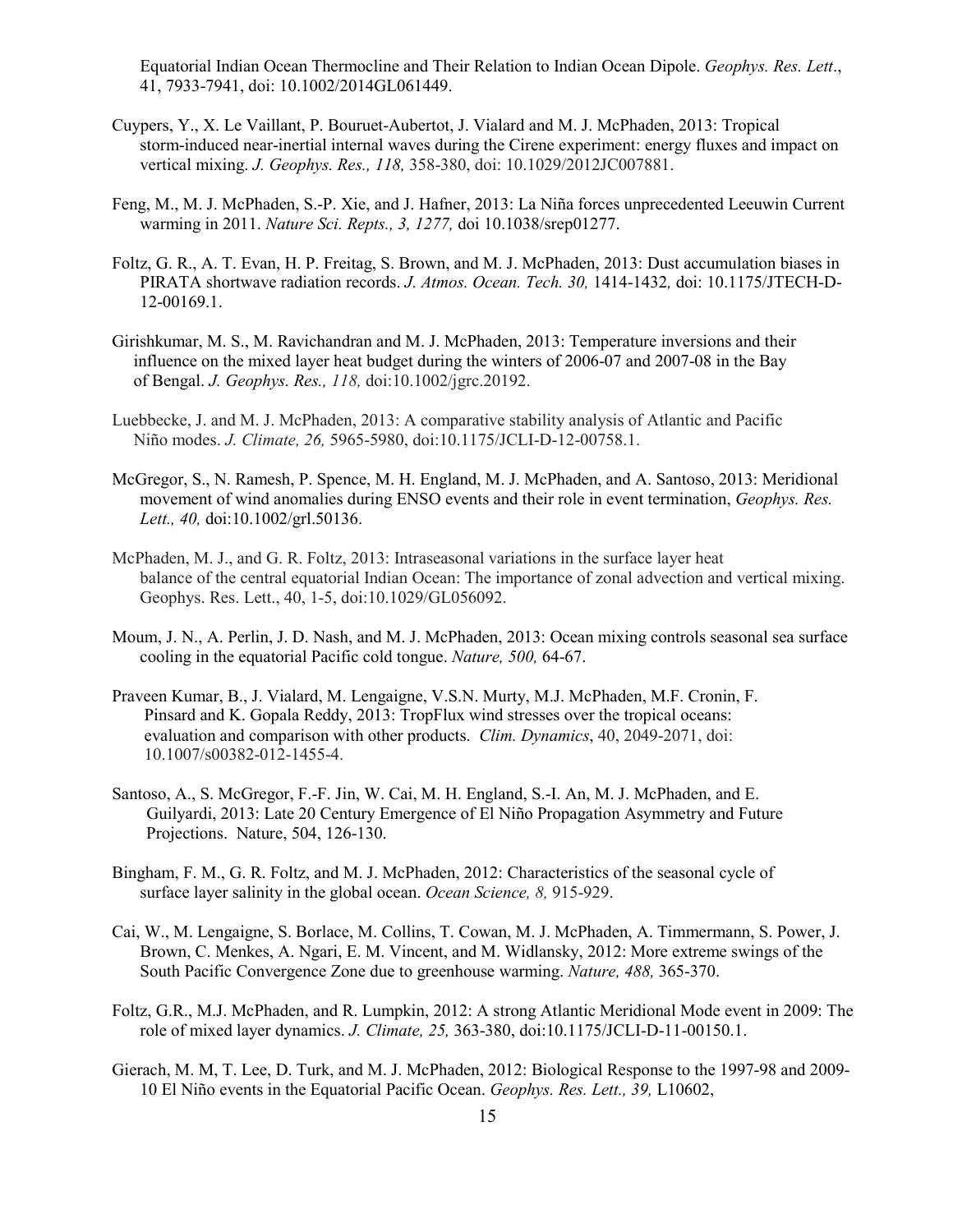Equatorial Indian Ocean Thermocline and Their Relation to Indian Ocean Dipole. *Geophys. Res. Lett*., 41, 7933-7941, doi: 10.1002/2014GL061449.

- Cuypers, Y., X. Le Vaillant, P. Bouruet-Aubertot, J. Vialard and M. J. McPhaden, 2013: Tropical storm-induced near-inertial internal waves during the Cirene experiment: energy fluxes and impact on vertical mixing. *J. Geophys. Res., 118,* 358-380, doi: 10.1029/2012JC007881.
- Feng, M., M. J. McPhaden, S.-P. Xie, and J. Hafner, 2013: La Niña forces unprecedented Leeuwin Current warming in 2011. *Nature Sci. Repts., 3, 1277,* doi 10.1038/srep01277.
- Foltz, G. R., A. T. Evan, H. P. Freitag, S. Brown, and M. J. McPhaden, 2013: Dust accumulation biases in PIRATA shortwave radiation records. *J. Atmos. Ocean. Tech. 30,* 1414-1432*,* doi: 10.1175/JTECH-D-12-00169.1.
- Girishkumar, M. S., M. Ravichandran and M. J. McPhaden, 2013: Temperature inversions and their influence on the mixed layer heat budget during the winters of 2006-07 and 2007-08 in the Bay of Bengal. *J. Geophys. Res., 118,* doi:10.1002/jgrc.20192.
- Luebbecke, J. and M. J. McPhaden, 2013: A comparative stability analysis of Atlantic and Pacific Niño modes. *J. Climate, 26,* 5965-5980, doi:10.1175/JCLI-D-12-00758.1.
- McGregor, S., N. Ramesh, P. Spence, M. H. England, M. J. McPhaden, and A. Santoso, 2013: Meridional movement of wind anomalies during ENSO events and their role in event termination, *Geophys. Res. Lett., 40,* doi:10.1002/grl.50136.
- McPhaden, M. J., and G. R. Foltz, 2013: Intraseasonal variations in the surface layer heat balance of the central equatorial Indian Ocean: The importance of zonal advection and vertical mixing. Geophys. Res. Lett., 40, 1-5, doi:10.1029/GL056092.
- Moum, J. N., A. Perlin, J. D. Nash, and M. J. McPhaden, 2013: Ocean mixing controls seasonal sea surface cooling in the equatorial Pacific cold tongue. *Nature, 500,* 64-67.
- Praveen Kumar, B., J. Vialard, M. Lengaigne, V.S.N. Murty, M.J. McPhaden, M.F. Cronin, F. Pinsard and K. Gopala Reddy, 2013: TropFlux wind stresses over the tropical oceans: evaluation and comparison with other products. *Clim. Dynamics*, 40, 2049-2071, doi: 10.1007/s00382-012-1455-4.
- Santoso, A., S. McGregor, F.-F. Jin, W. Cai, M. H. England, S.-I. An, M. J. McPhaden, and E. Guilyardi, 2013: Late 20 Century Emergence of El Niño Propagation Asymmetry and Future Projections. Nature, 504, 126-130.
- Bingham, F. M., G. R. Foltz, and M. J. McPhaden, 2012: Characteristics of the seasonal cycle of surface layer salinity in the global ocean. *Ocean Science, 8,* 915-929.
- Cai, W., M. Lengaigne, S. Borlace, M. Collins, T. Cowan, M. J. McPhaden, A. Timmermann, S. Power, J. Brown, C. Menkes, A. Ngari, E. M. Vincent, and M. Widlansky, 2012: More extreme swings of the South Pacific Convergence Zone due to greenhouse warming. *Nature, 488,* 365-370.
- Foltz, G.R., M.J. McPhaden, and R. Lumpkin, 2012: A strong Atlantic Meridional Mode event in 2009: The role of mixed layer dynamics. *J. Climate, 25,* 363-380, doi:10.1175/JCLI-D-11-00150.1.
- Gierach, M. M, T. Lee, D. Turk, and M. J. McPhaden, 2012: Biological Response to the 1997-98 and 2009- 10 El Niño events in the Equatorial Pacific Ocean. *Geophys. Res. Lett., 39,* L10602,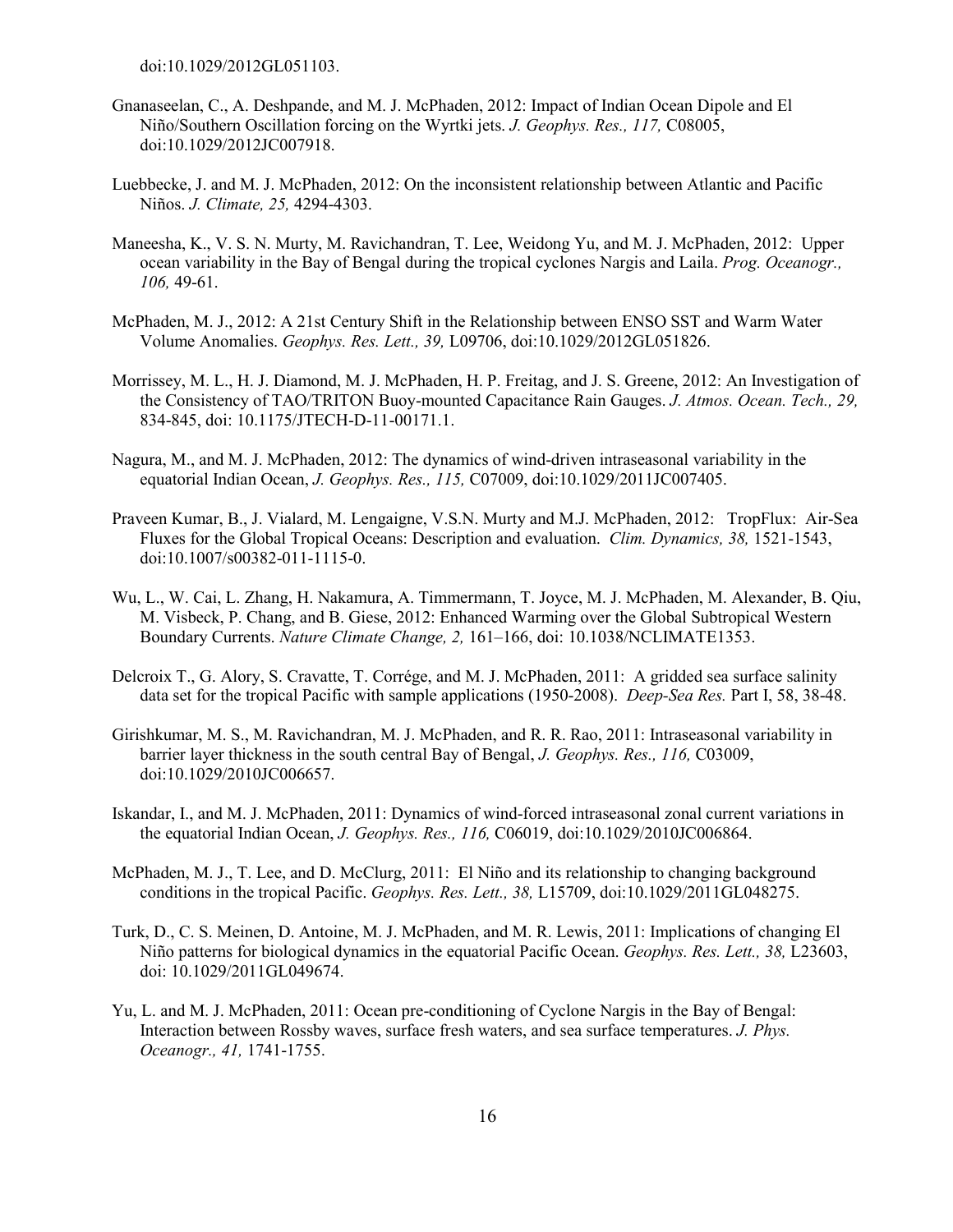doi:10.1029/2012GL051103.

- Gnanaseelan, C., A. Deshpande, and M. J. McPhaden, 2012: Impact of Indian Ocean Dipole and El Niño/Southern Oscillation forcing on the Wyrtki jets. *J. Geophys. Res., 117,* C08005, doi:10.1029/2012JC007918.
- Luebbecke, J. and M. J. McPhaden, 2012: On the inconsistent relationship between Atlantic and Pacific Niños. *J. Climate, 25,* 4294-4303.
- Maneesha, K., V. S. N. Murty, M. Ravichandran, T. Lee, Weidong Yu, and M. J. McPhaden, 2012: Upper ocean variability in the Bay of Bengal during the tropical cyclones Nargis and Laila. *Prog. Oceanogr., 106,* 49-61.
- McPhaden, M. J., 2012: A 21st Century Shift in the Relationship between ENSO SST and Warm Water Volume Anomalies. *Geophys. Res. Lett., 39,* L09706, doi:10.1029/2012GL051826.
- Morrissey, M. L., H. J. Diamond, M. J. McPhaden, H. P. Freitag, and J. S. Greene, 2012: An Investigation of the Consistency of TAO/TRITON Buoy-mounted Capacitance Rain Gauges. *J. Atmos. Ocean. Tech., 29,* 834-845, doi: 10.1175/JTECH-D-11-00171.1.
- Nagura, M., and M. J. McPhaden, 2012: The dynamics of wind-driven intraseasonal variability in the equatorial Indian Ocean, *J. Geophys. Res., 115,* C07009, doi:10.1029/2011JC007405.
- Praveen Kumar, B., J. Vialard, M. Lengaigne, V.S.N. Murty and M.J. McPhaden, 2012: TropFlux: Air-Sea Fluxes for the Global Tropical Oceans: Description and evaluation. *Clim. Dynamics, 38,* 1521-1543, doi:10.1007/s00382-011-1115-0.
- Wu, L., W. Cai, L. Zhang, H. Nakamura, A. Timmermann, T. Joyce, M. J. McPhaden, M. Alexander, B. Qiu, M. Visbeck, P. Chang, and B. Giese, 2012: Enhanced Warming over the Global Subtropical Western Boundary Currents. *Nature Climate Change, 2,* 161–166, doi: 10.1038/NCLIMATE1353.
- Delcroix T., G. Alory, S. Cravatte, T. Corrége, and M. J. McPhaden, 2011: A gridded sea surface salinity data set for the tropical Pacific with sample applications (1950-2008). *Deep-Sea Res.* Part I, 58, 38-48.
- Girishkumar, M. S., M. Ravichandran, M. J. McPhaden, and R. R. Rao, 2011: Intraseasonal variability in barrier layer thickness in the south central Bay of Bengal, *J. Geophys. Res., 116,* C03009, doi:10.1029/2010JC006657.
- Iskandar, I., and M. J. McPhaden, 2011: Dynamics of wind-forced intraseasonal zonal current variations in the equatorial Indian Ocean, *J. Geophys. Res., 116,* C06019, doi:10.1029/2010JC006864.
- McPhaden, M. J., T. Lee, and D. McClurg, 2011: El Niño and its relationship to changing background conditions in the tropical Pacific. *Geophys. Res. Lett., 38,* L15709, doi:10.1029/2011GL048275.
- Turk, D., C. S. Meinen, D. Antoine, M. J. McPhaden, and M. R. Lewis, 2011: Implications of changing El Niño patterns for biological dynamics in the equatorial Pacific Ocean. *Geophys. Res. Lett., 38,* L23603, doi: 10.1029/2011GL049674.
- Yu, L. and M. J. McPhaden, 2011: Ocean pre-conditioning of Cyclone Nargis in the Bay of Bengal: Interaction between Rossby waves, surface fresh waters, and sea surface temperatures. *J. Phys. Oceanogr., 41,* 1741-1755.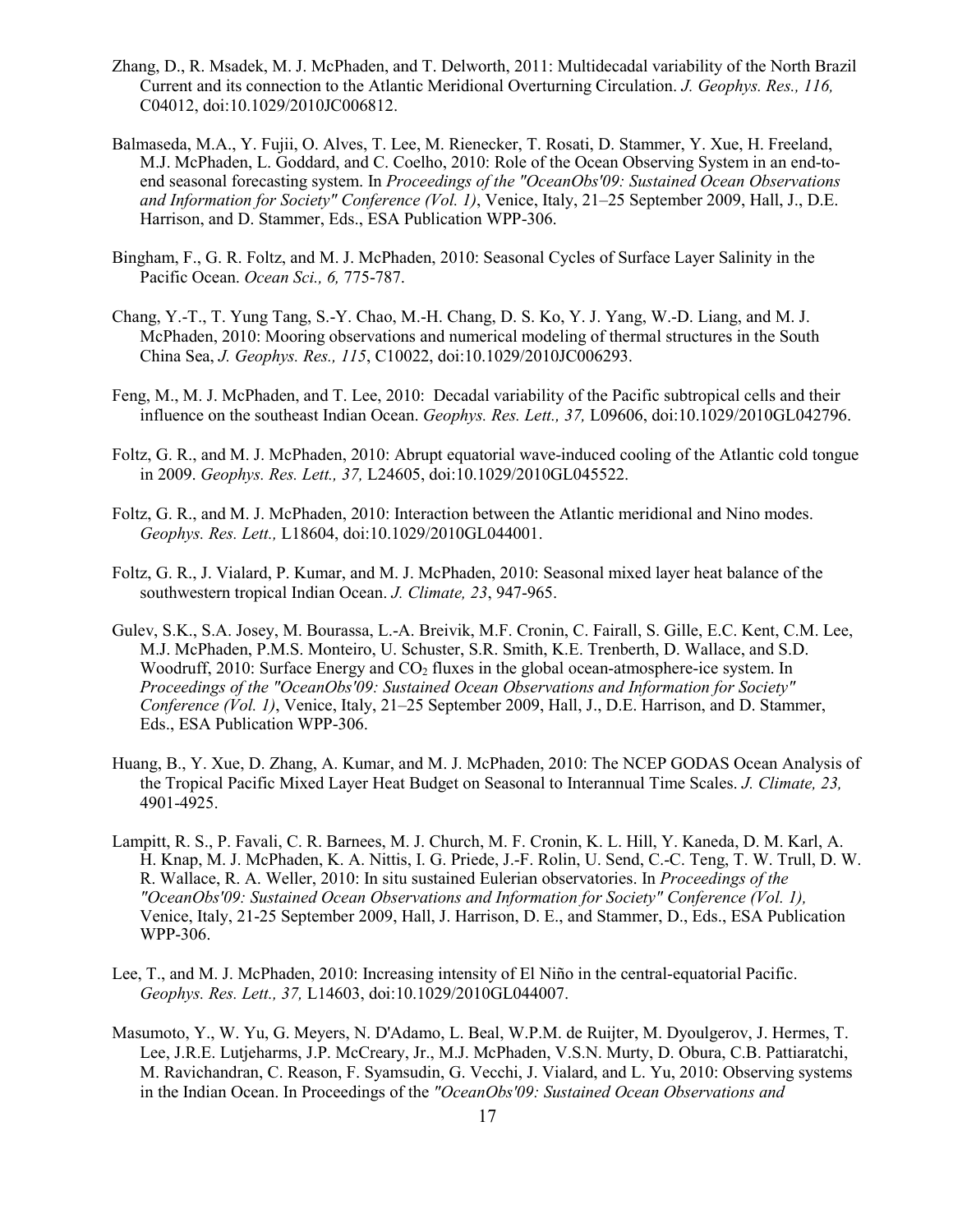- Zhang, D., R. Msadek, M. J. McPhaden, and T. Delworth, 2011: Multidecadal variability of the North Brazil Current and its connection to the Atlantic Meridional Overturning Circulation. *J. Geophys. Res., 116,*  C04012, doi:10.1029/2010JC006812.
- Balmaseda, M.A., Y. Fujii, O. Alves, T. Lee, M. Rienecker, T. Rosati, D. Stammer, Y. Xue, H. Freeland, M.J. McPhaden, L. Goddard, and C. Coelho, 2010: Role of the Ocean Observing System in an end-toend seasonal forecasting system. In *Proceedings of the "OceanObs'09: Sustained Ocean Observations and Information for Society" Conference (Vol. 1)*, Venice, Italy, 21–25 September 2009, Hall, J., D.E. Harrison, and D. Stammer, Eds., ESA Publication WPP-306.
- Bingham, F., G. R. Foltz, and M. J. McPhaden, 2010: Seasonal Cycles of Surface Layer Salinity in the Pacific Ocean. *Ocean Sci., 6,* 775-787.
- Chang, Y.-T., T. Yung Tang, S.-Y. Chao, M.-H. Chang, D. S. Ko, Y. J. Yang, W.-D. Liang, and M. J. McPhaden, 2010: Mooring observations and numerical modeling of thermal structures in the South China Sea, *J. Geophys. Res., 115*, C10022, doi:10.1029/2010JC006293.
- Feng, M., M. J. McPhaden, and T. Lee, 2010: Decadal variability of the Pacific subtropical cells and their influence on the southeast Indian Ocean. *Geophys. Res. Lett., 37,* L09606, doi:10.1029/2010GL042796.
- Foltz, G. R., and M. J. McPhaden, 2010: Abrupt equatorial wave-induced cooling of the Atlantic cold tongue in 2009. *Geophys. Res. Lett., 37,* L24605, doi:10.1029/2010GL045522.
- Foltz, G. R., and M. J. McPhaden, 2010: Interaction between the Atlantic meridional and Nino modes. *Geophys. Res. Lett.,* L18604, doi:10.1029/2010GL044001.
- Foltz, G. R., J. Vialard, P. Kumar, and M. J. McPhaden, 2010: Seasonal mixed layer heat balance of the southwestern tropical Indian Ocean. *J. Climate, 23*, 947-965.
- Gulev, S.K., S.A. Josey, M. Bourassa, L.-A. Breivik, M.F. Cronin, C. Fairall, S. Gille, E.C. Kent, C.M. Lee, M.J. McPhaden, P.M.S. Monteiro, U. Schuster, S.R. Smith, K.E. Trenberth, D. Wallace, and S.D. Woodruff, 2010: Surface Energy and  $CO<sub>2</sub>$  fluxes in the global ocean-atmosphere-ice system. In *Proceedings of the "OceanObs'09: Sustained Ocean Observations and Information for Society" Conference (Vol. 1)*, Venice, Italy, 21–25 September 2009, Hall, J., D.E. Harrison, and D. Stammer, Eds., ESA Publication WPP-306.
- Huang, B., Y. Xue, D. Zhang, A. Kumar, and M. J. McPhaden, 2010: The NCEP GODAS Ocean Analysis of the Tropical Pacific Mixed Layer Heat Budget on Seasonal to Interannual Time Scales. *J. Climate, 23,* 4901-4925.
- Lampitt, R. S., P. Favali, C. R. Barnees, M. J. Church, M. F. Cronin, K. L. Hill, Y. Kaneda, D. M. Karl, A. H. Knap, M. J. McPhaden, K. A. Nittis, I. G. Priede, J.-F. Rolin, U. Send, C.-C. Teng, T. W. Trull, D. W. R. Wallace, R. A. Weller, 2010: In situ sustained Eulerian observatories. In *Proceedings of the "OceanObs'09: Sustained Ocean Observations and Information for Society" Conference (Vol. 1),* Venice, Italy, 21-25 September 2009, Hall, J. Harrison, D. E., and Stammer, D., Eds., ESA Publication WPP-306.
- Lee, T., and M. J. McPhaden, 2010: Increasing intensity of El Niño in the central-equatorial Pacific. *Geophys. Res. Lett., 37,* L14603, doi:10.1029/2010GL044007.
- Masumoto, Y., W. Yu, G. Meyers, N. D'Adamo, L. Beal, W.P.M. de Ruijter, M. Dyoulgerov, J. Hermes, T. Lee, J.R.E. Lutjeharms, J.P. McCreary, Jr., M.J. McPhaden, V.S.N. Murty, D. Obura, C.B. Pattiaratchi, M. Ravichandran, C. Reason, F. Syamsudin, G. Vecchi, J. Vialard, and L. Yu, 2010: Observing systems in the Indian Ocean. In Proceedings of the *"OceanObs'09: Sustained Ocean Observations and*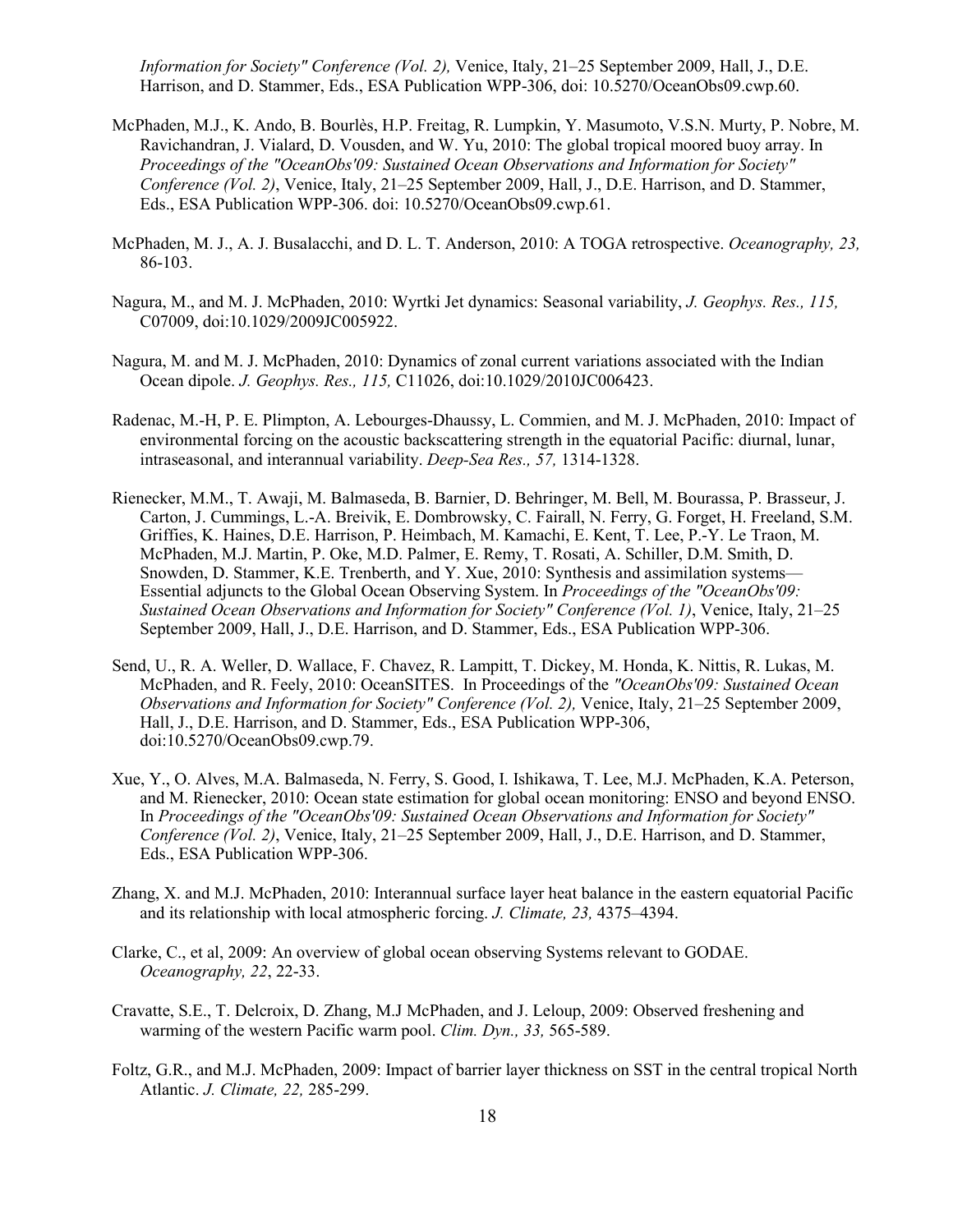*Information for Society" Conference (Vol. 2),* Venice, Italy, 21–25 September 2009, Hall, J., D.E. Harrison, and D. Stammer, Eds., ESA Publication WPP-306, doi: 10.5270/OceanObs09.cwp.60.

- McPhaden, M.J., K. Ando, B. Bourlès, H.P. Freitag, R. Lumpkin, Y. Masumoto, V.S.N. Murty, P. Nobre, M. Ravichandran, J. Vialard, D. Vousden, and W. Yu, 2010: The global tropical moored buoy array. In *Proceedings of the "OceanObs'09: Sustained Ocean Observations and Information for Society" Conference (Vol. 2)*, Venice, Italy, 21–25 September 2009, Hall, J., D.E. Harrison, and D. Stammer, Eds., ESA Publication WPP-306. doi: 10.5270/OceanObs09.cwp.61.
- McPhaden, M. J., A. J. Busalacchi, and D. L. T. Anderson, 2010: A TOGA retrospective. *Oceanography, 23,* 86-103.
- Nagura, M., and M. J. McPhaden, 2010: Wyrtki Jet dynamics: Seasonal variability, *J. Geophys. Res., 115,* C07009, doi:10.1029/2009JC005922.
- Nagura, M. and M. J. McPhaden, 2010: Dynamics of zonal current variations associated with the Indian Ocean dipole. *J. Geophys. Res., 115,* C11026, doi:10.1029/2010JC006423.
- Radenac, M.-H, P. E. Plimpton, A. Lebourges-Dhaussy, L. Commien, and M. J. McPhaden, 2010: Impact of environmental forcing on the acoustic backscattering strength in the equatorial Pacific: diurnal, lunar, intraseasonal, and interannual variability. *Deep-Sea Res., 57,* 1314-1328.
- Rienecker, M.M., T. Awaji, M. Balmaseda, B. Barnier, D. Behringer, M. Bell, M. Bourassa, P. Brasseur, J. Carton, J. Cummings, L.-A. Breivik, E. Dombrowsky, C. Fairall, N. Ferry, G. Forget, H. Freeland, S.M. Griffies, K. Haines, D.E. Harrison, P. Heimbach, M. Kamachi, E. Kent, T. Lee, P.-Y. Le Traon, M. McPhaden, M.J. Martin, P. Oke, M.D. Palmer, E. Remy, T. Rosati, A. Schiller, D.M. Smith, D. Snowden, D. Stammer, K.E. Trenberth, and Y. Xue, 2010: Synthesis and assimilation systems— Essential adjuncts to the Global Ocean Observing System. In *Proceedings of the "OceanObs'09: Sustained Ocean Observations and Information for Society" Conference (Vol. 1)*, Venice, Italy, 21–25 September 2009, Hall, J., D.E. Harrison, and D. Stammer, Eds., ESA Publication WPP-306.
- Send, U., R. A. Weller, D. Wallace, F. Chavez, R. Lampitt, T. Dickey, M. Honda, K. Nittis, R. Lukas, M. McPhaden, and R. Feely, 2010: OceanSITES. In Proceedings of the *"OceanObs'09: Sustained Ocean Observations and Information for Society" Conference (Vol. 2),* Venice, Italy, 21–25 September 2009, Hall, J., D.E. Harrison, and D. Stammer, Eds., ESA Publication WPP-306, doi:10.5270/OceanObs09.cwp.79.
- Xue, Y., O. Alves, M.A. Balmaseda, N. Ferry, S. Good, I. Ishikawa, T. Lee, M.J. McPhaden, K.A. Peterson, and M. Rienecker, 2010: Ocean state estimation for global ocean monitoring: ENSO and beyond ENSO. In *Proceedings of the "OceanObs'09: Sustained Ocean Observations and Information for Society" Conference (Vol. 2)*, Venice, Italy, 21–25 September 2009, Hall, J., D.E. Harrison, and D. Stammer, Eds., ESA Publication WPP-306.
- Zhang, X. and M.J. McPhaden, 2010: Interannual surface layer heat balance in the eastern equatorial Pacific and its relationship with local atmospheric forcing. *J. Climate, 23,* 4375–4394.
- Clarke, C., et al, 2009: An overview of global ocean observing Systems relevant to GODAE. *Oceanography, 22*, 22-33.
- Cravatte, S.E., T. Delcroix, D. Zhang, M.J McPhaden, and J. Leloup, 2009: Observed freshening and warming of the western Pacific warm pool. *Clim. Dyn., 33,* 565-589.
- Foltz, G.R., and M.J. McPhaden, 2009: Impact of barrier layer thickness on SST in the central tropical North Atlantic. *J. Climate, 22,* 285-299.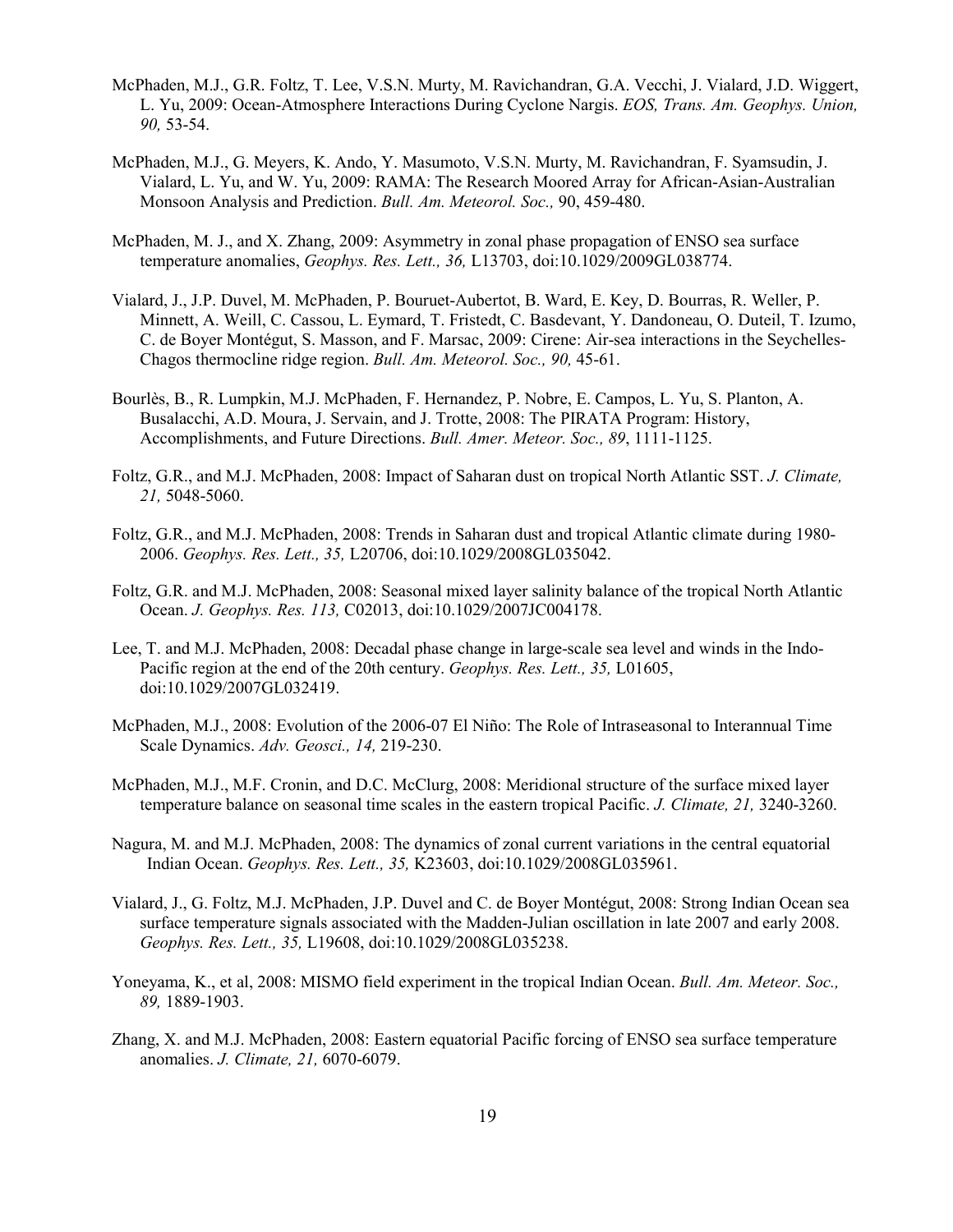- McPhaden, M.J., G.R. Foltz, T. Lee, V.S.N. Murty, M. Ravichandran, G.A. Vecchi, J. Vialard, J.D. Wiggert, L. Yu, 2009: Ocean-Atmosphere Interactions During Cyclone Nargis. *EOS, Trans. Am. Geophys. Union, 90,* 53-54.
- McPhaden, M.J., G. Meyers, K. Ando, Y. Masumoto, V.S.N. Murty, M. Ravichandran, F. Syamsudin, J. Vialard, L. Yu, and W. Yu, 2009: RAMA: The Research Moored Array for African-Asian-Australian Monsoon Analysis and Prediction. *Bull. Am. Meteorol. Soc.,* 90, 459-480.
- McPhaden, M. J., and X. Zhang, 2009: Asymmetry in zonal phase propagation of ENSO sea surface temperature anomalies, *Geophys. Res. Lett., 36,* L13703, doi:10.1029/2009GL038774.
- Vialard, J., J.P. Duvel, M. McPhaden, P. Bouruet-Aubertot, B. Ward, E. Key, D. Bourras, R. Weller, P. Minnett, A. Weill, C. Cassou, L. Eymard, T. Fristedt, C. Basdevant, Y. Dandoneau, O. Duteil, T. Izumo, C. de Boyer Montégut, S. Masson, and F. Marsac, 2009: Cirene: Air-sea interactions in the Seychelles-Chagos thermocline ridge region. *Bull. Am. Meteorol. Soc., 90,* 45-61.
- Bourlès, B., R. Lumpkin, M.J. McPhaden, F. Hernandez, P. Nobre, E. Campos, L. Yu, S. Planton, A. Busalacchi, A.D. Moura, J. Servain, and J. Trotte, 2008: The PIRATA Program: History, Accomplishments, and Future Directions. *Bull. Amer. Meteor. Soc., 89*, 1111-1125.
- Foltz, G.R., and M.J. McPhaden, 2008: Impact of Saharan dust on tropical North Atlantic SST. *J. Climate, 21,* 5048-5060.
- Foltz, G.R., and M.J. McPhaden, 2008: Trends in Saharan dust and tropical Atlantic climate during 1980- 2006. *Geophys. Res. Lett., 35,* L20706, doi:10.1029/2008GL035042.
- Foltz, G.R. and M.J. McPhaden, 2008: Seasonal mixed layer salinity balance of the tropical North Atlantic Ocean. *J. Geophys. Res. 113,* C02013, doi:10.1029/2007JC004178.
- Lee, T. and M.J. McPhaden, 2008: Decadal phase change in large-scale sea level and winds in the Indo-Pacific region at the end of the 20th century. *Geophys. Res. Lett., 35,* L01605, doi:10.1029/2007GL032419.
- McPhaden, M.J., 2008: Evolution of the 2006-07 El Niño: The Role of Intraseasonal to Interannual Time Scale Dynamics. *Adv. Geosci., 14,* 219-230.
- McPhaden, M.J., M.F. Cronin, and D.C. McClurg, 2008: Meridional structure of the surface mixed layer temperature balance on seasonal time scales in the eastern tropical Pacific. *J. Climate, 21,* 3240-3260.
- Nagura, M. and M.J. McPhaden, 2008: The dynamics of zonal current variations in the central equatorial Indian Ocean. *Geophys. Res. Lett., 35,* K23603, doi:10.1029/2008GL035961.
- Vialard, J., G. Foltz, M.J. McPhaden, J.P. Duvel and C. de Boyer Montégut, 2008: Strong Indian Ocean sea surface temperature signals associated with the Madden-Julian oscillation in late 2007 and early 2008. *Geophys. Res. Lett., 35,* L19608, doi:10.1029/2008GL035238.
- Yoneyama, K., et al, 2008: MISMO field experiment in the tropical Indian Ocean. *Bull. Am. Meteor. Soc., 89,* 1889-1903.
- Zhang, X. and M.J. McPhaden, 2008: Eastern equatorial Pacific forcing of ENSO sea surface temperature anomalies. *J. Climate, 21,* 6070-6079.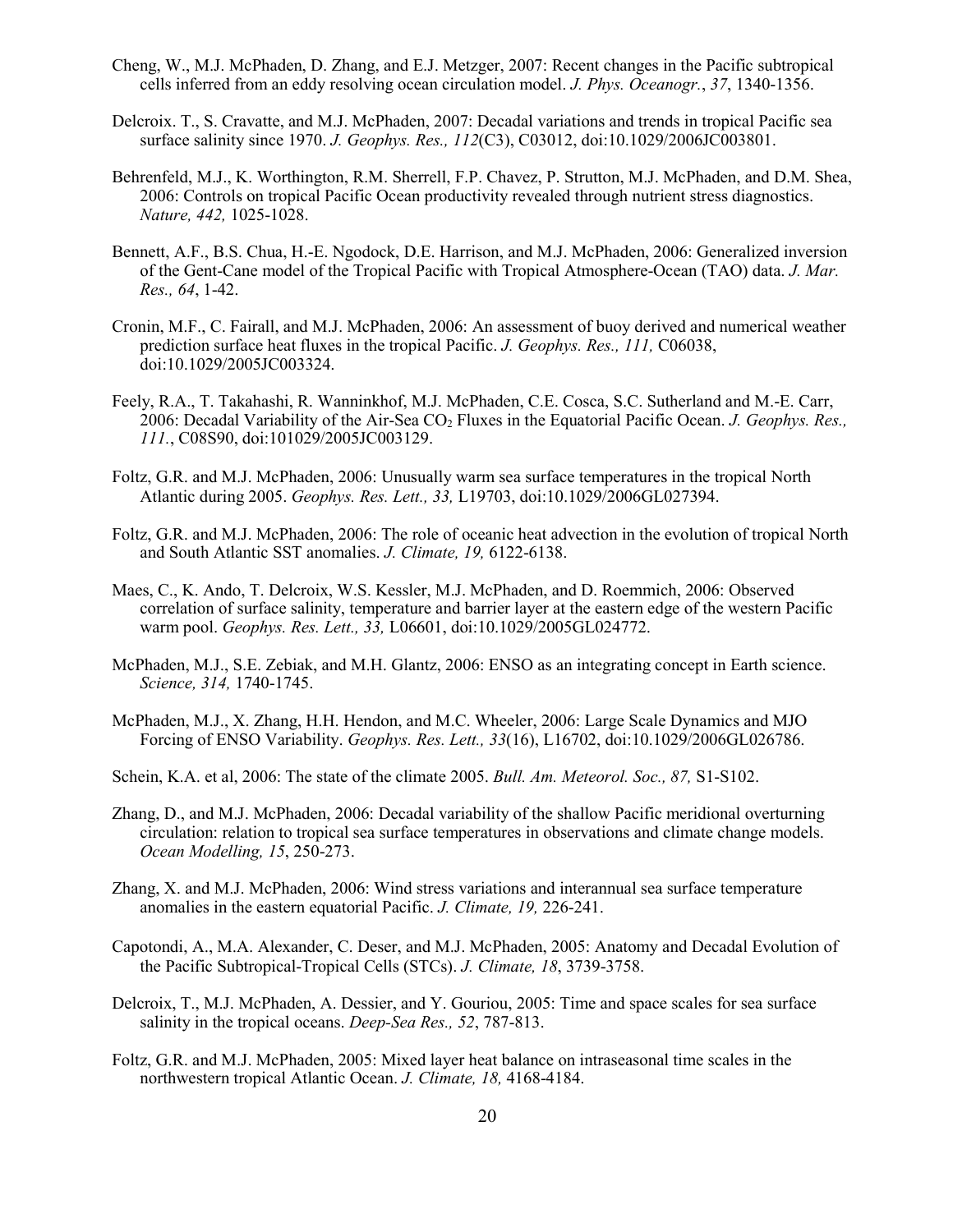- Cheng, W., M.J. McPhaden, D. Zhang, and E.J. Metzger, 2007: Recent changes in the Pacific subtropical cells inferred from an eddy resolving ocean circulation model. *J. Phys. Oceanogr.*, *37*, 1340-1356.
- Delcroix. T., S. Cravatte, and M.J. McPhaden, 2007: Decadal variations and trends in tropical Pacific sea surface salinity since 1970. *J. Geophys. Res., 112*(C3), C03012, doi:10.1029/2006JC003801.
- Behrenfeld, M.J., K. Worthington, R.M. Sherrell, F.P. Chavez, P. Strutton, M.J. McPhaden, and D.M. Shea, 2006: Controls on tropical Pacific Ocean productivity revealed through nutrient stress diagnostics. *Nature, 442,* 1025-1028.
- Bennett, A.F., B.S. Chua, H.-E. Ngodock, D.E. Harrison, and M.J. McPhaden, 2006: Generalized inversion of the Gent-Cane model of the Tropical Pacific with Tropical Atmosphere-Ocean (TAO) data. *J. Mar. Res., 64*, 1-42.
- Cronin, M.F., C. Fairall, and M.J. McPhaden, 2006: An assessment of buoy derived and numerical weather prediction surface heat fluxes in the tropical Pacific. *J. Geophys. Res., 111,* C06038, doi:10.1029/2005JC003324.
- Feely, R.A., T. Takahashi, R. Wanninkhof, M.J. McPhaden, C.E. Cosca, S.C. Sutherland and M.-E. Carr, 2006: Decadal Variability of the Air-Sea CO2 Fluxes in the Equatorial Pacific Ocean. *J. Geophys. Res., 111.*, C08S90, doi:101029/2005JC003129.
- Foltz, G.R. and M.J. McPhaden, 2006: Unusually warm sea surface temperatures in the tropical North Atlantic during 2005. *Geophys. Res. Lett., 33,* L19703, doi:10.1029/2006GL027394.
- Foltz, G.R. and M.J. McPhaden, 2006: The role of oceanic heat advection in the evolution of tropical North and South Atlantic SST anomalies. *J. Climate, 19,* 6122-6138.
- Maes, C., K. Ando, T. Delcroix, W.S. Kessler, M.J. McPhaden, and D. Roemmich, 2006: Observed correlation of surface salinity, temperature and barrier layer at the eastern edge of the western Pacific warm pool. *Geophys. Res. Lett., 33,* L06601, doi:10.1029/2005GL024772.
- McPhaden, M.J., S.E. Zebiak, and M.H. Glantz, 2006: ENSO as an integrating concept in Earth science. *Science, 314,* 1740-1745.
- McPhaden, M.J., X. Zhang, H.H. Hendon, and M.C. Wheeler, 2006: Large Scale Dynamics and MJO Forcing of ENSO Variability. *Geophys. Res. Lett., 33*(16), L16702, doi:10.1029/2006GL026786.
- Schein, K.A. et al, 2006: The state of the climate 2005. *Bull. Am. Meteorol. Soc., 87,* S1-S102.
- Zhang, D., and M.J. McPhaden, 2006: Decadal variability of the shallow Pacific meridional overturning circulation: relation to tropical sea surface temperatures in observations and climate change models. *Ocean Modelling, 15*, 250-273.
- Zhang, X. and M.J. McPhaden, 2006: Wind stress variations and interannual sea surface temperature anomalies in the eastern equatorial Pacific. *J. Climate, 19,* 226-241.
- Capotondi, A., M.A. Alexander, C. Deser, and M.J. McPhaden, 2005: Anatomy and Decadal Evolution of the Pacific Subtropical-Tropical Cells (STCs). *J. Climate, 18*, 3739-3758.
- Delcroix, T., M.J. McPhaden, A. Dessier, and Y. Gouriou, 2005: Time and space scales for sea surface salinity in the tropical oceans. *Deep-Sea Res., 52*, 787-813.
- Foltz, G.R. and M.J. McPhaden, 2005: Mixed layer heat balance on intraseasonal time scales in the northwestern tropical Atlantic Ocean. *J. Climate, 18,* 4168-4184.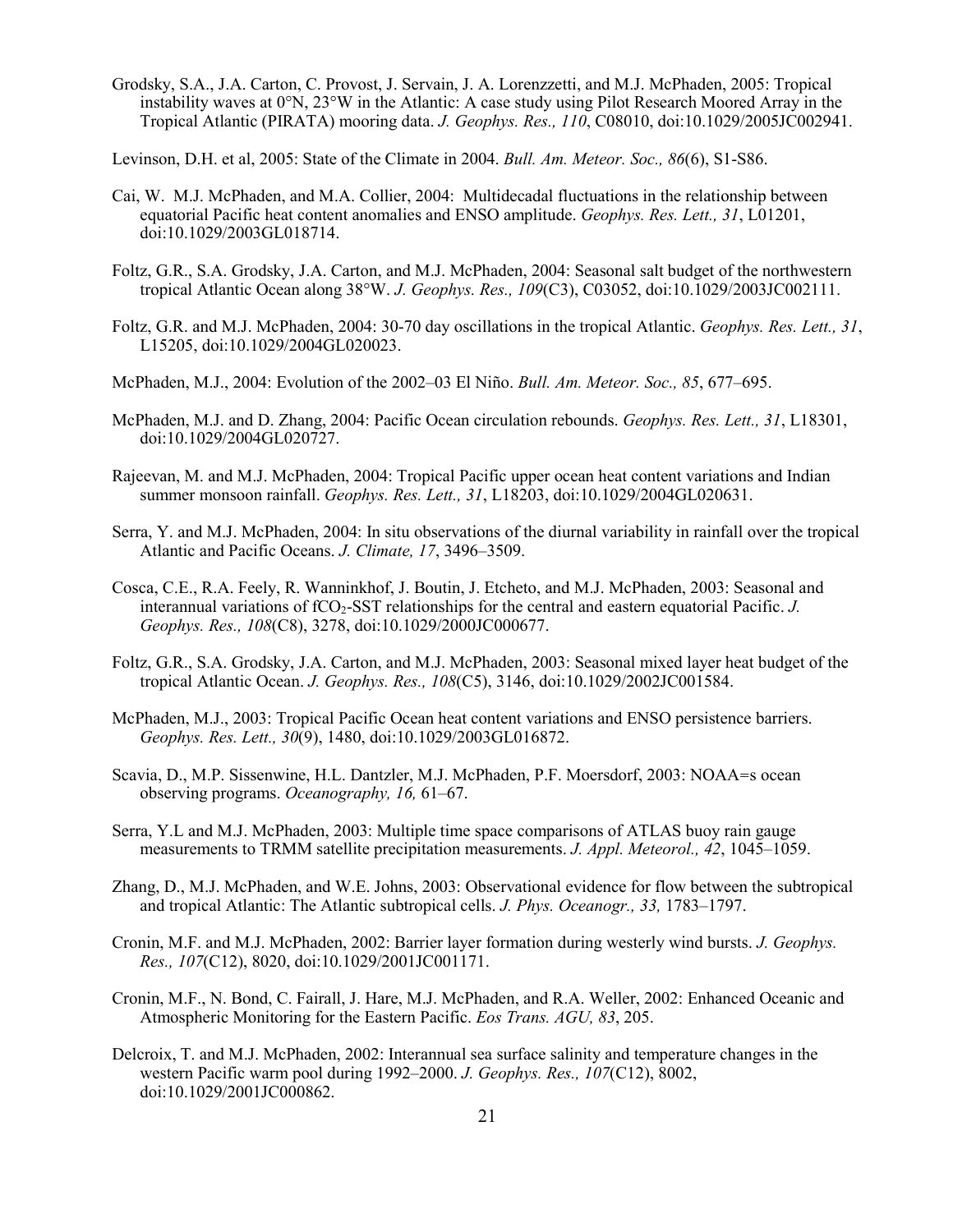Grodsky, S.A., J.A. Carton, C. Provost, J. Servain, J. A. Lorenzzetti, and M.J. McPhaden, 2005: Tropical instability waves at 0°N, 23°W in the Atlantic: A case study using Pilot Research Moored Array in the Tropical Atlantic (PIRATA) mooring data. *J. Geophys. Res., 110*, C08010, doi:10.1029/2005JC002941.

Levinson, D.H. et al, 2005: State of the Climate in 2004. *Bull. Am. Meteor. Soc., 86*(6), S1-S86.

- Cai, W. M.J. McPhaden, and M.A. Collier, 2004: Multidecadal fluctuations in the relationship between equatorial Pacific heat content anomalies and ENSO amplitude. *Geophys. Res. Lett., 31*, L01201, doi:10.1029/2003GL018714.
- Foltz, G.R., S.A. Grodsky, J.A. Carton, and M.J. McPhaden, 2004: Seasonal salt budget of the northwestern tropical Atlantic Ocean along 38°W. *J. Geophys. Res., 109*(C3), C03052, doi:10.1029/2003JC002111.
- Foltz, G.R. and M.J. McPhaden, 2004: 30-70 day oscillations in the tropical Atlantic. *Geophys. Res. Lett., 31*, L15205, doi:10.1029/2004GL020023.
- McPhaden, M.J., 2004: Evolution of the 2002–03 El Niño. *Bull. Am. Meteor. Soc., 85*, 677–695.
- McPhaden, M.J. and D. Zhang, 2004: Pacific Ocean circulation rebounds. *Geophys. Res. Lett., 31*, L18301, doi:10.1029/2004GL020727.
- Rajeevan, M. and M.J. McPhaden, 2004: Tropical Pacific upper ocean heat content variations and Indian summer monsoon rainfall. *Geophys. Res. Lett., 31*, L18203, doi:10.1029/2004GL020631.
- Serra, Y. and M.J. McPhaden, 2004: In situ observations of the diurnal variability in rainfall over the tropical Atlantic and Pacific Oceans. *J. Climate, 17*, 3496–3509.
- Cosca, C.E., R.A. Feely, R. Wanninkhof, J. Boutin, J. Etcheto, and M.J. McPhaden, 2003: Seasonal and interannual variations of fCO2-SST relationships for the central and eastern equatorial Pacific. *J. Geophys. Res., 108*(C8), 3278, doi:10.1029/2000JC000677.
- Foltz, G.R., S.A. Grodsky, J.A. Carton, and M.J. McPhaden, 2003: Seasonal mixed layer heat budget of the tropical Atlantic Ocean. *J. Geophys. Res., 108*(C5), 3146, doi:10.1029/2002JC001584.
- McPhaden, M.J., 2003: Tropical Pacific Ocean heat content variations and ENSO persistence barriers. *Geophys. Res. Lett., 30*(9), 1480, doi:10.1029/2003GL016872.
- Scavia, D., M.P. Sissenwine, H.L. Dantzler, M.J. McPhaden, P.F. Moersdorf, 2003: NOAA=s ocean observing programs. *Oceanography, 16,* 61–67.
- Serra, Y.L and M.J. McPhaden, 2003: Multiple time space comparisons of ATLAS buoy rain gauge measurements to TRMM satellite precipitation measurements. *J. Appl. Meteorol., 42*, 1045–1059.
- Zhang, D., M.J. McPhaden, and W.E. Johns, 2003: Observational evidence for flow between the subtropical and tropical Atlantic: The Atlantic subtropical cells. *J. Phys. Oceanogr., 33,* 1783–1797.
- Cronin, M.F. and M.J. McPhaden, 2002: Barrier layer formation during westerly wind bursts. *J. Geophys. Res., 107*(C12), 8020, doi:10.1029/2001JC001171.
- Cronin, M.F., N. Bond, C. Fairall, J. Hare, M.J. McPhaden, and R.A. Weller, 2002: Enhanced Oceanic and Atmospheric Monitoring for the Eastern Pacific. *Eos Trans. AGU, 83*, 205.
- Delcroix, T. and M.J. McPhaden, 2002: Interannual sea surface salinity and temperature changes in the western Pacific warm pool during 1992–2000. *J. Geophys. Res., 107*(C12), 8002, doi:10.1029/2001JC000862.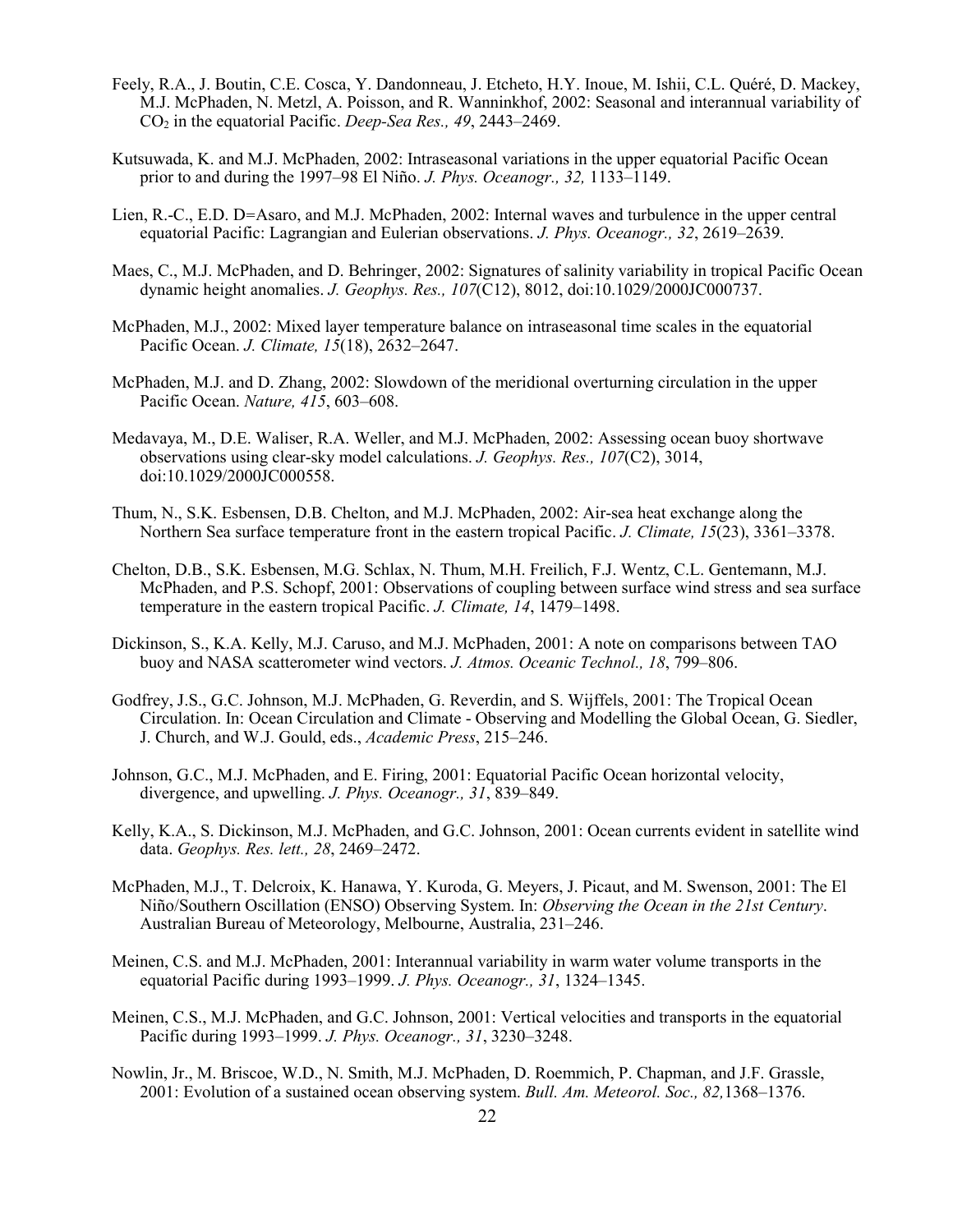- Feely, R.A., J. Boutin, C.E. Cosca, Y. Dandonneau, J. Etcheto, H.Y. Inoue, M. Ishii, C.L. Quéré, D. Mackey, M.J. McPhaden, N. Metzl, A. Poisson, and R. Wanninkhof, 2002: Seasonal and interannual variability of CO2 in the equatorial Pacific. *Deep-Sea Res., 49*, 2443–2469.
- Kutsuwada, K. and M.J. McPhaden, 2002: Intraseasonal variations in the upper equatorial Pacific Ocean prior to and during the 1997–98 El Niño. *J. Phys. Oceanogr., 32,* 1133–1149.
- Lien, R.-C., E.D. D=Asaro, and M.J. McPhaden, 2002: Internal waves and turbulence in the upper central equatorial Pacific: Lagrangian and Eulerian observations. *J. Phys. Oceanogr., 32*, 2619–2639.
- Maes, C., M.J. McPhaden, and D. Behringer, 2002: Signatures of salinity variability in tropical Pacific Ocean dynamic height anomalies. *J. Geophys. Res., 107*(C12), 8012, doi:10.1029/2000JC000737.
- McPhaden, M.J., 2002: Mixed layer temperature balance on intraseasonal time scales in the equatorial Pacific Ocean. *J. Climate, 15*(18), 2632–2647.
- McPhaden, M.J. and D. Zhang, 2002: Slowdown of the meridional overturning circulation in the upper Pacific Ocean. *Nature, 415*, 603–608.
- Medavaya, M., D.E. Waliser, R.A. Weller, and M.J. McPhaden, 2002: Assessing ocean buoy shortwave observations using clear-sky model calculations. *J. Geophys. Res., 107*(C2), 3014, doi:10.1029/2000JC000558.
- Thum, N., S.K. Esbensen, D.B. Chelton, and M.J. McPhaden, 2002: Air-sea heat exchange along the Northern Sea surface temperature front in the eastern tropical Pacific. *J. Climate, 15*(23), 3361–3378.
- Chelton, D.B., S.K. Esbensen, M.G. Schlax, N. Thum, M.H. Freilich, F.J. Wentz, C.L. Gentemann, M.J. McPhaden, and P.S. Schopf, 2001: Observations of coupling between surface wind stress and sea surface temperature in the eastern tropical Pacific. *J. Climate, 14*, 1479–1498.
- Dickinson, S., K.A. Kelly, M.J. Caruso, and M.J. McPhaden, 2001: A note on comparisons between TAO buoy and NASA scatterometer wind vectors. *J. Atmos. Oceanic Technol., 18*, 799–806.
- Godfrey, J.S., G.C. Johnson, M.J. McPhaden, G. Reverdin, and S. Wijffels, 2001: The Tropical Ocean Circulation. In: Ocean Circulation and Climate - Observing and Modelling the Global Ocean, G. Siedler, J. Church, and W.J. Gould, eds., *Academic Press*, 215–246.
- Johnson, G.C., M.J. McPhaden, and E. Firing, 2001: Equatorial Pacific Ocean horizontal velocity, divergence, and upwelling. *J. Phys. Oceanogr., 31*, 839–849.
- Kelly, K.A., S. Dickinson, M.J. McPhaden, and G.C. Johnson, 2001: Ocean currents evident in satellite wind data. *Geophys. Res. lett., 28*, 2469–2472.
- McPhaden, M.J., T. Delcroix, K. Hanawa, Y. Kuroda, G. Meyers, J. Picaut, and M. Swenson, 2001: The El Niño/Southern Oscillation (ENSO) Observing System. In: *Observing the Ocean in the 21st Century*. Australian Bureau of Meteorology, Melbourne, Australia, 231–246.
- Meinen, C.S. and M.J. McPhaden, 2001: Interannual variability in warm water volume transports in the equatorial Pacific during 1993–1999. *J. Phys. Oceanogr., 31*, 1324–1345.
- Meinen, C.S., M.J. McPhaden, and G.C. Johnson, 2001: Vertical velocities and transports in the equatorial Pacific during 1993–1999. *J. Phys. Oceanogr., 31*, 3230–3248.
- Nowlin, Jr., M. Briscoe, W.D., N. Smith, M.J. McPhaden, D. Roemmich, P. Chapman, and J.F. Grassle, 2001: Evolution of a sustained ocean observing system. *Bull. Am. Meteorol. Soc., 82,*1368–1376.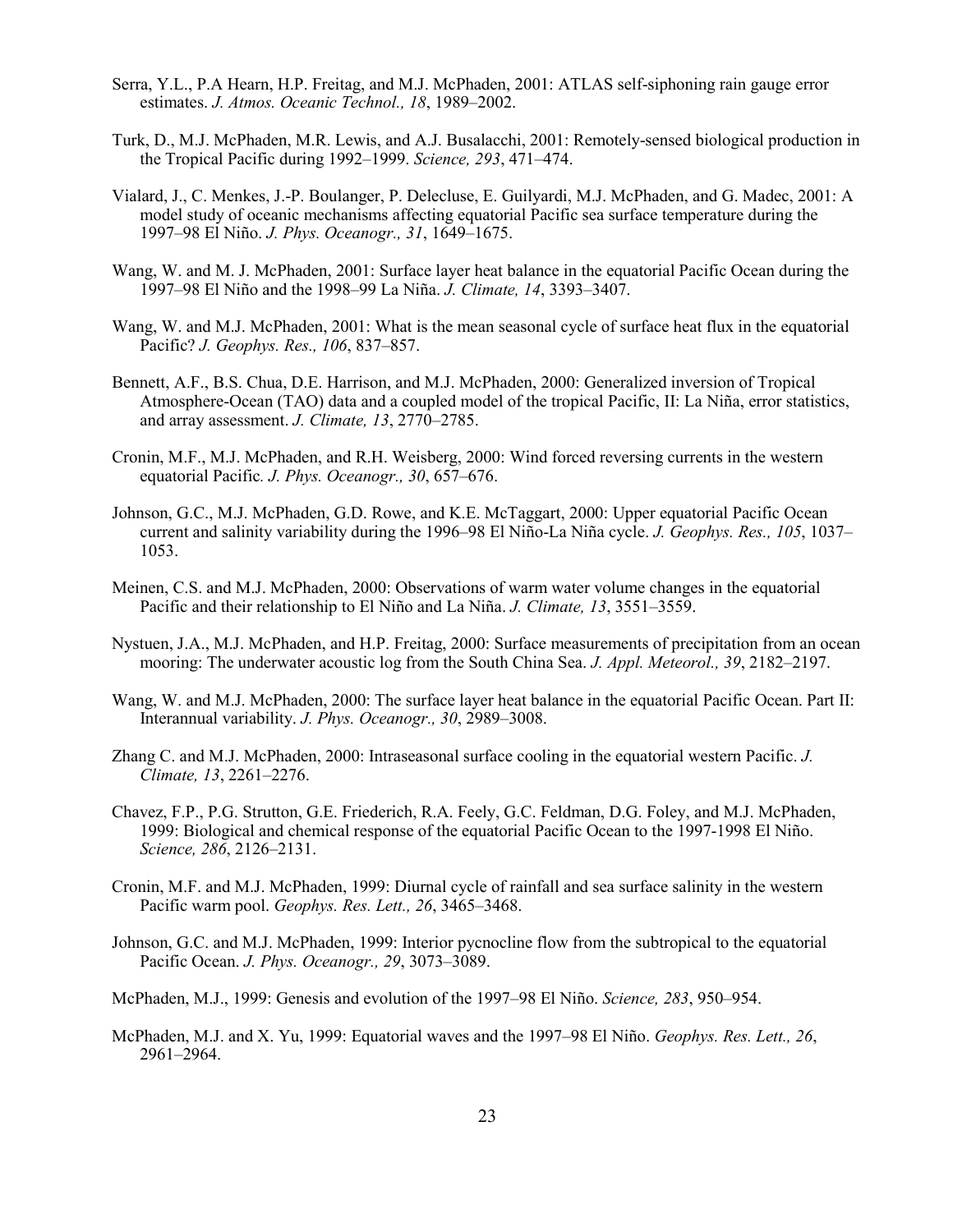- Serra, Y.L., P.A Hearn, H.P. Freitag, and M.J. McPhaden, 2001: ATLAS self-siphoning rain gauge error estimates. *J. Atmos. Oceanic Technol., 18*, 1989–2002.
- Turk, D., M.J. McPhaden, M.R. Lewis, and A.J. Busalacchi, 2001: Remotely-sensed biological production in the Tropical Pacific during 1992–1999. *Science, 293*, 471–474.
- Vialard, J., C. Menkes, J.-P. Boulanger, P. Delecluse, E. Guilyardi, M.J. McPhaden, and G. Madec, 2001: A model study of oceanic mechanisms affecting equatorial Pacific sea surface temperature during the 1997–98 El Niño. *J. Phys. Oceanogr., 31*, 1649–1675.
- Wang, W. and M. J. McPhaden, 2001: Surface layer heat balance in the equatorial Pacific Ocean during the 1997–98 El Niño and the 1998–99 La Niña. *J. Climate, 14*, 3393–3407.
- Wang, W. and M.J. McPhaden, 2001: What is the mean seasonal cycle of surface heat flux in the equatorial Pacific? *J. Geophys. Res., 106*, 837–857.
- Bennett, A.F., B.S. Chua, D.E. Harrison, and M.J. McPhaden, 2000: Generalized inversion of Tropical Atmosphere-Ocean (TAO) data and a coupled model of the tropical Pacific, II: La Niña, error statistics, and array assessment. *J. Climate, 13*, 2770–2785.
- Cronin, M.F., M.J. McPhaden, and R.H. Weisberg, 2000: Wind forced reversing currents in the western equatorial Pacific*. J. Phys. Oceanogr., 30*, 657–676.
- Johnson, G.C., M.J. McPhaden, G.D. Rowe, and K.E. McTaggart, 2000: Upper equatorial Pacific Ocean current and salinity variability during the 1996–98 El Niño-La Niña cycle. *J. Geophys. Res., 105*, 1037– 1053.
- Meinen, C.S. and M.J. McPhaden, 2000: Observations of warm water volume changes in the equatorial Pacific and their relationship to El Niño and La Niña. *J. Climate, 13*, 3551–3559.
- Nystuen, J.A., M.J. McPhaden, and H.P. Freitag, 2000: Surface measurements of precipitation from an ocean mooring: The underwater acoustic log from the South China Sea. *J. Appl. Meteorol., 39*, 2182–2197.
- Wang, W. and M.J. McPhaden, 2000: The surface layer heat balance in the equatorial Pacific Ocean. Part II: Interannual variability. *J. Phys. Oceanogr., 30*, 2989–3008.
- Zhang C. and M.J. McPhaden, 2000: Intraseasonal surface cooling in the equatorial western Pacific. *J. Climate, 13*, 2261–2276.
- Chavez, F.P., P.G. Strutton, G.E. Friederich, R.A. Feely, G.C. Feldman, D.G. Foley, and M.J. McPhaden, 1999: Biological and chemical response of the equatorial Pacific Ocean to the 1997-1998 El Niño. *Science, 286*, 2126–2131.
- Cronin, M.F. and M.J. McPhaden, 1999: Diurnal cycle of rainfall and sea surface salinity in the western Pacific warm pool. *Geophys. Res. Lett., 26*, 3465–3468.
- Johnson, G.C. and M.J. McPhaden, 1999: Interior pycnocline flow from the subtropical to the equatorial Pacific Ocean. *J. Phys. Oceanogr., 29*, 3073–3089.
- McPhaden, M.J., 1999: Genesis and evolution of the 1997–98 El Niño. *Science, 283*, 950–954.
- McPhaden, M.J. and X. Yu, 1999: Equatorial waves and the 1997–98 El Niño. *Geophys. Res. Lett., 26*, 2961–2964.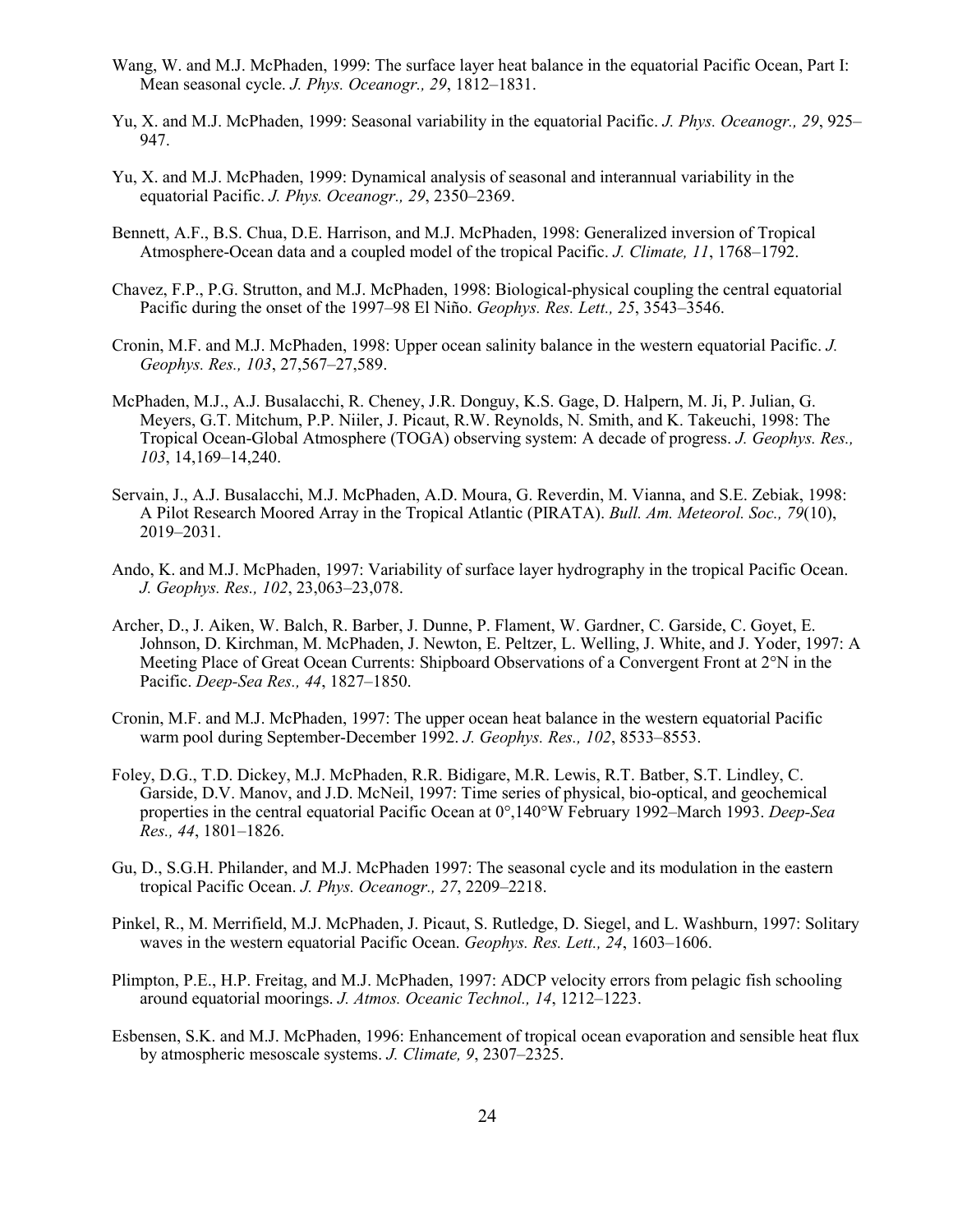- Wang, W. and M.J. McPhaden, 1999: The surface layer heat balance in the equatorial Pacific Ocean, Part I: Mean seasonal cycle. *J. Phys. Oceanogr., 29*, 1812–1831.
- Yu, X. and M.J. McPhaden, 1999: Seasonal variability in the equatorial Pacific. *J. Phys. Oceanogr., 29*, 925– 947.
- Yu, X. and M.J. McPhaden, 1999: Dynamical analysis of seasonal and interannual variability in the equatorial Pacific. *J. Phys. Oceanogr., 29*, 2350–2369.
- Bennett, A.F., B.S. Chua, D.E. Harrison, and M.J. McPhaden, 1998: Generalized inversion of Tropical Atmosphere-Ocean data and a coupled model of the tropical Pacific. *J. Climate, 11*, 1768–1792.
- Chavez, F.P., P.G. Strutton, and M.J. McPhaden, 1998: Biological-physical coupling the central equatorial Pacific during the onset of the 1997–98 El Niño. *Geophys. Res. Lett., 25*, 3543–3546.
- Cronin, M.F. and M.J. McPhaden, 1998: Upper ocean salinity balance in the western equatorial Pacific. *J. Geophys. Res., 103*, 27,567–27,589.
- McPhaden, M.J., A.J. Busalacchi, R. Cheney, J.R. Donguy, K.S. Gage, D. Halpern, M. Ji, P. Julian, G. Meyers, G.T. Mitchum, P.P. Niiler, J. Picaut, R.W. Reynolds, N. Smith, and K. Takeuchi, 1998: The Tropical Ocean-Global Atmosphere (TOGA) observing system: A decade of progress. *J. Geophys. Res., 103*, 14,169–14,240.
- Servain, J., A.J. Busalacchi, M.J. McPhaden, A.D. Moura, G. Reverdin, M. Vianna, and S.E. Zebiak, 1998: A Pilot Research Moored Array in the Tropical Atlantic (PIRATA). *Bull. Am. Meteorol. Soc., 79*(10), 2019–2031.
- Ando, K. and M.J. McPhaden, 1997: Variability of surface layer hydrography in the tropical Pacific Ocean. *J. Geophys. Res., 102*, 23,063–23,078.
- Archer, D., J. Aiken, W. Balch, R. Barber, J. Dunne, P. Flament, W. Gardner, C. Garside, C. Goyet, E. Johnson, D. Kirchman, M. McPhaden, J. Newton, E. Peltzer, L. Welling, J. White, and J. Yoder, 1997: A Meeting Place of Great Ocean Currents: Shipboard Observations of a Convergent Front at 2°N in the Pacific. *Deep-Sea Res., 44*, 1827–1850.
- Cronin, M.F. and M.J. McPhaden, 1997: The upper ocean heat balance in the western equatorial Pacific warm pool during September-December 1992. *J. Geophys. Res., 102*, 8533–8553.
- Foley, D.G., T.D. Dickey, M.J. McPhaden, R.R. Bidigare, M.R. Lewis, R.T. Batber, S.T. Lindley, C. Garside, D.V. Manov, and J.D. McNeil, 1997: Time series of physical, bio-optical, and geochemical properties in the central equatorial Pacific Ocean at 0°,140°W February 1992–March 1993. *Deep-Sea Res., 44*, 1801–1826.
- Gu, D., S.G.H. Philander, and M.J. McPhaden 1997: The seasonal cycle and its modulation in the eastern tropical Pacific Ocean. *J. Phys. Oceanogr., 27*, 2209–2218.
- Pinkel, R., M. Merrifield, M.J. McPhaden, J. Picaut, S. Rutledge, D. Siegel, and L. Washburn, 1997: Solitary waves in the western equatorial Pacific Ocean. *Geophys. Res. Lett., 24*, 1603–1606.
- Plimpton, P.E., H.P. Freitag, and M.J. McPhaden, 1997: ADCP velocity errors from pelagic fish schooling around equatorial moorings. *J. Atmos. Oceanic Technol., 14*, 1212–1223.
- Esbensen, S.K. and M.J. McPhaden, 1996: Enhancement of tropical ocean evaporation and sensible heat flux by atmospheric mesoscale systems. *J. Climate, 9*, 2307–2325.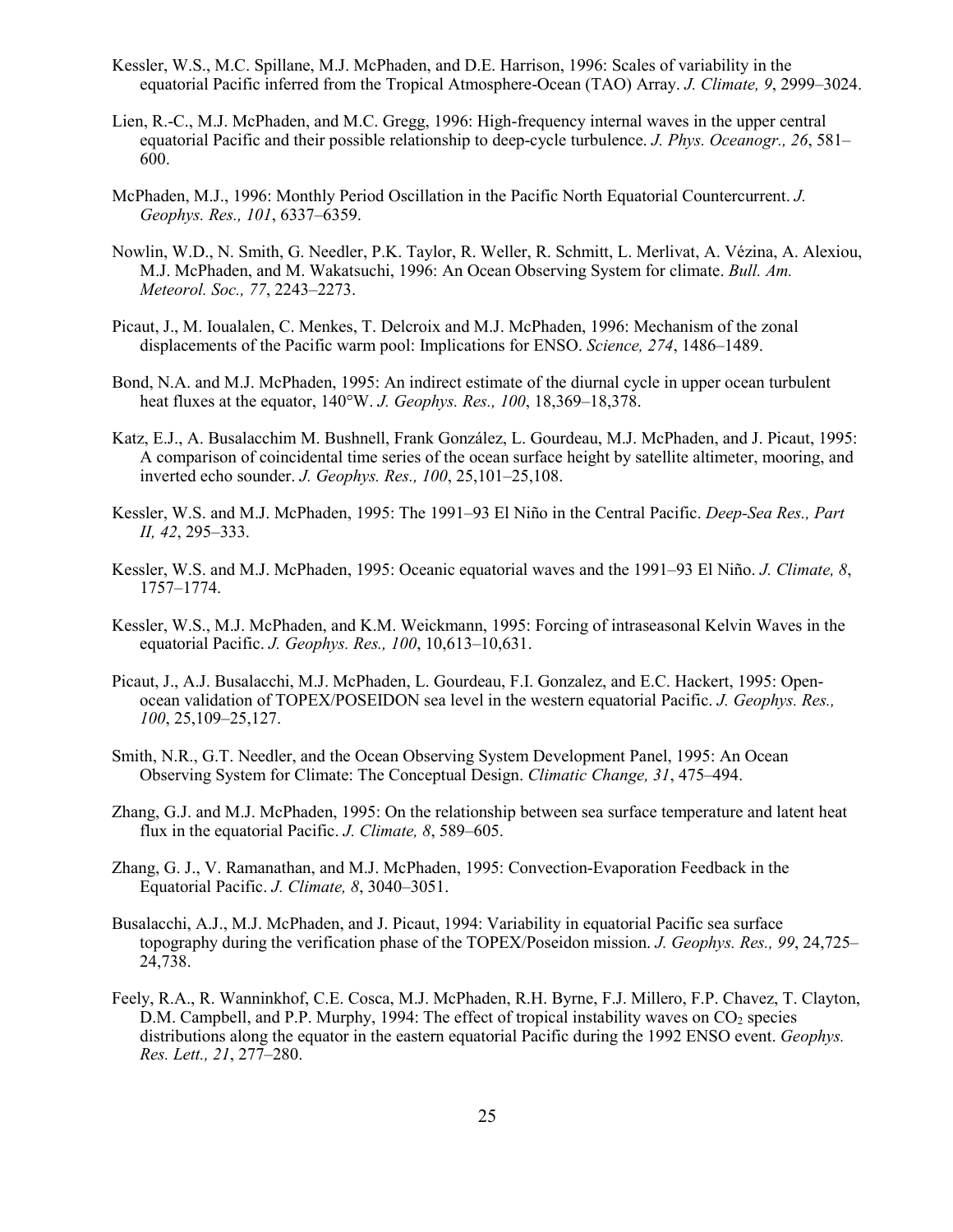- Kessler, W.S., M.C. Spillane, M.J. McPhaden, and D.E. Harrison, 1996: Scales of variability in the equatorial Pacific inferred from the Tropical Atmosphere-Ocean (TAO) Array. *J. Climate, 9*, 2999–3024.
- Lien, R.-C., M.J. McPhaden, and M.C. Gregg, 1996: High-frequency internal waves in the upper central equatorial Pacific and their possible relationship to deep-cycle turbulence. *J. Phys. Oceanogr., 26*, 581– 600.
- McPhaden, M.J., 1996: Monthly Period Oscillation in the Pacific North Equatorial Countercurrent. *J. Geophys. Res., 101*, 6337–6359.
- Nowlin, W.D., N. Smith, G. Needler, P.K. Taylor, R. Weller, R. Schmitt, L. Merlivat, A. Vézina, A. Alexiou, M.J. McPhaden, and M. Wakatsuchi, 1996: An Ocean Observing System for climate. *Bull. Am. Meteorol. Soc., 77*, 2243–2273.
- Picaut, J., M. Ioualalen, C. Menkes, T. Delcroix and M.J. McPhaden, 1996: Mechanism of the zonal displacements of the Pacific warm pool: Implications for ENSO. *Science, 274*, 1486–1489.
- Bond, N.A. and M.J. McPhaden, 1995: An indirect estimate of the diurnal cycle in upper ocean turbulent heat fluxes at the equator, 140°W. *J. Geophys. Res., 100*, 18,369–18,378.
- Katz, E.J., A. Busalacchim M. Bushnell, Frank González, L. Gourdeau, M.J. McPhaden, and J. Picaut, 1995: A comparison of coincidental time series of the ocean surface height by satellite altimeter, mooring, and inverted echo sounder. *J. Geophys. Res., 100*, 25,101–25,108.
- Kessler, W.S. and M.J. McPhaden, 1995: The 1991–93 El Niño in the Central Pacific. *Deep-Sea Res., Part II, 42*, 295–333.
- Kessler, W.S. and M.J. McPhaden, 1995: Oceanic equatorial waves and the 1991–93 El Niño. *J. Climate, 8*, 1757–1774.
- Kessler, W.S., M.J. McPhaden, and K.M. Weickmann, 1995: Forcing of intraseasonal Kelvin Waves in the equatorial Pacific. *J. Geophys. Res., 100*, 10,613–10,631.
- Picaut, J., A.J. Busalacchi, M.J. McPhaden, L. Gourdeau, F.I. Gonzalez, and E.C. Hackert, 1995: Openocean validation of TOPEX/POSEIDON sea level in the western equatorial Pacific. *J. Geophys. Res., 100*, 25,109–25,127.
- Smith, N.R., G.T. Needler, and the Ocean Observing System Development Panel, 1995: An Ocean Observing System for Climate: The Conceptual Design. *Climatic Change, 31*, 475–494.
- Zhang, G.J. and M.J. McPhaden, 1995: On the relationship between sea surface temperature and latent heat flux in the equatorial Pacific. *J. Climate, 8*, 589–605.
- Zhang, G. J., V. Ramanathan, and M.J. McPhaden, 1995: Convection-Evaporation Feedback in the Equatorial Pacific. *J. Climate, 8*, 3040–3051.
- Busalacchi, A.J., M.J. McPhaden, and J. Picaut, 1994: Variability in equatorial Pacific sea surface topography during the verification phase of the TOPEX/Poseidon mission. *J. Geophys. Res., 99*, 24,725– 24,738.
- Feely, R.A., R. Wanninkhof, C.E. Cosca, M.J. McPhaden, R.H. Byrne, F.J. Millero, F.P. Chavez, T. Clayton,  $D.M.$  Campbell, and P.P. Murphy, 1994: The effect of tropical instability waves on  $CO<sub>2</sub>$  species distributions along the equator in the eastern equatorial Pacific during the 1992 ENSO event. *Geophys. Res. Lett., 21*, 277–280.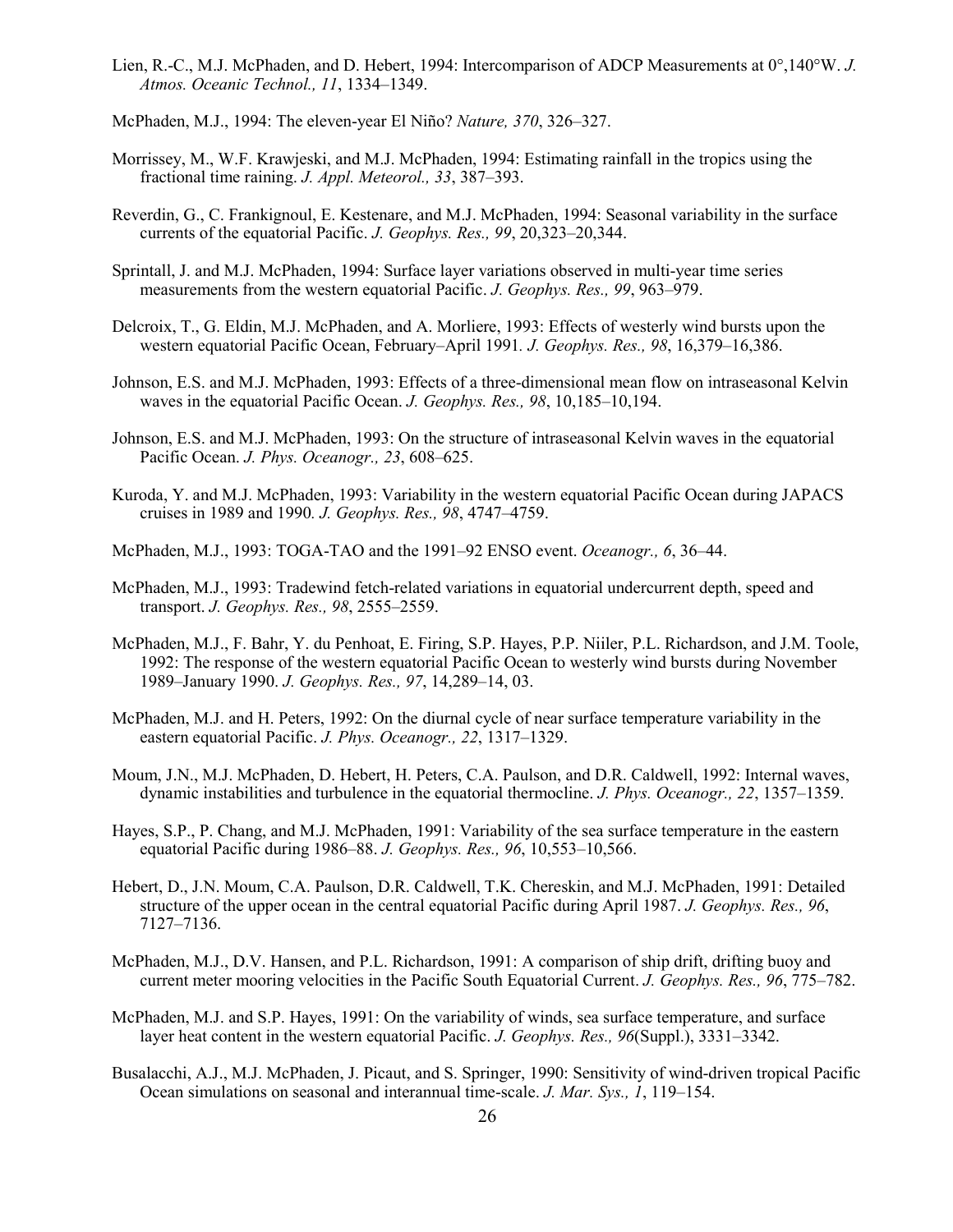- Lien, R.-C., M.J. McPhaden, and D. Hebert, 1994: Intercomparison of ADCP Measurements at 0°,140°W. *J. Atmos. Oceanic Technol., 11*, 1334–1349.
- McPhaden, M.J., 1994: The eleven-year El Niño? *Nature, 370*, 326–327.
- Morrissey, M., W.F. Krawjeski, and M.J. McPhaden, 1994: Estimating rainfall in the tropics using the fractional time raining. *J. Appl. Meteorol., 33*, 387–393.
- Reverdin, G., C. Frankignoul, E. Kestenare, and M.J. McPhaden, 1994: Seasonal variability in the surface currents of the equatorial Pacific. *J. Geophys. Res., 99*, 20,323–20,344.
- Sprintall, J. and M.J. McPhaden, 1994: Surface layer variations observed in multi-year time series measurements from the western equatorial Pacific. *J. Geophys. Res., 99*, 963–979.
- Delcroix, T., G. Eldin, M.J. McPhaden, and A. Morliere, 1993: Effects of westerly wind bursts upon the western equatorial Pacific Ocean, February–April 1991*. J. Geophys. Res., 98*, 16,379–16,386.
- Johnson, E.S. and M.J. McPhaden, 1993: Effects of a three-dimensional mean flow on intraseasonal Kelvin waves in the equatorial Pacific Ocean. *J. Geophys. Res., 98*, 10,185–10,194.
- Johnson, E.S. and M.J. McPhaden, 1993: On the structure of intraseasonal Kelvin waves in the equatorial Pacific Ocean. *J. Phys. Oceanogr., 23*, 608–625.
- Kuroda, Y. and M.J. McPhaden, 1993: Variability in the western equatorial Pacific Ocean during JAPACS cruises in 1989 and 1990*. J. Geophys. Res., 98*, 4747–4759.
- McPhaden, M.J., 1993: TOGA-TAO and the 1991–92 ENSO event. *Oceanogr., 6*, 36–44.
- McPhaden, M.J., 1993: Tradewind fetch-related variations in equatorial undercurrent depth, speed and transport. *J. Geophys. Res., 98*, 2555–2559.
- McPhaden, M.J., F. Bahr, Y. du Penhoat, E. Firing, S.P. Hayes, P.P. Niiler, P.L. Richardson, and J.M. Toole, 1992: The response of the western equatorial Pacific Ocean to westerly wind bursts during November 1989–January 1990. *J. Geophys. Res., 97*, 14,289–14, 03.
- McPhaden, M.J. and H. Peters, 1992: On the diurnal cycle of near surface temperature variability in the eastern equatorial Pacific. *J. Phys. Oceanogr., 22*, 1317–1329.
- Moum, J.N., M.J. McPhaden, D. Hebert, H. Peters, C.A. Paulson, and D.R. Caldwell, 1992: Internal waves, dynamic instabilities and turbulence in the equatorial thermocline. *J. Phys. Oceanogr., 22*, 1357–1359.
- Hayes, S.P., P. Chang, and M.J. McPhaden, 1991: Variability of the sea surface temperature in the eastern equatorial Pacific during 1986–88. *J. Geophys. Res., 96*, 10,553–10,566.
- Hebert, D., J.N. Moum, C.A. Paulson, D.R. Caldwell, T.K. Chereskin, and M.J. McPhaden, 1991: Detailed structure of the upper ocean in the central equatorial Pacific during April 1987. *J. Geophys. Res., 96*, 7127–7136.
- McPhaden, M.J., D.V. Hansen, and P.L. Richardson, 1991: A comparison of ship drift, drifting buoy and current meter mooring velocities in the Pacific South Equatorial Current. *J. Geophys. Res., 96*, 775–782.
- McPhaden, M.J. and S.P. Hayes, 1991: On the variability of winds, sea surface temperature, and surface layer heat content in the western equatorial Pacific. *J. Geophys. Res., 96*(Suppl.), 3331–3342.
- Busalacchi, A.J., M.J. McPhaden, J. Picaut, and S. Springer, 1990: Sensitivity of wind-driven tropical Pacific Ocean simulations on seasonal and interannual time-scale. *J. Mar. Sys., 1*, 119–154.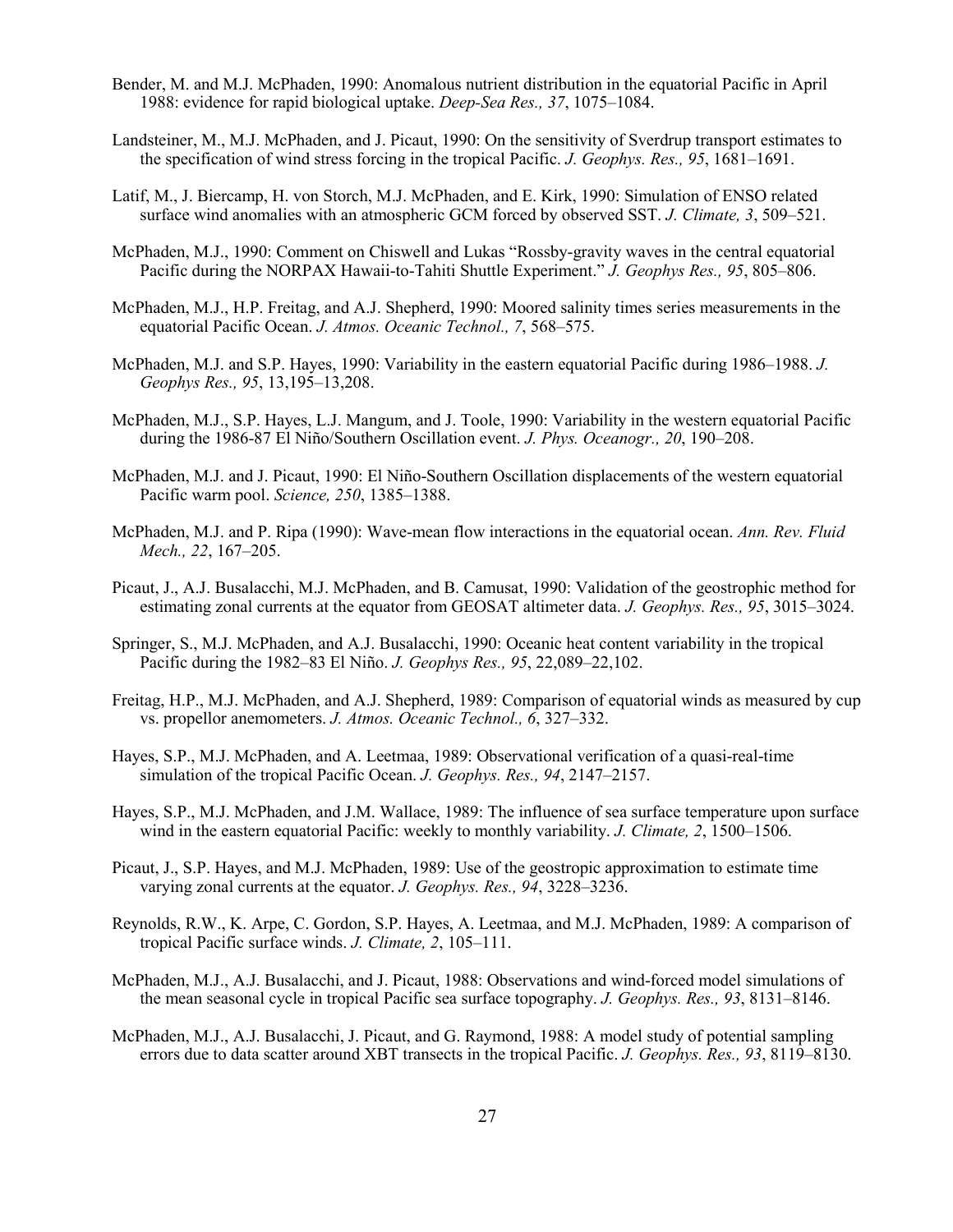- Bender, M. and M.J. McPhaden, 1990: Anomalous nutrient distribution in the equatorial Pacific in April 1988: evidence for rapid biological uptake. *Deep-Sea Res., 37*, 1075–1084.
- Landsteiner, M., M.J. McPhaden, and J. Picaut, 1990: On the sensitivity of Sverdrup transport estimates to the specification of wind stress forcing in the tropical Pacific. *J. Geophys. Res., 95*, 1681–1691.
- Latif, M., J. Biercamp, H. von Storch, M.J. McPhaden, and E. Kirk, 1990: Simulation of ENSO related surface wind anomalies with an atmospheric GCM forced by observed SST. *J. Climate, 3*, 509–521.
- McPhaden, M.J., 1990: Comment on Chiswell and Lukas "Rossby-gravity waves in the central equatorial Pacific during the NORPAX Hawaii-to-Tahiti Shuttle Experiment." *J. Geophys Res., 95*, 805–806.
- McPhaden, M.J., H.P. Freitag, and A.J. Shepherd, 1990: Moored salinity times series measurements in the equatorial Pacific Ocean. *J. Atmos. Oceanic Technol., 7*, 568–575.
- McPhaden, M.J. and S.P. Hayes, 1990: Variability in the eastern equatorial Pacific during 1986–1988. *J. Geophys Res., 95*, 13,195–13,208.
- McPhaden, M.J., S.P. Hayes, L.J. Mangum, and J. Toole, 1990: Variability in the western equatorial Pacific during the 1986-87 El Niño/Southern Oscillation event. *J. Phys. Oceanogr., 20*, 190–208.
- McPhaden, M.J. and J. Picaut, 1990: El Niño-Southern Oscillation displacements of the western equatorial Pacific warm pool. *Science, 250*, 1385–1388.
- McPhaden, M.J. and P. Ripa (1990): Wave-mean flow interactions in the equatorial ocean. *Ann. Rev. Fluid Mech., 22*, 167–205.
- Picaut, J., A.J. Busalacchi, M.J. McPhaden, and B. Camusat, 1990: Validation of the geostrophic method for estimating zonal currents at the equator from GEOSAT altimeter data. *J. Geophys. Res., 95*, 3015–3024.
- Springer, S., M.J. McPhaden, and A.J. Busalacchi, 1990: Oceanic heat content variability in the tropical Pacific during the 1982–83 El Niño. *J. Geophys Res., 95*, 22,089–22,102.
- Freitag, H.P., M.J. McPhaden, and A.J. Shepherd, 1989: Comparison of equatorial winds as measured by cup vs. propellor anemometers. *J. Atmos. Oceanic Technol., 6*, 327–332.
- Hayes, S.P., M.J. McPhaden, and A. Leetmaa, 1989: Observational verification of a quasi-real-time simulation of the tropical Pacific Ocean. *J. Geophys. Res., 94*, 2147–2157.
- Hayes, S.P., M.J. McPhaden, and J.M. Wallace, 1989: The influence of sea surface temperature upon surface wind in the eastern equatorial Pacific: weekly to monthly variability. *J. Climate, 2*, 1500–1506.
- Picaut, J., S.P. Hayes, and M.J. McPhaden, 1989: Use of the geostropic approximation to estimate time varying zonal currents at the equator. *J. Geophys. Res., 94*, 3228–3236.
- Reynolds, R.W., K. Arpe, C. Gordon, S.P. Hayes, A. Leetmaa, and M.J. McPhaden, 1989: A comparison of tropical Pacific surface winds. *J. Climate, 2*, 105–111.
- McPhaden, M.J., A.J. Busalacchi, and J. Picaut, 1988: Observations and wind-forced model simulations of the mean seasonal cycle in tropical Pacific sea surface topography. *J. Geophys. Res., 93*, 8131–8146.
- McPhaden, M.J., A.J. Busalacchi, J. Picaut, and G. Raymond, 1988: A model study of potential sampling errors due to data scatter around XBT transects in the tropical Pacific. *J. Geophys. Res., 93*, 8119–8130.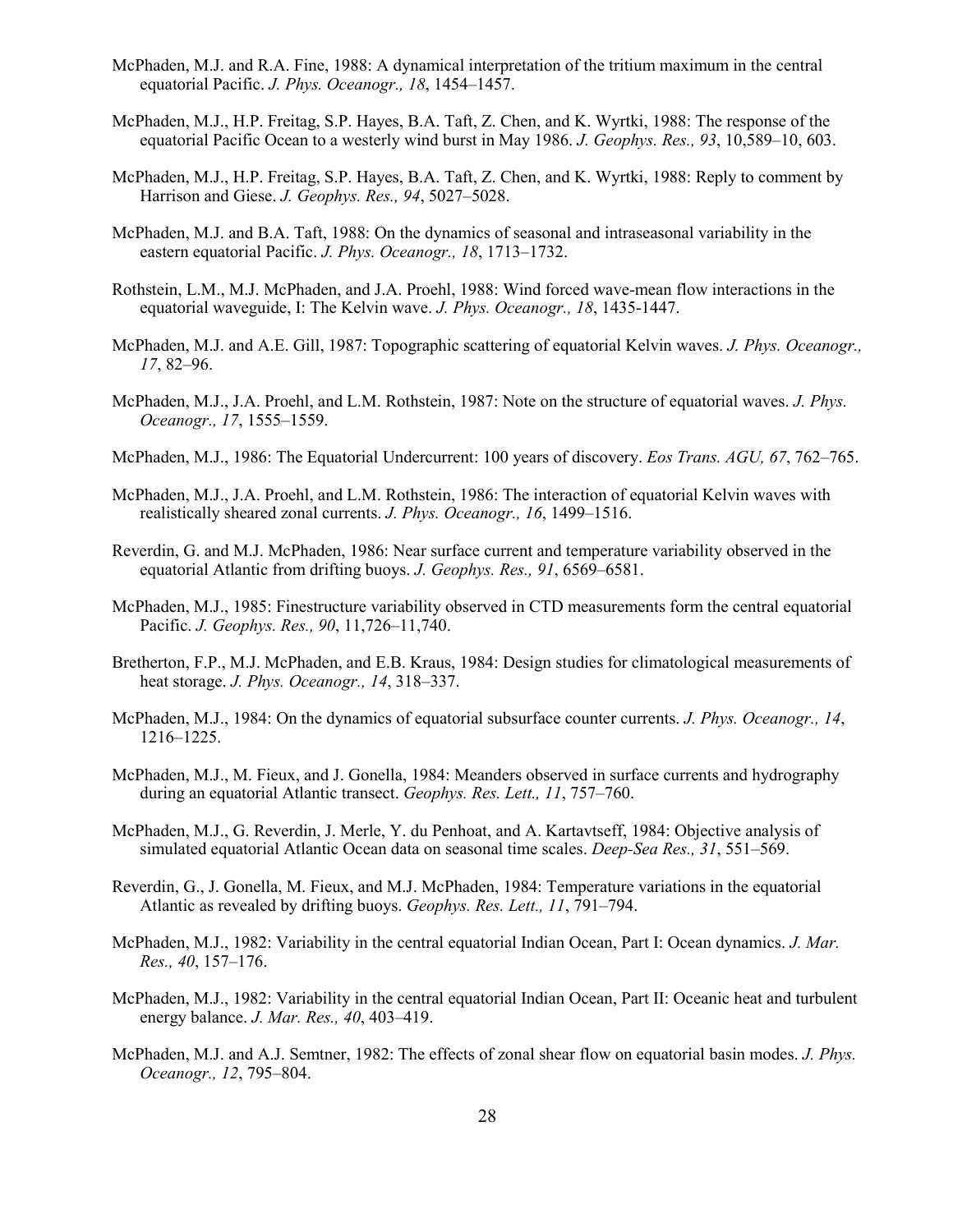- McPhaden, M.J. and R.A. Fine, 1988: A dynamical interpretation of the tritium maximum in the central equatorial Pacific. *J. Phys. Oceanogr., 18*, 1454–1457.
- McPhaden, M.J., H.P. Freitag, S.P. Hayes, B.A. Taft, Z. Chen, and K. Wyrtki, 1988: The response of the equatorial Pacific Ocean to a westerly wind burst in May 1986. *J. Geophys. Res., 93*, 10,589–10, 603.
- McPhaden, M.J., H.P. Freitag, S.P. Hayes, B.A. Taft, Z. Chen, and K. Wyrtki, 1988: Reply to comment by Harrison and Giese. *J. Geophys. Res., 94*, 5027–5028.
- McPhaden, M.J. and B.A. Taft, 1988: On the dynamics of seasonal and intraseasonal variability in the eastern equatorial Pacific. *J. Phys. Oceanogr., 18*, 1713–1732.
- Rothstein, L.M., M.J. McPhaden, and J.A. Proehl, 1988: Wind forced wave-mean flow interactions in the equatorial waveguide, I: The Kelvin wave. *J. Phys. Oceanogr., 18*, 1435-1447.
- McPhaden, M.J. and A.E. Gill, 1987: Topographic scattering of equatorial Kelvin waves. *J. Phys. Oceanogr., 17*, 82–96.
- McPhaden, M.J., J.A. Proehl, and L.M. Rothstein, 1987: Note on the structure of equatorial waves. *J. Phys. Oceanogr., 17*, 1555–1559.
- McPhaden, M.J., 1986: The Equatorial Undercurrent: 100 years of discovery. *Eos Trans. AGU, 67*, 762–765.
- McPhaden, M.J., J.A. Proehl, and L.M. Rothstein, 1986: The interaction of equatorial Kelvin waves with realistically sheared zonal currents. *J. Phys. Oceanogr., 16*, 1499–1516.
- Reverdin, G. and M.J. McPhaden, 1986: Near surface current and temperature variability observed in the equatorial Atlantic from drifting buoys. *J. Geophys. Res., 91*, 6569–6581.
- McPhaden, M.J., 1985: Finestructure variability observed in CTD measurements form the central equatorial Pacific. *J. Geophys. Res., 90*, 11,726–11,740.
- Bretherton, F.P., M.J. McPhaden, and E.B. Kraus, 1984: Design studies for climatological measurements of heat storage. *J. Phys. Oceanogr., 14*, 318–337.
- McPhaden, M.J., 1984: On the dynamics of equatorial subsurface counter currents. *J. Phys. Oceanogr., 14*, 1216–1225.
- McPhaden, M.J., M. Fieux, and J. Gonella, 1984: Meanders observed in surface currents and hydrography during an equatorial Atlantic transect. *Geophys. Res. Lett., 11*, 757–760.
- McPhaden, M.J., G. Reverdin, J. Merle, Y. du Penhoat, and A. Kartavtseff, 1984: Objective analysis of simulated equatorial Atlantic Ocean data on seasonal time scales. *Deep-Sea Res., 31*, 551–569.
- Reverdin, G., J. Gonella, M. Fieux, and M.J. McPhaden, 1984: Temperature variations in the equatorial Atlantic as revealed by drifting buoys. *Geophys. Res. Lett., 11*, 791–794.
- McPhaden, M.J., 1982: Variability in the central equatorial Indian Ocean, Part I: Ocean dynamics. *J. Mar. Res., 40*, 157–176.
- McPhaden, M.J., 1982: Variability in the central equatorial Indian Ocean, Part II: Oceanic heat and turbulent energy balance. *J. Mar. Res., 40*, 403–419.
- McPhaden, M.J. and A.J. Semtner, 1982: The effects of zonal shear flow on equatorial basin modes. *J. Phys. Oceanogr., 12*, 795–804.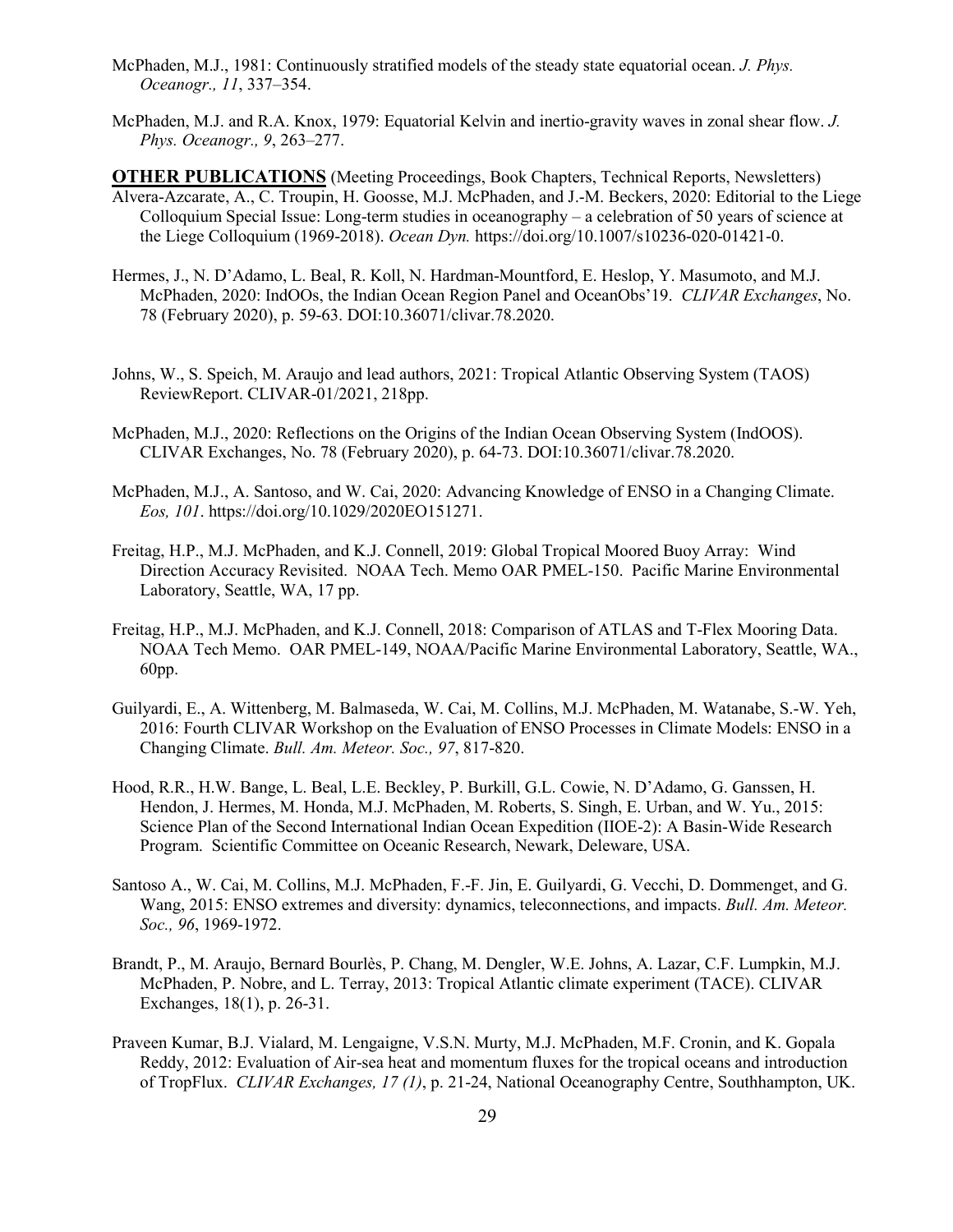- McPhaden, M.J., 1981: Continuously stratified models of the steady state equatorial ocean. *J. Phys. Oceanogr., 11*, 337–354.
- McPhaden, M.J. and R.A. Knox, 1979: Equatorial Kelvin and inertio-gravity waves in zonal shear flow. *J. Phys. Oceanogr., 9*, 263–277.

**OTHER PUBLICATIONS** (Meeting Proceedings, Book Chapters, Technical Reports, Newsletters) Alvera-Azcarate, A., C. Troupin, H. Goosse, M.J. McPhaden, and J.-M. Beckers, 2020: Editorial to the Liege Colloquium Special Issue: Long-term studies in oceanography – a celebration of 50 years of science at the Liege Colloquium (1969-2018). *Ocean Dyn.* https://doi.org/10.1007/s10236-020-01421-0.

- Hermes, J., N. D'Adamo, L. Beal, R. Koll, N. Hardman-Mountford, E. Heslop, Y. Masumoto, and M.J. McPhaden, 2020: IndOOs, the Indian Ocean Region Panel and OceanObs'19. *CLIVAR Exchanges*, No. 78 (February 2020), p. 59-63. DOI:10.36071/clivar.78.2020.
- Johns, W., S. Speich, M. Araujo and lead authors, 2021: Tropical Atlantic Observing System (TAOS) ReviewReport. CLIVAR-01/2021, 218pp.
- McPhaden, M.J., 2020: Reflections on the Origins of the Indian Ocean Observing System (IndOOS). CLIVAR Exchanges, No. 78 (February 2020), p. 64-73. DOI:10.36071/clivar.78.2020.
- McPhaden, M.J., A. Santoso, and W. Cai, 2020: Advancing Knowledge of ENSO in a Changing Climate. *Eos, 101*. https://doi.org/10.1029/2020EO151271.
- Freitag, H.P., M.J. McPhaden, and K.J. Connell, 2019: Global Tropical Moored Buoy Array: Wind Direction Accuracy Revisited. NOAA Tech. Memo OAR PMEL-150. Pacific Marine Environmental Laboratory, Seattle, WA, 17 pp.
- Freitag, H.P., M.J. McPhaden, and K.J. Connell, 2018: Comparison of ATLAS and T-Flex Mooring Data. NOAA Tech Memo. OAR PMEL-149, NOAA/Pacific Marine Environmental Laboratory, Seattle, WA., 60pp.
- Guilyardi, E., A. Wittenberg, M. Balmaseda, W. Cai, M. Collins, M.J. McPhaden, M. Watanabe, S.-W. Yeh, 2016: Fourth CLIVAR Workshop on the Evaluation of ENSO Processes in Climate Models: ENSO in a Changing Climate. *Bull. Am. Meteor. Soc., 97*, 817-820.
- Hood, R.R., H.W. Bange, L. Beal, L.E. Beckley, P. Burkill, G.L. Cowie, N. D'Adamo, G. Ganssen, H. Hendon, J. Hermes, M. Honda, M.J. McPhaden, M. Roberts, S. Singh, E. Urban, and W. Yu., 2015: Science Plan of the Second International Indian Ocean Expedition (IIOE-2): A Basin-Wide Research Program. Scientific Committee on Oceanic Research, Newark, Deleware, USA.
- Santoso A., W. Cai, M. Collins, M.J. McPhaden, F.-F. Jin, E. Guilyardi, G. Vecchi, D. Dommenget, and G. Wang, 2015: ENSO extremes and diversity: dynamics, teleconnections, and impacts. *Bull. Am. Meteor. Soc., 96*, 1969-1972.
- Brandt, P., M. Araujo, Bernard Bourlès, P. Chang, M. Dengler, W.E. Johns, A. Lazar, C.F. Lumpkin, M.J. McPhaden, P. Nobre, and L. Terray, 2013: Tropical Atlantic climate experiment (TACE). CLIVAR Exchanges, 18(1), p. 26-31.
- Praveen Kumar, B.J. Vialard, M. Lengaigne, V.S.N. Murty, M.J. McPhaden, M.F. Cronin, and K. Gopala Reddy, 2012: Evaluation of Air-sea heat and momentum fluxes for the tropical oceans and introduction of TropFlux. *CLIVAR Exchanges, 17 (1)*, p. 21-24, National Oceanography Centre, Southhampton, UK.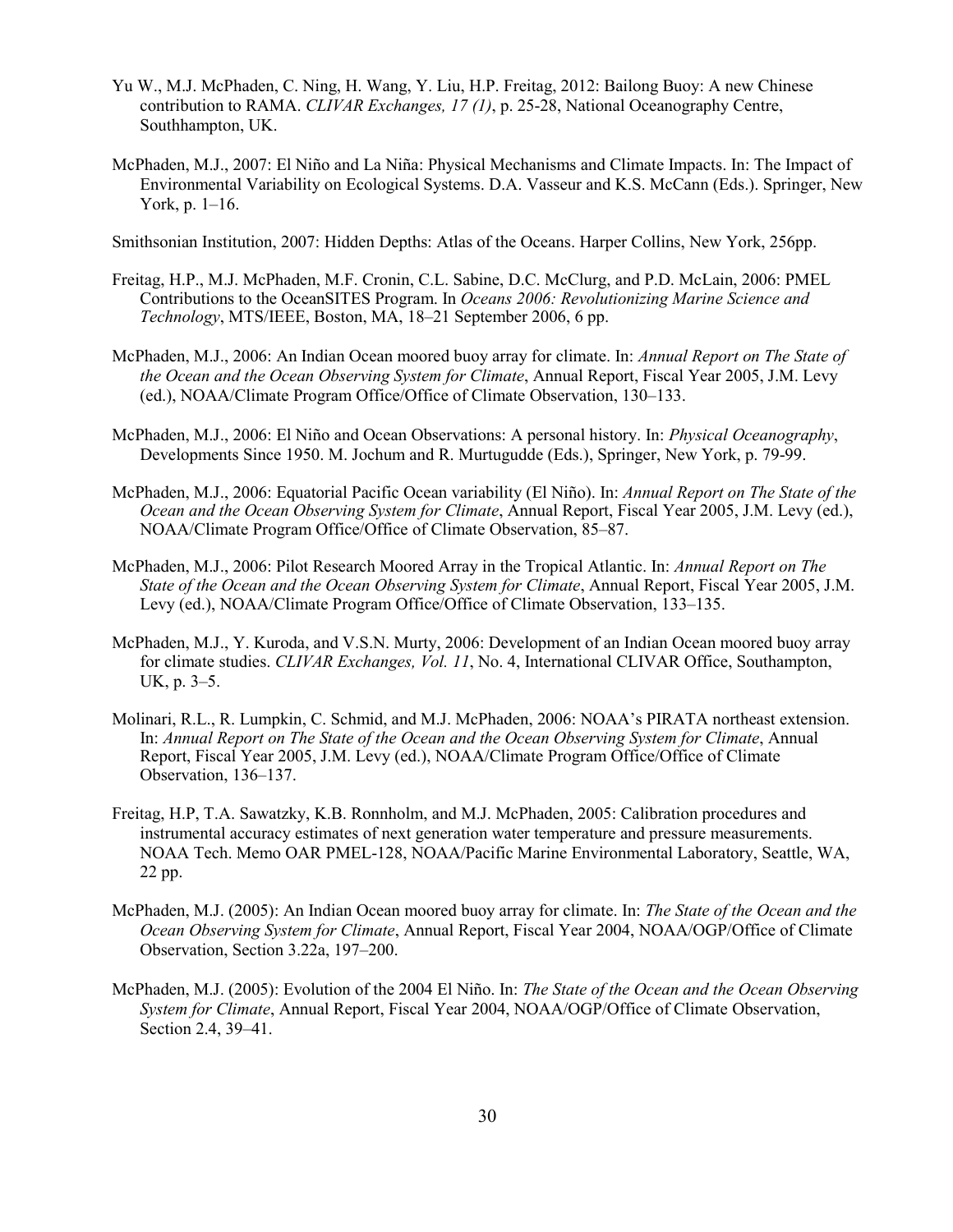- Yu W., M.J. McPhaden, C. Ning, H. Wang, Y. Liu, H.P. Freitag, 2012: Bailong Buoy: A new Chinese contribution to RAMA. *CLIVAR Exchanges, 17 (1)*, p. 25-28, National Oceanography Centre, Southhampton, UK.
- McPhaden, M.J., 2007: El Niño and La Niña: Physical Mechanisms and Climate Impacts. In: The Impact of Environmental Variability on Ecological Systems. D.A. Vasseur and K.S. McCann (Eds.). Springer, New York, p. 1–16.

Smithsonian Institution, 2007: Hidden Depths: Atlas of the Oceans. Harper Collins, New York, 256pp.

- Freitag, H.P., M.J. McPhaden, M.F. Cronin, C.L. Sabine, D.C. McClurg, and P.D. McLain, 2006: PMEL Contributions to the OceanSITES Program. In *Oceans 2006: Revolutionizing Marine Science and Technology*, MTS/IEEE, Boston, MA, 18–21 September 2006, 6 pp.
- McPhaden, M.J., 2006: An Indian Ocean moored buoy array for climate. In: *Annual Report on The State of the Ocean and the Ocean Observing System for Climate*, Annual Report, Fiscal Year 2005, J.M. Levy (ed.), NOAA/Climate Program Office/Office of Climate Observation, 130–133.
- McPhaden, M.J., 2006: El Niño and Ocean Observations: A personal history. In: *Physical Oceanography*, Developments Since 1950. M. Jochum and R. Murtugudde (Eds.), Springer, New York, p. 79-99.
- McPhaden, M.J., 2006: Equatorial Pacific Ocean variability (El Niño). In: *Annual Report on The State of the Ocean and the Ocean Observing System for Climate*, Annual Report, Fiscal Year 2005, J.M. Levy (ed.), NOAA/Climate Program Office/Office of Climate Observation, 85–87.
- McPhaden, M.J., 2006: Pilot Research Moored Array in the Tropical Atlantic. In: *Annual Report on The State of the Ocean and the Ocean Observing System for Climate*, Annual Report, Fiscal Year 2005, J.M. Levy (ed.), NOAA/Climate Program Office/Office of Climate Observation, 133–135.
- McPhaden, M.J., Y. Kuroda, and V.S.N. Murty, 2006: Development of an Indian Ocean moored buoy array for climate studies. *CLIVAR Exchanges, Vol. 11*, No. 4, International CLIVAR Office, Southampton, UK, p. 3–5.
- Molinari, R.L., R. Lumpkin, C. Schmid, and M.J. McPhaden, 2006: NOAA's PIRATA northeast extension. In: *Annual Report on The State of the Ocean and the Ocean Observing System for Climate*, Annual Report, Fiscal Year 2005, J.M. Levy (ed.), NOAA/Climate Program Office/Office of Climate Observation, 136–137.
- Freitag, H.P, T.A. Sawatzky, K.B. Ronnholm, and M.J. McPhaden, 2005: Calibration procedures and instrumental accuracy estimates of next generation water temperature and pressure measurements. NOAA Tech. Memo OAR PMEL-128, NOAA/Pacific Marine Environmental Laboratory, Seattle, WA, 22 pp.
- McPhaden, M.J. (2005): An Indian Ocean moored buoy array for climate. In: *The State of the Ocean and the Ocean Observing System for Climate*, Annual Report, Fiscal Year 2004, NOAA/OGP/Office of Climate Observation, Section 3.22a, 197–200.
- McPhaden, M.J. (2005): Evolution of the 2004 El Niño. In: *The State of the Ocean and the Ocean Observing System for Climate*, Annual Report, Fiscal Year 2004, NOAA/OGP/Office of Climate Observation, Section 2.4, 39–41.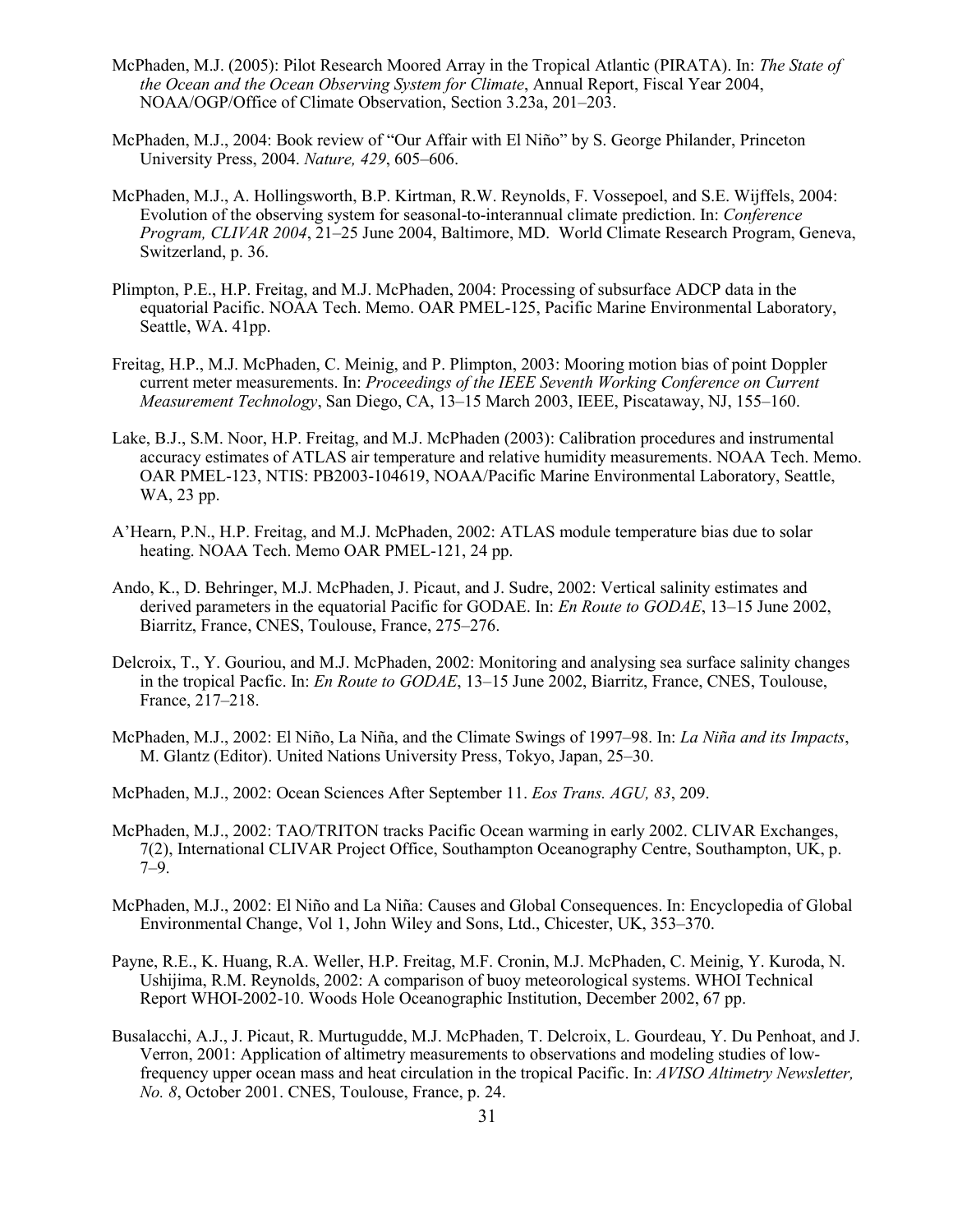- McPhaden, M.J. (2005): Pilot Research Moored Array in the Tropical Atlantic (PIRATA). In: *The State of the Ocean and the Ocean Observing System for Climate*, Annual Report, Fiscal Year 2004, NOAA/OGP/Office of Climate Observation, Section 3.23a, 201–203.
- McPhaden, M.J., 2004: Book review of "Our Affair with El Niño" by S. George Philander, Princeton University Press, 2004. *Nature, 429*, 605–606.
- McPhaden, M.J., A. Hollingsworth, B.P. Kirtman, R.W. Reynolds, F. Vossepoel, and S.E. Wijffels, 2004: Evolution of the observing system for seasonal-to-interannual climate prediction. In: *Conference Program, CLIVAR 2004*, 21–25 June 2004, Baltimore, MD. World Climate Research Program, Geneva, Switzerland, p. 36.
- Plimpton, P.E., H.P. Freitag, and M.J. McPhaden, 2004: Processing of subsurface ADCP data in the equatorial Pacific. NOAA Tech. Memo. OAR PMEL-125, Pacific Marine Environmental Laboratory, Seattle, WA. 41pp.
- Freitag, H.P., M.J. McPhaden, C. Meinig, and P. Plimpton, 2003: Mooring motion bias of point Doppler current meter measurements. In: *Proceedings of the IEEE Seventh Working Conference on Current Measurement Technology*, San Diego, CA, 13–15 March 2003, IEEE, Piscataway, NJ, 155–160.
- Lake, B.J., S.M. Noor, H.P. Freitag, and M.J. McPhaden (2003): Calibration procedures and instrumental accuracy estimates of ATLAS air temperature and relative humidity measurements. NOAA Tech. Memo. OAR PMEL-123, NTIS: PB2003-104619, NOAA/Pacific Marine Environmental Laboratory, Seattle, WA, 23 pp.
- A'Hearn, P.N., H.P. Freitag, and M.J. McPhaden, 2002: ATLAS module temperature bias due to solar heating. NOAA Tech. Memo OAR PMEL-121, 24 pp.
- Ando, K., D. Behringer, M.J. McPhaden, J. Picaut, and J. Sudre, 2002: Vertical salinity estimates and derived parameters in the equatorial Pacific for GODAE. In: *En Route to GODAE*, 13–15 June 2002, Biarritz, France, CNES, Toulouse, France, 275–276.
- Delcroix, T., Y. Gouriou, and M.J. McPhaden, 2002: Monitoring and analysing sea surface salinity changes in the tropical Pacfic. In: *En Route to GODAE*, 13–15 June 2002, Biarritz, France, CNES, Toulouse, France, 217–218.
- McPhaden, M.J., 2002: El Niño, La Niña, and the Climate Swings of 1997–98. In: *La Niña and its Impacts*, M. Glantz (Editor). United Nations University Press, Tokyo, Japan, 25–30.
- McPhaden, M.J., 2002: Ocean Sciences After September 11. *Eos Trans. AGU, 83*, 209.
- McPhaden, M.J., 2002: TAO/TRITON tracks Pacific Ocean warming in early 2002. CLIVAR Exchanges, 7(2), International CLIVAR Project Office, Southampton Oceanography Centre, Southampton, UK, p. 7–9.
- McPhaden, M.J., 2002: El Niño and La Niña: Causes and Global Consequences. In: Encyclopedia of Global Environmental Change, Vol 1, John Wiley and Sons, Ltd., Chicester, UK, 353–370.
- Payne, R.E., K. Huang, R.A. Weller, H.P. Freitag, M.F. Cronin, M.J. McPhaden, C. Meinig, Y. Kuroda, N. Ushijima, R.M. Reynolds, 2002: A comparison of buoy meteorological systems. WHOI Technical Report WHOI-2002-10. Woods Hole Oceanographic Institution, December 2002, 67 pp.
- Busalacchi, A.J., J. Picaut, R. Murtugudde, M.J. McPhaden, T. Delcroix, L. Gourdeau, Y. Du Penhoat, and J. Verron, 2001: Application of altimetry measurements to observations and modeling studies of lowfrequency upper ocean mass and heat circulation in the tropical Pacific. In: *AVISO Altimetry Newsletter, No. 8*, October 2001. CNES, Toulouse, France, p. 24.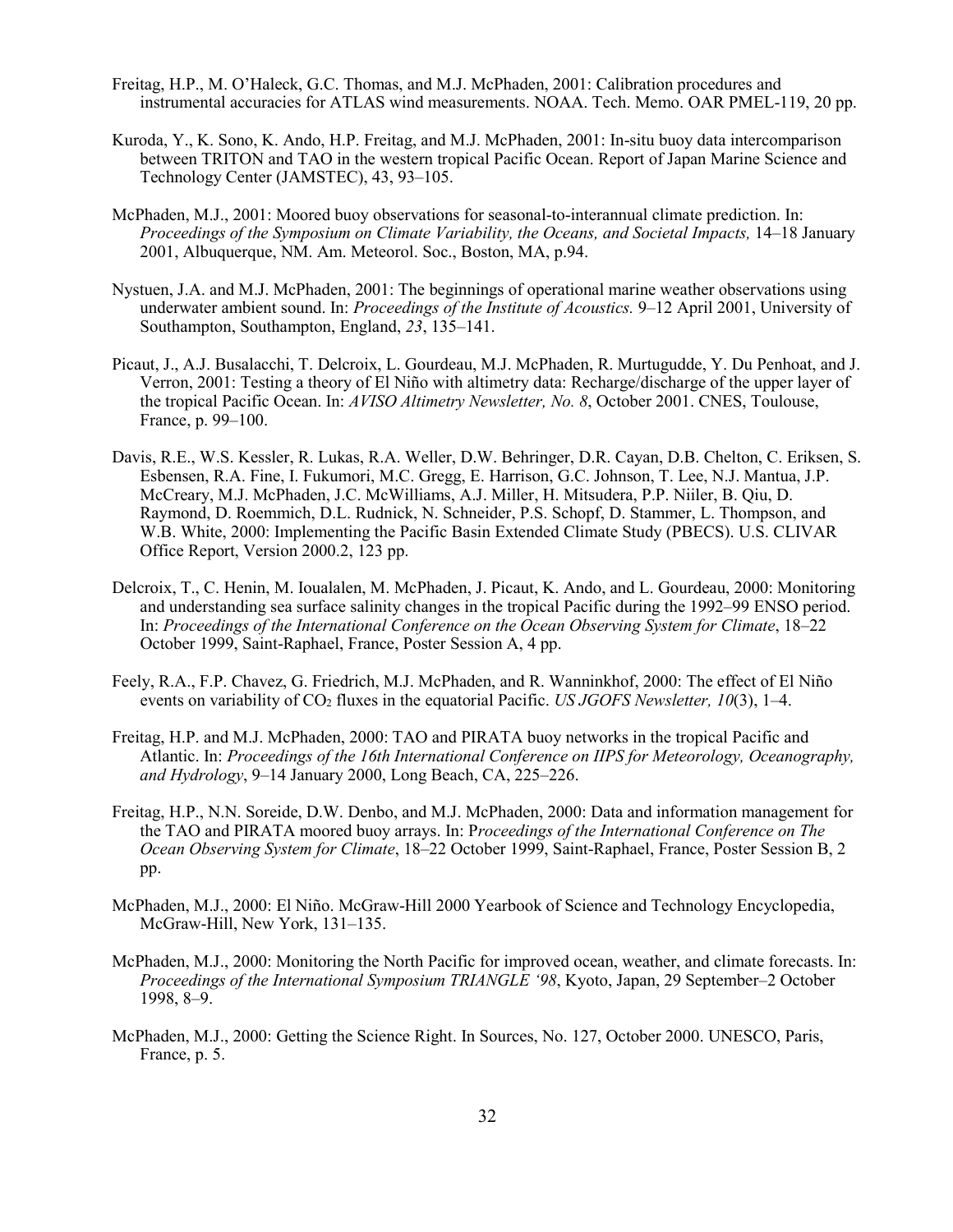- Freitag, H.P., M. O'Haleck, G.C. Thomas, and M.J. McPhaden, 2001: Calibration procedures and instrumental accuracies for ATLAS wind measurements. NOAA. Tech. Memo. OAR PMEL-119, 20 pp.
- Kuroda, Y., K. Sono, K. Ando, H.P. Freitag, and M.J. McPhaden, 2001: In-situ buoy data intercomparison between TRITON and TAO in the western tropical Pacific Ocean. Report of Japan Marine Science and Technology Center (JAMSTEC), 43, 93–105.
- McPhaden, M.J., 2001: Moored buoy observations for seasonal-to-interannual climate prediction. In: *Proceedings of the Symposium on Climate Variability, the Oceans, and Societal Impacts,* 14–18 January 2001, Albuquerque, NM. Am. Meteorol. Soc., Boston, MA, p.94.
- Nystuen, J.A. and M.J. McPhaden, 2001: The beginnings of operational marine weather observations using underwater ambient sound. In: *Proceedings of the Institute of Acoustics.* 9–12 April 2001, University of Southampton, Southampton, England, *23*, 135–141.
- Picaut, J., A.J. Busalacchi, T. Delcroix, L. Gourdeau, M.J. McPhaden, R. Murtugudde, Y. Du Penhoat, and J. Verron, 2001: Testing a theory of El Niño with altimetry data: Recharge/discharge of the upper layer of the tropical Pacific Ocean. In: *AVISO Altimetry Newsletter, No. 8*, October 2001. CNES, Toulouse, France, p. 99–100.
- Davis, R.E., W.S. Kessler, R. Lukas, R.A. Weller, D.W. Behringer, D.R. Cayan, D.B. Chelton, C. Eriksen, S. Esbensen, R.A. Fine, I. Fukumori, M.C. Gregg, E. Harrison, G.C. Johnson, T. Lee, N.J. Mantua, J.P. McCreary, M.J. McPhaden, J.C. McWilliams, A.J. Miller, H. Mitsudera, P.P. Niiler, B. Qiu, D. Raymond, D. Roemmich, D.L. Rudnick, N. Schneider, P.S. Schopf, D. Stammer, L. Thompson, and W.B. White, 2000: Implementing the Pacific Basin Extended Climate Study (PBECS). U.S. CLIVAR Office Report, Version 2000.2, 123 pp.
- Delcroix, T., C. Henin, M. Ioualalen, M. McPhaden, J. Picaut, K. Ando, and L. Gourdeau, 2000: Monitoring and understanding sea surface salinity changes in the tropical Pacific during the 1992–99 ENSO period. In: *Proceedings of the International Conference on the Ocean Observing System for Climate*, 18–22 October 1999, Saint-Raphael, France, Poster Session A, 4 pp.
- Feely, R.A., F.P. Chavez, G. Friedrich, M.J. McPhaden, and R. Wanninkhof, 2000: The effect of El Niño events on variability of CO<sub>2</sub> fluxes in the equatorial Pacific. *US JGOFS Newsletter, 10*(3), 1–4.
- Freitag, H.P. and M.J. McPhaden, 2000: TAO and PIRATA buoy networks in the tropical Pacific and Atlantic. In: *Proceedings of the 16th International Conference on IIPS for Meteorology, Oceanography, and Hydrology*, 9–14 January 2000, Long Beach, CA, 225–226.
- Freitag, H.P., N.N. Soreide, D.W. Denbo, and M.J. McPhaden, 2000: Data and information management for the TAO and PIRATA moored buoy arrays. In: P*roceedings of the International Conference on The Ocean Observing System for Climate*, 18–22 October 1999, Saint-Raphael, France, Poster Session B, 2 pp.
- McPhaden, M.J., 2000: El Niño. McGraw-Hill 2000 Yearbook of Science and Technology Encyclopedia, McGraw-Hill, New York, 131–135.
- McPhaden, M.J., 2000: Monitoring the North Pacific for improved ocean, weather, and climate forecasts. In: *Proceedings of the International Symposium TRIANGLE '98*, Kyoto, Japan, 29 September–2 October 1998, 8–9.
- McPhaden, M.J., 2000: Getting the Science Right. In Sources, No. 127, October 2000. UNESCO, Paris, France, p. 5.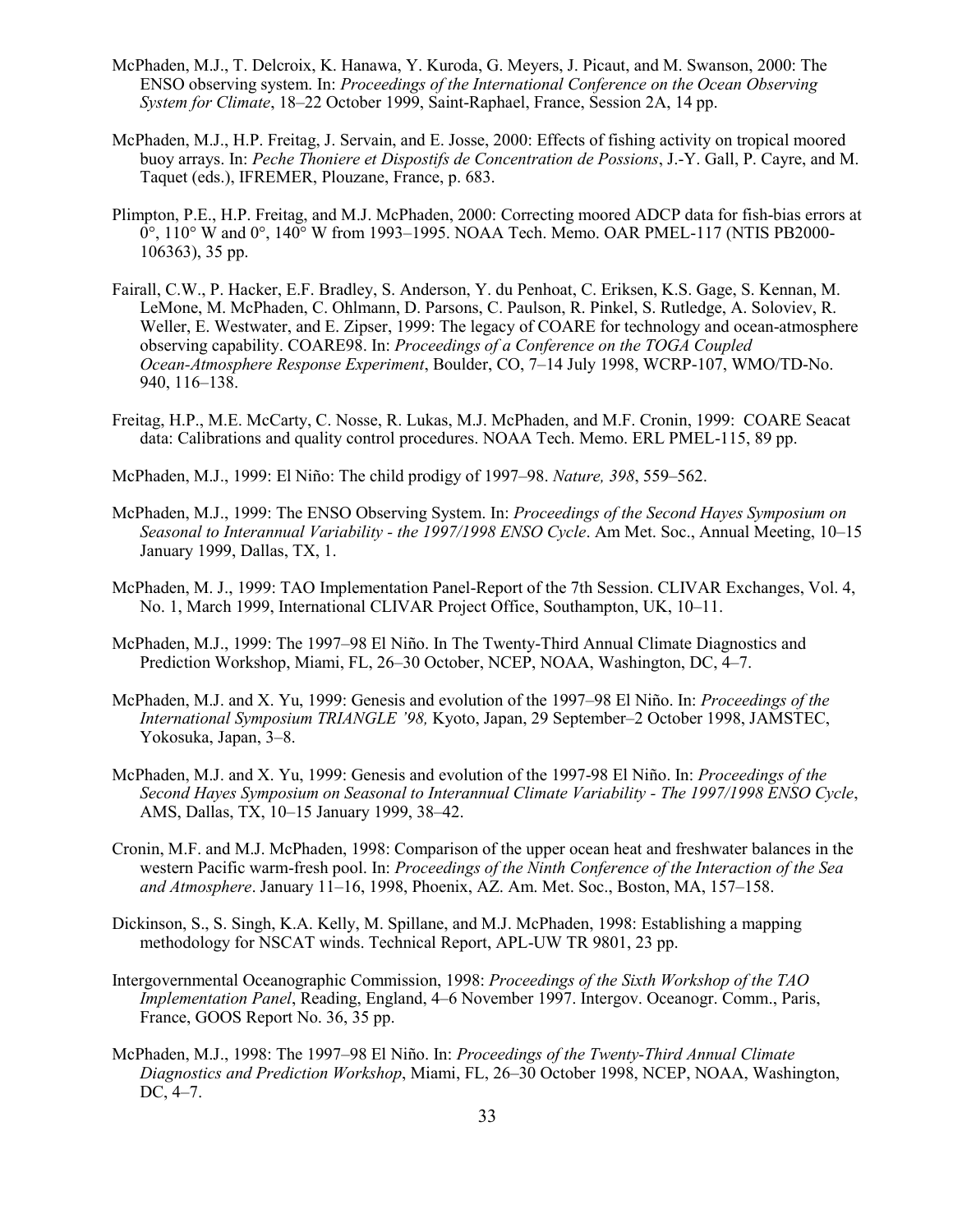- McPhaden, M.J., T. Delcroix, K. Hanawa, Y. Kuroda, G. Meyers, J. Picaut, and M. Swanson, 2000: The ENSO observing system. In: *Proceedings of the International Conference on the Ocean Observing System for Climate*, 18–22 October 1999, Saint-Raphael, France, Session 2A, 14 pp.
- McPhaden, M.J., H.P. Freitag, J. Servain, and E. Josse, 2000: Effects of fishing activity on tropical moored buoy arrays. In: *Peche Thoniere et Dispostifs de Concentration de Possions*, J.-Y. Gall, P. Cayre, and M. Taquet (eds.), IFREMER, Plouzane, France, p. 683.
- Plimpton, P.E., H.P. Freitag, and M.J. McPhaden, 2000: Correcting moored ADCP data for fish-bias errors at  $0^{\circ}$ , 110° W and  $0^{\circ}$ , 140° W from 1993–1995. NOAA Tech. Memo. OAR PMEL-117 (NTIS PB2000-106363), 35 pp.
- Fairall, C.W., P. Hacker, E.F. Bradley, S. Anderson, Y. du Penhoat, C. Eriksen, K.S. Gage, S. Kennan, M. LeMone, M. McPhaden, C. Ohlmann, D. Parsons, C. Paulson, R. Pinkel, S. Rutledge, A. Soloviev, R. Weller, E. Westwater, and E. Zipser, 1999: The legacy of COARE for technology and ocean-atmosphere observing capability. COARE98. In: *Proceedings of a Conference on the TOGA Coupled Ocean-Atmosphere Response Experiment*, Boulder, CO, 7–14 July 1998, WCRP-107, WMO/TD-No. 940, 116–138.
- Freitag, H.P., M.E. McCarty, C. Nosse, R. Lukas, M.J. McPhaden, and M.F. Cronin, 1999: COARE Seacat data: Calibrations and quality control procedures. NOAA Tech. Memo. ERL PMEL-115, 89 pp.
- McPhaden, M.J., 1999: El Niño: The child prodigy of 1997–98. *Nature, 398*, 559–562.
- McPhaden, M.J., 1999: The ENSO Observing System. In: *Proceedings of the Second Hayes Symposium on Seasonal to Interannual Variability - the 1997/1998 ENSO Cycle*. Am Met. Soc., Annual Meeting, 10–15 January 1999, Dallas, TX, 1.
- McPhaden, M. J., 1999: TAO Implementation Panel-Report of the 7th Session. CLIVAR Exchanges, Vol. 4, No. 1, March 1999, International CLIVAR Project Office, Southampton, UK, 10–11.
- McPhaden, M.J., 1999: The 1997–98 El Niño. In The Twenty-Third Annual Climate Diagnostics and Prediction Workshop, Miami, FL, 26–30 October, NCEP, NOAA, Washington, DC, 4–7.
- McPhaden, M.J. and X. Yu, 1999: Genesis and evolution of the 1997–98 El Niño. In: *Proceedings of the International Symposium TRIANGLE '98,* Kyoto, Japan, 29 September–2 October 1998, JAMSTEC, Yokosuka, Japan, 3–8.
- McPhaden, M.J. and X. Yu, 1999: Genesis and evolution of the 1997-98 El Niño. In: *Proceedings of the Second Hayes Symposium on Seasonal to Interannual Climate Variability - The 1997/1998 ENSO Cycle*, AMS, Dallas, TX, 10–15 January 1999, 38–42.
- Cronin, M.F. and M.J. McPhaden, 1998: Comparison of the upper ocean heat and freshwater balances in the western Pacific warm-fresh pool. In: *Proceedings of the Ninth Conference of the Interaction of the Sea and Atmosphere*. January 11–16, 1998, Phoenix, AZ. Am. Met. Soc., Boston, MA, 157–158.
- Dickinson, S., S. Singh, K.A. Kelly, M. Spillane, and M.J. McPhaden, 1998: Establishing a mapping methodology for NSCAT winds. Technical Report, APL-UW TR 9801, 23 pp.
- Intergovernmental Oceanographic Commission, 1998: *Proceedings of the Sixth Workshop of the TAO Implementation Panel*, Reading, England, 4–6 November 1997. Intergov. Oceanogr. Comm., Paris, France, GOOS Report No. 36, 35 pp.
- McPhaden, M.J., 1998: The 1997–98 El Niño. In: *Proceedings of the Twenty-Third Annual Climate Diagnostics and Prediction Workshop*, Miami, FL, 26–30 October 1998, NCEP, NOAA, Washington, DC, 4–7.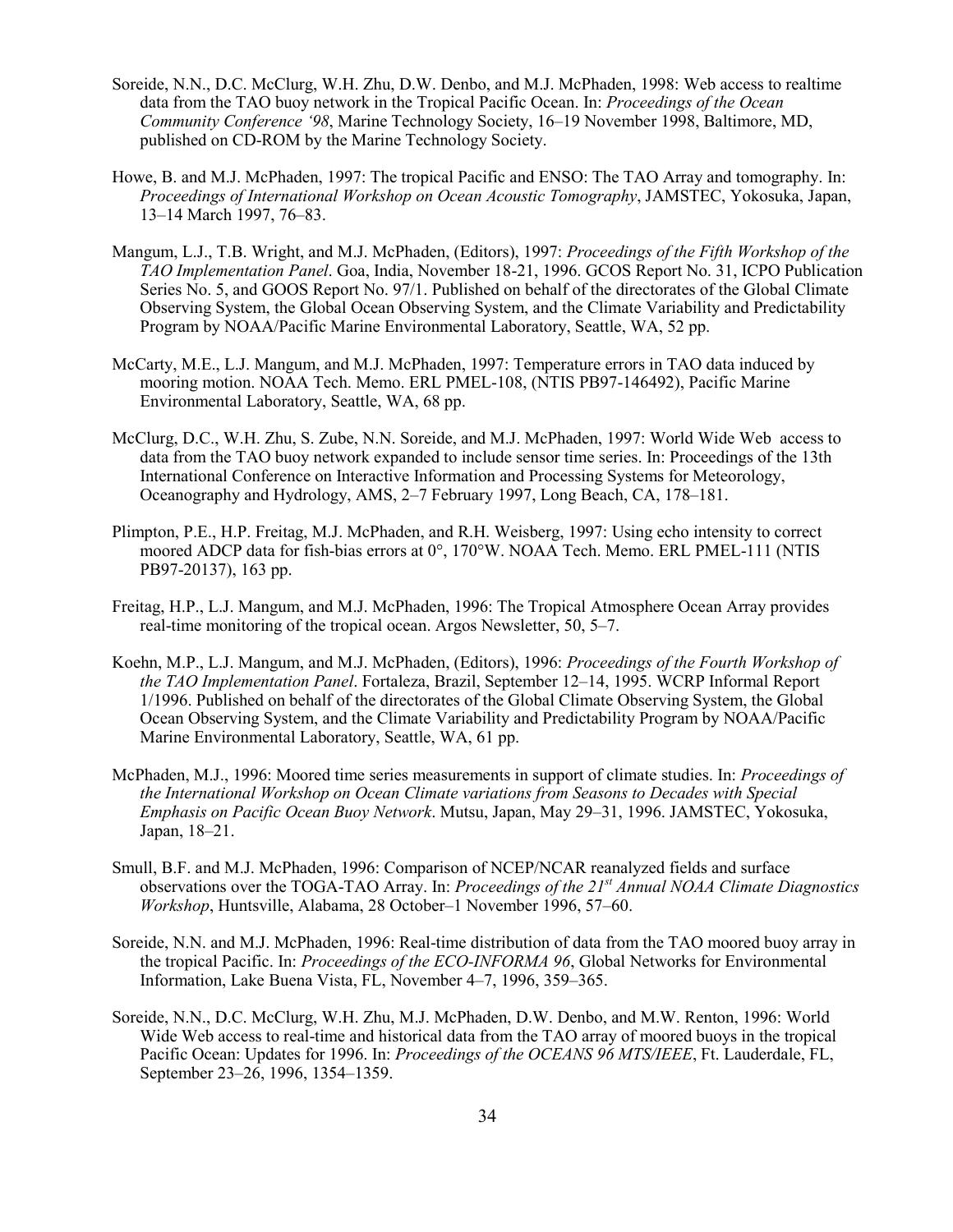- Soreide, N.N., D.C. McClurg, W.H. Zhu, D.W. Denbo, and M.J. McPhaden, 1998: Web access to realtime data from the TAO buoy network in the Tropical Pacific Ocean. In: *Proceedings of the Ocean Community Conference '98*, Marine Technology Society, 16–19 November 1998, Baltimore, MD, published on CD-ROM by the Marine Technology Society.
- Howe, B. and M.J. McPhaden, 1997: The tropical Pacific and ENSO: The TAO Array and tomography. In: *Proceedings of International Workshop on Ocean Acoustic Tomography*, JAMSTEC, Yokosuka, Japan, 13–14 March 1997, 76–83.
- Mangum, L.J., T.B. Wright, and M.J. McPhaden, (Editors), 1997: *Proceedings of the Fifth Workshop of the TAO Implementation Panel*. Goa, India, November 18-21, 1996. GCOS Report No. 31, ICPO Publication Series No. 5, and GOOS Report No. 97/1. Published on behalf of the directorates of the Global Climate Observing System, the Global Ocean Observing System, and the Climate Variability and Predictability Program by NOAA/Pacific Marine Environmental Laboratory, Seattle, WA, 52 pp.
- McCarty, M.E., L.J. Mangum, and M.J. McPhaden, 1997: Temperature errors in TAO data induced by mooring motion. NOAA Tech. Memo. ERL PMEL-108, (NTIS PB97-146492), Pacific Marine Environmental Laboratory, Seattle, WA, 68 pp.
- McClurg, D.C., W.H. Zhu, S. Zube, N.N. Soreide, and M.J. McPhaden, 1997: World Wide Web access to data from the TAO buoy network expanded to include sensor time series. In: Proceedings of the 13th International Conference on Interactive Information and Processing Systems for Meteorology, Oceanography and Hydrology, AMS, 2–7 February 1997, Long Beach, CA, 178–181.
- Plimpton, P.E., H.P. Freitag, M.J. McPhaden, and R.H. Weisberg, 1997: Using echo intensity to correct moored ADCP data for fish-bias errors at 0°, 170°W. NOAA Tech. Memo. ERL PMEL-111 (NTIS PB97-20137), 163 pp.
- Freitag, H.P., L.J. Mangum, and M.J. McPhaden, 1996: The Tropical Atmosphere Ocean Array provides real-time monitoring of the tropical ocean. Argos Newsletter, 50, 5–7.
- Koehn, M.P., L.J. Mangum, and M.J. McPhaden, (Editors), 1996: *Proceedings of the Fourth Workshop of the TAO Implementation Panel*. Fortaleza, Brazil, September 12–14, 1995. WCRP Informal Report 1/1996. Published on behalf of the directorates of the Global Climate Observing System, the Global Ocean Observing System, and the Climate Variability and Predictability Program by NOAA/Pacific Marine Environmental Laboratory, Seattle, WA, 61 pp.
- McPhaden, M.J., 1996: Moored time series measurements in support of climate studies. In: *Proceedings of the International Workshop on Ocean Climate variations from Seasons to Decades with Special Emphasis on Pacific Ocean Buoy Network*. Mutsu, Japan, May 29–31, 1996. JAMSTEC, Yokosuka, Japan, 18–21.
- Smull, B.F. and M.J. McPhaden, 1996: Comparison of NCEP/NCAR reanalyzed fields and surface observations over the TOGA-TAO Array. In: *Proceedings of the 21st Annual NOAA Climate Diagnostics Workshop*, Huntsville, Alabama, 28 October–1 November 1996, 57–60.
- Soreide, N.N. and M.J. McPhaden, 1996: Real-time distribution of data from the TAO moored buoy array in the tropical Pacific. In: *Proceedings of the ECO-INFORMA 96*, Global Networks for Environmental Information, Lake Buena Vista, FL, November 4–7, 1996, 359–365.
- Soreide, N.N., D.C. McClurg, W.H. Zhu, M.J. McPhaden, D.W. Denbo, and M.W. Renton, 1996: World Wide Web access to real-time and historical data from the TAO array of moored buoys in the tropical Pacific Ocean: Updates for 1996. In: *Proceedings of the OCEANS 96 MTS/IEEE*, Ft. Lauderdale, FL, September 23–26, 1996, 1354–1359.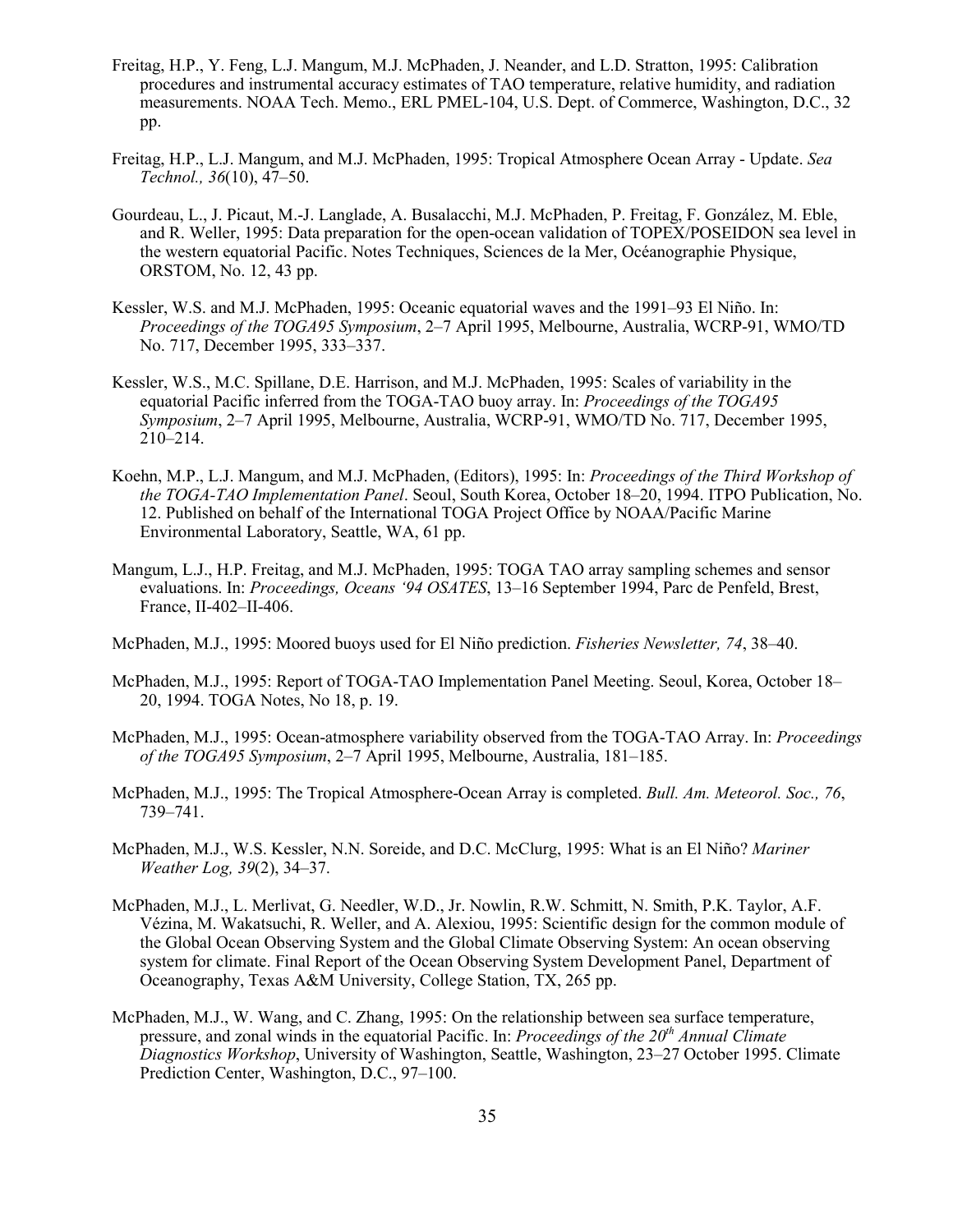- Freitag, H.P., Y. Feng, L.J. Mangum, M.J. McPhaden, J. Neander, and L.D. Stratton, 1995: Calibration procedures and instrumental accuracy estimates of TAO temperature, relative humidity, and radiation measurements. NOAA Tech. Memo., ERL PMEL-104, U.S. Dept. of Commerce, Washington, D.C., 32 pp.
- Freitag, H.P., L.J. Mangum, and M.J. McPhaden, 1995: Tropical Atmosphere Ocean Array Update. *Sea Technol., 36*(10), 47–50.
- Gourdeau, L., J. Picaut, M.-J. Langlade, A. Busalacchi, M.J. McPhaden, P. Freitag, F. González, M. Eble, and R. Weller, 1995: Data preparation for the open-ocean validation of TOPEX/POSEIDON sea level in the western equatorial Pacific. Notes Techniques, Sciences de la Mer, Océanographie Physique, ORSTOM, No. 12, 43 pp.
- Kessler, W.S. and M.J. McPhaden, 1995: Oceanic equatorial waves and the 1991–93 El Niño. In: *Proceedings of the TOGA95 Symposium*, 2–7 April 1995, Melbourne, Australia, WCRP-91, WMO/TD No. 717, December 1995, 333–337.
- Kessler, W.S., M.C. Spillane, D.E. Harrison, and M.J. McPhaden, 1995: Scales of variability in the equatorial Pacific inferred from the TOGA-TAO buoy array. In: *Proceedings of the TOGA95 Symposium*, 2–7 April 1995, Melbourne, Australia, WCRP-91, WMO/TD No. 717, December 1995, 210–214.
- Koehn, M.P., L.J. Mangum, and M.J. McPhaden, (Editors), 1995: In: *Proceedings of the Third Workshop of the TOGA-TAO Implementation Panel*. Seoul, South Korea, October 18–20, 1994. ITPO Publication, No. 12. Published on behalf of the International TOGA Project Office by NOAA/Pacific Marine Environmental Laboratory, Seattle, WA, 61 pp.
- Mangum, L.J., H.P. Freitag, and M.J. McPhaden, 1995: TOGA TAO array sampling schemes and sensor evaluations. In: *Proceedings, Oceans '94 OSATES*, 13–16 September 1994, Parc de Penfeld, Brest, France, II-402–II-406.
- McPhaden, M.J., 1995: Moored buoys used for El Niño prediction. *Fisheries Newsletter, 74*, 38–40.
- McPhaden, M.J., 1995: Report of TOGA-TAO Implementation Panel Meeting. Seoul, Korea, October 18– 20, 1994. TOGA Notes, No 18, p. 19.
- McPhaden, M.J., 1995: Ocean-atmosphere variability observed from the TOGA-TAO Array. In: *Proceedings of the TOGA95 Symposium*, 2–7 April 1995, Melbourne, Australia, 181–185.
- McPhaden, M.J., 1995: The Tropical Atmosphere-Ocean Array is completed. *Bull. Am. Meteorol. Soc., 76*, 739–741.
- McPhaden, M.J., W.S. Kessler, N.N. Soreide, and D.C. McClurg, 1995: What is an El Niño? *Mariner Weather Log, 39*(2), 34–37.
- McPhaden, M.J., L. Merlivat, G. Needler, W.D., Jr. Nowlin, R.W. Schmitt, N. Smith, P.K. Taylor, A.F. Vézina, M. Wakatsuchi, R. Weller, and A. Alexiou, 1995: Scientific design for the common module of the Global Ocean Observing System and the Global Climate Observing System: An ocean observing system for climate. Final Report of the Ocean Observing System Development Panel, Department of Oceanography, Texas A&M University, College Station, TX, 265 pp.
- McPhaden, M.J., W. Wang, and C. Zhang, 1995: On the relationship between sea surface temperature, pressure, and zonal winds in the equatorial Pacific. In: *Proceedings of the 20th Annual Climate Diagnostics Workshop*, University of Washington, Seattle, Washington, 23–27 October 1995. Climate Prediction Center, Washington, D.C., 97–100.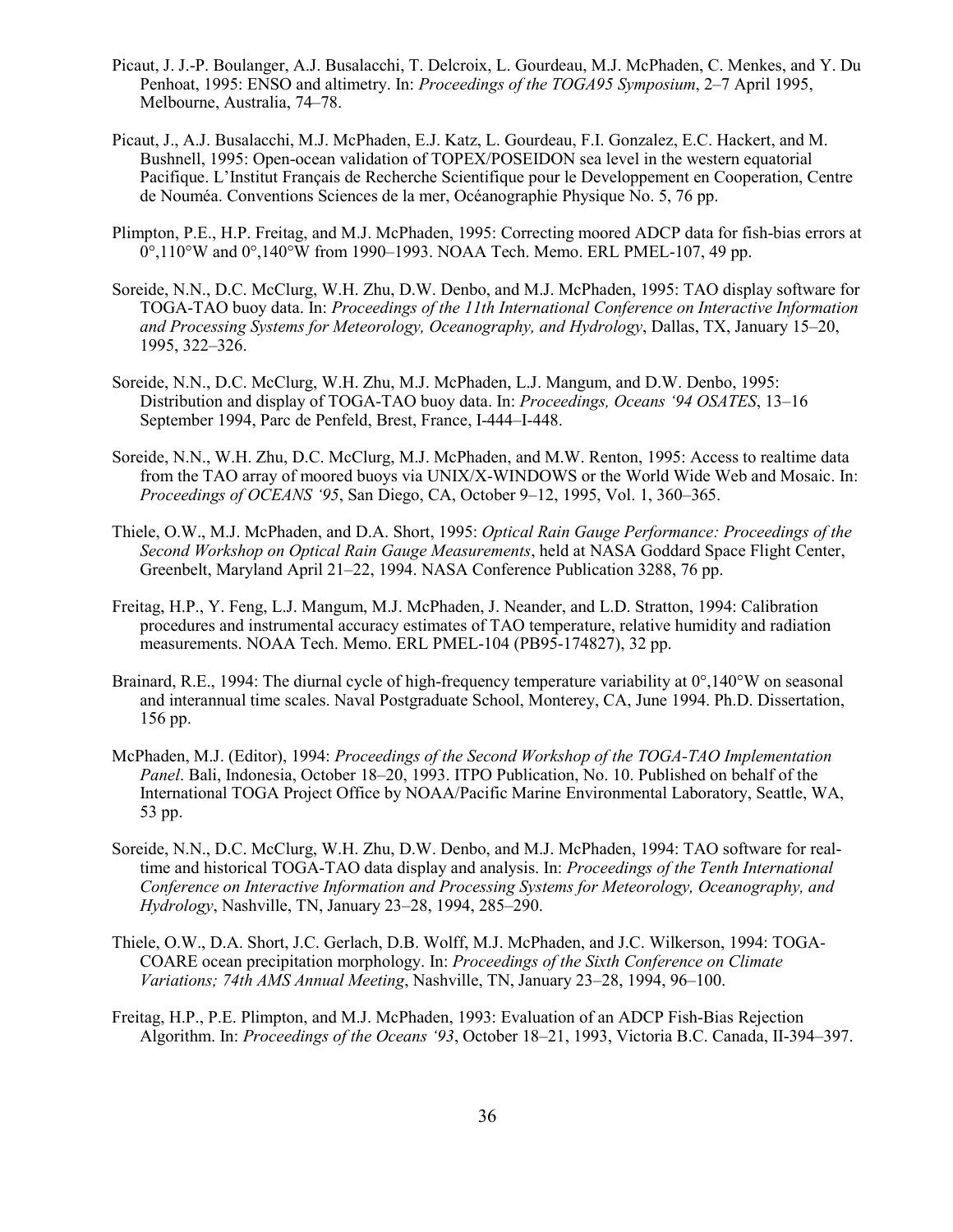- Picaut, J. J.-P. Boulanger, A.J. Busalacchi, T. Delcroix, L. Gourdeau, M.J. McPhaden, C. Menkes, and Y. Du Penhoat, 1995: ENSO and altimetry. In: *Proceedings of the TOGA95 Symposium*, 2–7 April 1995, Melbourne, Australia, 74–78.
- Picaut, J., A.J. Busalacchi, M.J. McPhaden, E.J. Katz, L. Gourdeau, F.I. Gonzalez, E.C. Hackert, and M. Bushnell, 1995: Open-ocean validation of TOPEX/POSEIDON sea level in the western equatorial Pacifique. L'Institut Français de Recherche Scientifique pour le Developpement en Cooperation, Centre de Nouméa. Conventions Sciences de la mer, Océanographie Physique No. 5, 76 pp.
- Plimpton, P.E., H.P. Freitag, and M.J. McPhaden, 1995: Correcting moored ADCP data for fish-bias errors at  $0^{\circ},110^{\circ}$ W and  $0^{\circ},140^{\circ}$ W from 1990–1993. NOAA Tech. Memo. ERL PMEL-107, 49 pp.
- Soreide, N.N., D.C. McClurg, W.H. Zhu, D.W. Denbo, and M.J. McPhaden, 1995: TAO display software for TOGA-TAO buoy data. In: *Proceedings of the 11th International Conference on Interactive Information and Processing Systems for Meteorology, Oceanography, and Hydrology*, Dallas, TX, January 15–20, 1995, 322–326.
- Soreide, N.N., D.C. McClurg, W.H. Zhu, M.J. McPhaden, L.J. Mangum, and D.W. Denbo, 1995: Distribution and display of TOGA-TAO buoy data. In: *Proceedings, Oceans '94 OSATES*, 13–16 September 1994, Parc de Penfeld, Brest, France, I-444–I-448.
- Soreide, N.N., W.H. Zhu, D.C. McClurg, M.J. McPhaden, and M.W. Renton, 1995: Access to realtime data from the TAO array of moored buoys via UNIX/X-WINDOWS or the World Wide Web and Mosaic. In: *Proceedings of OCEANS '95*, San Diego, CA, October 9–12, 1995, Vol. 1, 360–365.
- Thiele, O.W., M.J. McPhaden, and D.A. Short, 1995: *Optical Rain Gauge Performance: Proceedings of the Second Workshop on Optical Rain Gauge Measurements*, held at NASA Goddard Space Flight Center, Greenbelt, Maryland April 21–22, 1994. NASA Conference Publication 3288, 76 pp.
- Freitag, H.P., Y. Feng, L.J. Mangum, M.J. McPhaden, J. Neander, and L.D. Stratton, 1994: Calibration procedures and instrumental accuracy estimates of TAO temperature, relative humidity and radiation measurements. NOAA Tech. Memo. ERL PMEL-104 (PB95-174827), 32 pp.
- Brainard, R.E., 1994: The diurnal cycle of high-frequency temperature variability at 0°,140°W on seasonal and interannual time scales. Naval Postgraduate School, Monterey, CA, June 1994. Ph.D. Dissertation, 156 pp.
- McPhaden, M.J. (Editor), 1994: *Proceedings of the Second Workshop of the TOGA-TAO Implementation Panel*. Bali, Indonesia, October 18–20, 1993. ITPO Publication, No. 10. Published on behalf of the International TOGA Project Office by NOAA/Pacific Marine Environmental Laboratory, Seattle, WA, 53 pp.
- Soreide, N.N., D.C. McClurg, W.H. Zhu, D.W. Denbo, and M.J. McPhaden, 1994: TAO software for realtime and historical TOGA-TAO data display and analysis. In: *Proceedings of the Tenth International Conference on Interactive Information and Processing Systems for Meteorology, Oceanography, and Hydrology*, Nashville, TN, January 23–28, 1994, 285–290.
- Thiele, O.W., D.A. Short, J.C. Gerlach, D.B. Wolff, M.J. McPhaden, and J.C. Wilkerson, 1994: TOGA-COARE ocean precipitation morphology. In: *Proceedings of the Sixth Conference on Climate Variations; 74th AMS Annual Meeting*, Nashville, TN, January 23–28, 1994, 96–100.
- Freitag, H.P., P.E. Plimpton, and M.J. McPhaden, 1993: Evaluation of an ADCP Fish-Bias Rejection Algorithm. In: *Proceedings of the Oceans '93*, October 18–21, 1993, Victoria B.C. Canada, II-394–397.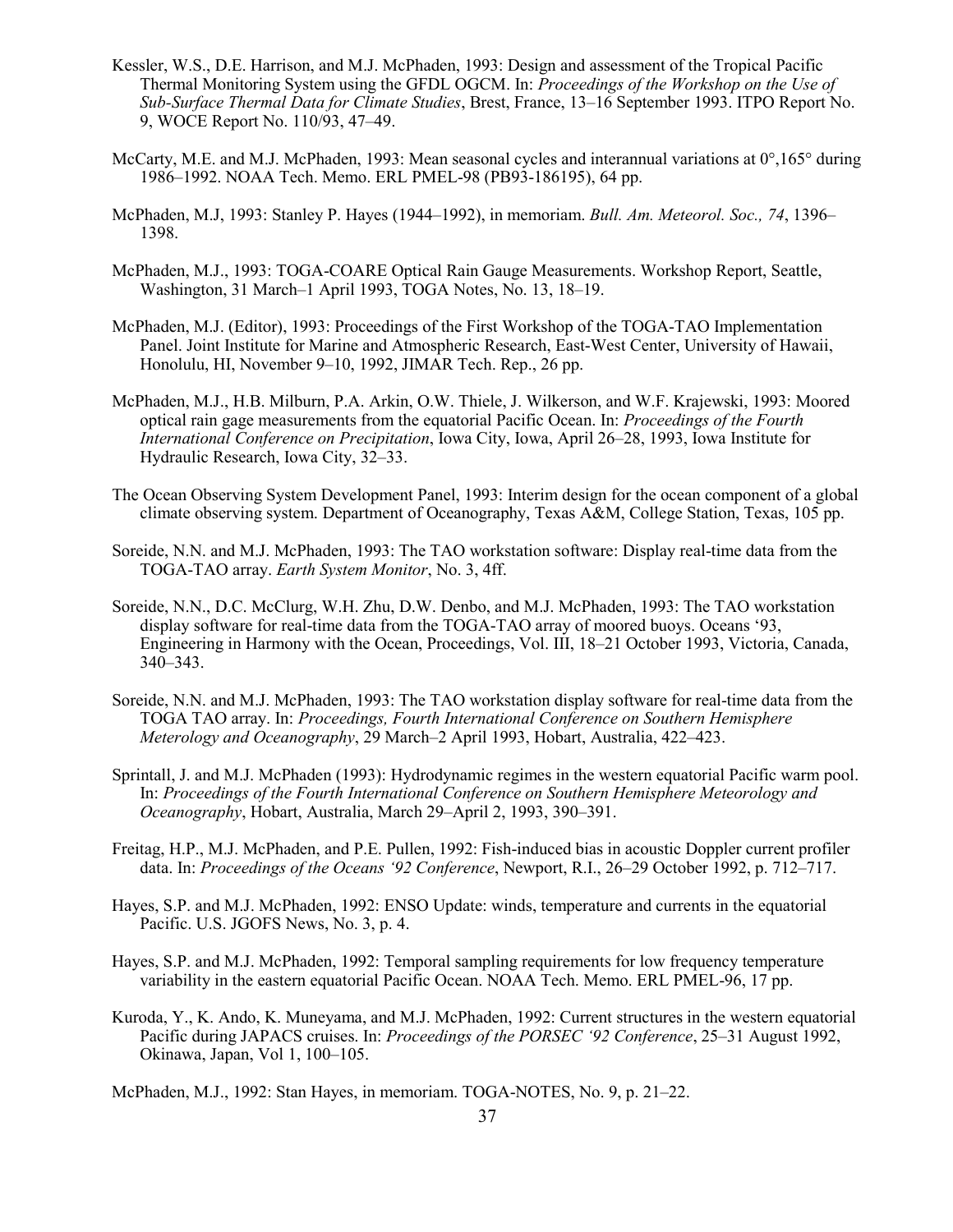- Kessler, W.S., D.E. Harrison, and M.J. McPhaden, 1993: Design and assessment of the Tropical Pacific Thermal Monitoring System using the GFDL OGCM. In: *Proceedings of the Workshop on the Use of Sub-Surface Thermal Data for Climate Studies*, Brest, France, 13–16 September 1993. ITPO Report No. 9, WOCE Report No. 110/93, 47–49.
- McCarty, M.E. and M.J. McPhaden, 1993: Mean seasonal cycles and interannual variations at 0°,165° during 1986–1992. NOAA Tech. Memo. ERL PMEL-98 (PB93-186195), 64 pp.
- McPhaden, M.J, 1993: Stanley P. Hayes (1944–1992), in memoriam. *Bull. Am. Meteorol. Soc., 74*, 1396– 1398.
- McPhaden, M.J., 1993: TOGA-COARE Optical Rain Gauge Measurements. Workshop Report, Seattle, Washington, 31 March–1 April 1993, TOGA Notes, No. 13, 18–19.
- McPhaden, M.J. (Editor), 1993: Proceedings of the First Workshop of the TOGA-TAO Implementation Panel. Joint Institute for Marine and Atmospheric Research, East-West Center, University of Hawaii, Honolulu, HI, November 9–10, 1992, JIMAR Tech. Rep., 26 pp.
- McPhaden, M.J., H.B. Milburn, P.A. Arkin, O.W. Thiele, J. Wilkerson, and W.F. Krajewski, 1993: Moored optical rain gage measurements from the equatorial Pacific Ocean. In: *Proceedings of the Fourth International Conference on Precipitation*, Iowa City, Iowa, April 26–28, 1993, Iowa Institute for Hydraulic Research, Iowa City, 32–33.
- The Ocean Observing System Development Panel, 1993: Interim design for the ocean component of a global climate observing system. Department of Oceanography, Texas A&M, College Station, Texas, 105 pp.
- Soreide, N.N. and M.J. McPhaden, 1993: The TAO workstation software: Display real-time data from the TOGA-TAO array. *Earth System Monitor*, No. 3, 4ff.
- Soreide, N.N., D.C. McClurg, W.H. Zhu, D.W. Denbo, and M.J. McPhaden, 1993: The TAO workstation display software for real-time data from the TOGA-TAO array of moored buoys. Oceans '93, Engineering in Harmony with the Ocean, Proceedings, Vol. III, 18–21 October 1993, Victoria, Canada, 340–343.
- Soreide, N.N. and M.J. McPhaden, 1993: The TAO workstation display software for real-time data from the TOGA TAO array. In: *Proceedings, Fourth International Conference on Southern Hemisphere Meterology and Oceanography*, 29 March–2 April 1993, Hobart, Australia, 422–423.
- Sprintall, J. and M.J. McPhaden (1993): Hydrodynamic regimes in the western equatorial Pacific warm pool. In: *Proceedings of the Fourth International Conference on Southern Hemisphere Meteorology and Oceanography*, Hobart, Australia, March 29–April 2, 1993, 390–391.
- Freitag, H.P., M.J. McPhaden, and P.E. Pullen, 1992: Fish-induced bias in acoustic Doppler current profiler data. In: *Proceedings of the Oceans '92 Conference*, Newport, R.I., 26–29 October 1992, p. 712–717.
- Hayes, S.P. and M.J. McPhaden, 1992: ENSO Update: winds, temperature and currents in the equatorial Pacific. U.S. JGOFS News, No. 3, p. 4.
- Hayes, S.P. and M.J. McPhaden, 1992: Temporal sampling requirements for low frequency temperature variability in the eastern equatorial Pacific Ocean. NOAA Tech. Memo. ERL PMEL-96, 17 pp.
- Kuroda, Y., K. Ando, K. Muneyama, and M.J. McPhaden, 1992: Current structures in the western equatorial Pacific during JAPACS cruises. In: *Proceedings of the PORSEC '92 Conference*, 25–31 August 1992, Okinawa, Japan, Vol 1, 100–105.
- McPhaden, M.J., 1992: Stan Hayes, in memoriam. TOGA-NOTES, No. 9, p. 21–22.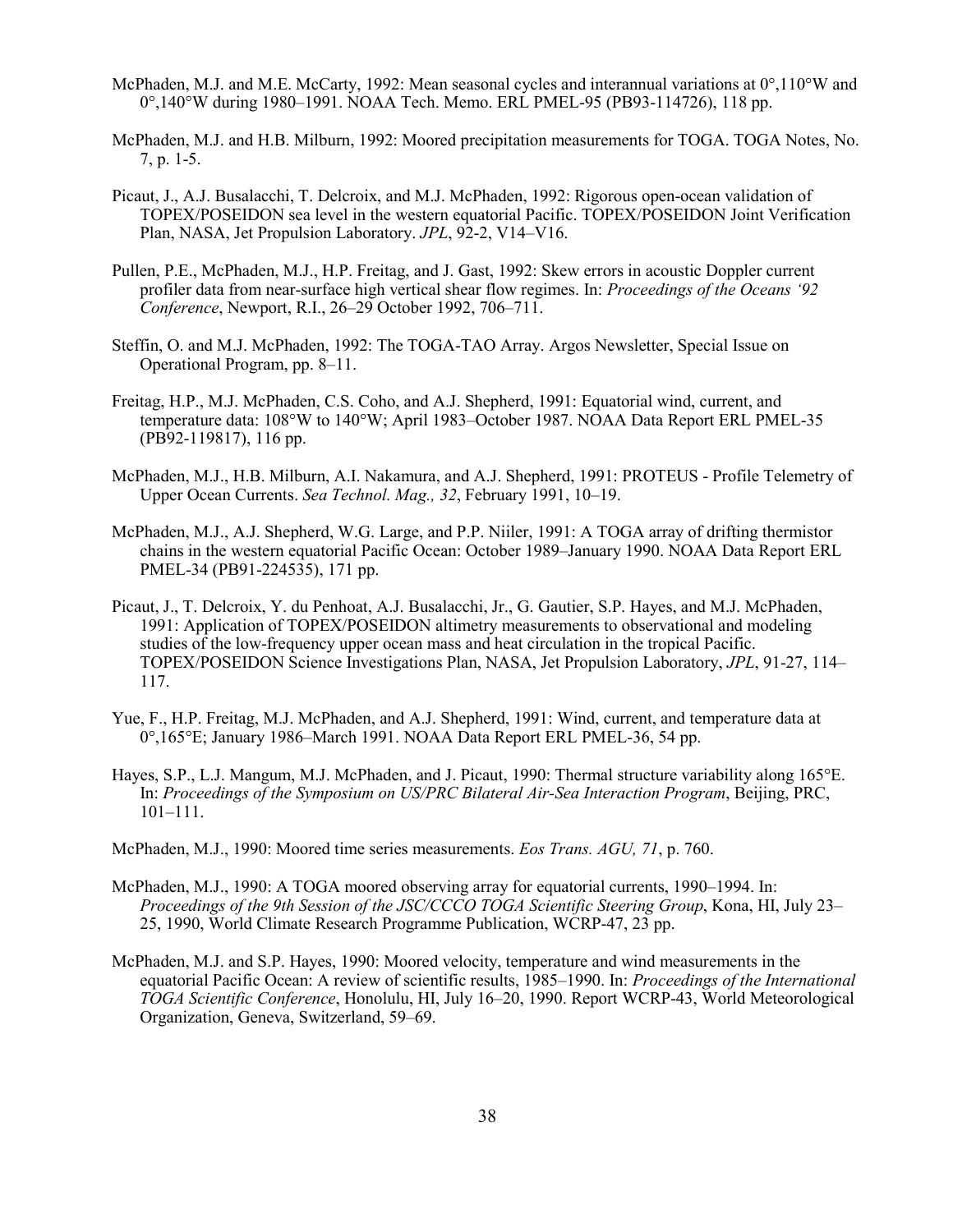- McPhaden, M.J. and M.E. McCarty, 1992: Mean seasonal cycles and interannual variations at 0°,110°W and 0°,140°W during 1980–1991. NOAA Tech. Memo. ERL PMEL-95 (PB93-114726), 118 pp.
- McPhaden, M.J. and H.B. Milburn, 1992: Moored precipitation measurements for TOGA. TOGA Notes, No. 7, p. 1-5.
- Picaut, J., A.J. Busalacchi, T. Delcroix, and M.J. McPhaden, 1992: Rigorous open-ocean validation of TOPEX/POSEIDON sea level in the western equatorial Pacific. TOPEX/POSEIDON Joint Verification Plan, NASA, Jet Propulsion Laboratory. *JPL*, 92-2, V14–V16.
- Pullen, P.E., McPhaden, M.J., H.P. Freitag, and J. Gast, 1992: Skew errors in acoustic Doppler current profiler data from near-surface high vertical shear flow regimes. In: *Proceedings of the Oceans '92 Conference*, Newport, R.I., 26–29 October 1992, 706–711.
- Steffin, O. and M.J. McPhaden, 1992: The TOGA-TAO Array. Argos Newsletter, Special Issue on Operational Program, pp. 8–11.
- Freitag, H.P., M.J. McPhaden, C.S. Coho, and A.J. Shepherd, 1991: Equatorial wind, current, and temperature data: 108°W to 140°W; April 1983–October 1987. NOAA Data Report ERL PMEL-35 (PB92-119817), 116 pp.
- McPhaden, M.J., H.B. Milburn, A.I. Nakamura, and A.J. Shepherd, 1991: PROTEUS Profile Telemetry of Upper Ocean Currents. *Sea Technol. Mag., 32*, February 1991, 10–19.
- McPhaden, M.J., A.J. Shepherd, W.G. Large, and P.P. Niiler, 1991: A TOGA array of drifting thermistor chains in the western equatorial Pacific Ocean: October 1989–January 1990. NOAA Data Report ERL PMEL-34 (PB91-224535), 171 pp.
- Picaut, J., T. Delcroix, Y. du Penhoat, A.J. Busalacchi, Jr., G. Gautier, S.P. Hayes, and M.J. McPhaden, 1991: Application of TOPEX/POSEIDON altimetry measurements to observational and modeling studies of the low-frequency upper ocean mass and heat circulation in the tropical Pacific. TOPEX/POSEIDON Science Investigations Plan, NASA, Jet Propulsion Laboratory, *JPL*, 91-27, 114– 117.
- Yue, F., H.P. Freitag, M.J. McPhaden, and A.J. Shepherd, 1991: Wind, current, and temperature data at 0°,165°E; January 1986–March 1991. NOAA Data Report ERL PMEL-36, 54 pp.
- Hayes, S.P., L.J. Mangum, M.J. McPhaden, and J. Picaut, 1990: Thermal structure variability along 165°E. In: *Proceedings of the Symposium on US/PRC Bilateral Air-Sea Interaction Program*, Beijing, PRC, 101–111.
- McPhaden, M.J., 1990: Moored time series measurements. *Eos Trans. AGU, 71*, p. 760.
- McPhaden, M.J., 1990: A TOGA moored observing array for equatorial currents, 1990–1994. In: *Proceedings of the 9th Session of the JSC/CCCO TOGA Scientific Steering Group*, Kona, HI, July 23– 25, 1990, World Climate Research Programme Publication, WCRP-47, 23 pp.
- McPhaden, M.J. and S.P. Hayes, 1990: Moored velocity, temperature and wind measurements in the equatorial Pacific Ocean: A review of scientific results, 1985–1990. In: *Proceedings of the International TOGA Scientific Conference*, Honolulu, HI, July 16–20, 1990. Report WCRP-43, World Meteorological Organization, Geneva, Switzerland, 59–69.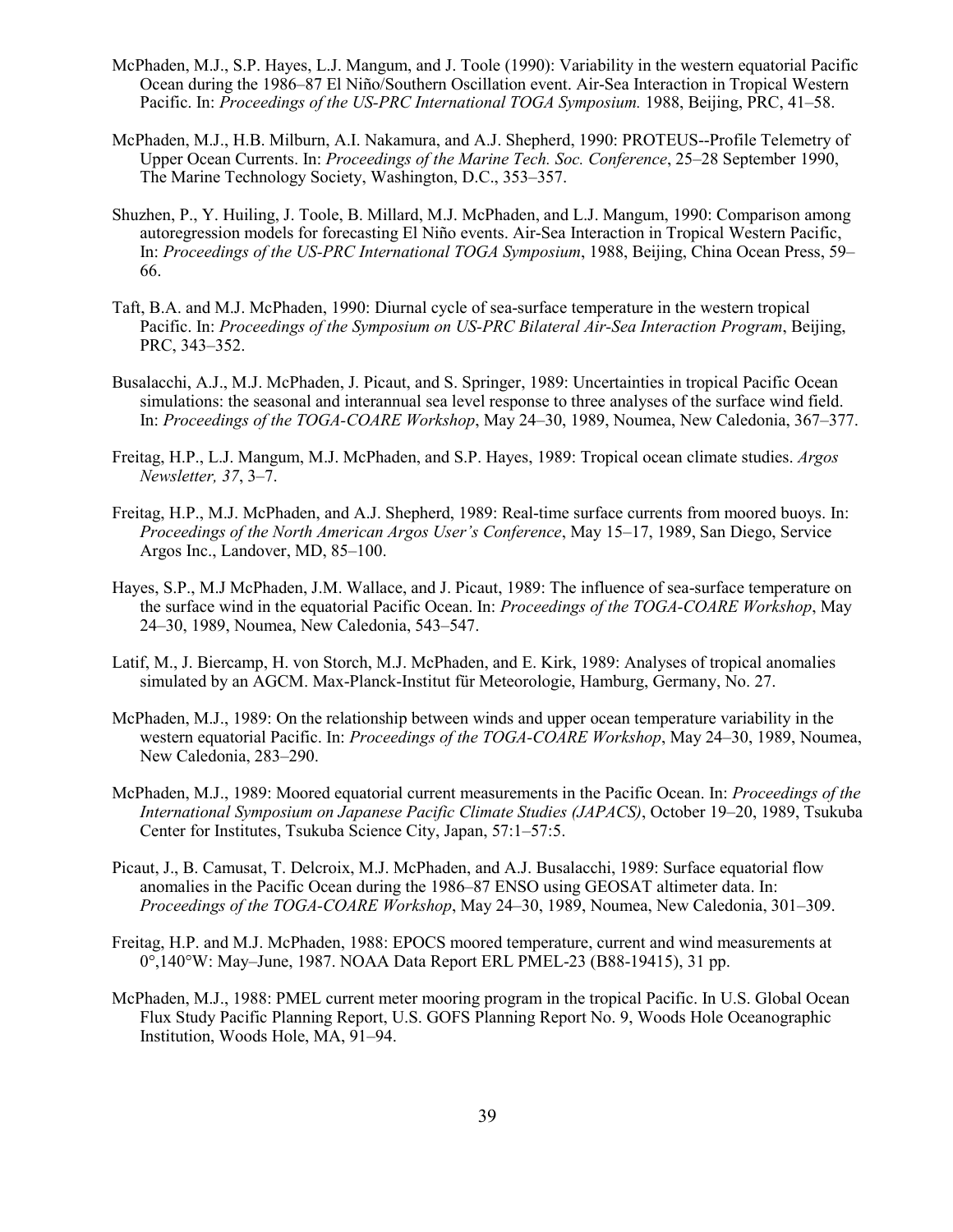- McPhaden, M.J., S.P. Hayes, L.J. Mangum, and J. Toole (1990): Variability in the western equatorial Pacific Ocean during the 1986–87 El Niño/Southern Oscillation event. Air-Sea Interaction in Tropical Western Pacific. In: *Proceedings of the US-PRC International TOGA Symposium.* 1988, Beijing, PRC, 41–58.
- McPhaden, M.J., H.B. Milburn, A.I. Nakamura, and A.J. Shepherd, 1990: PROTEUS--Profile Telemetry of Upper Ocean Currents. In: *Proceedings of the Marine Tech. Soc. Conference*, 25–28 September 1990, The Marine Technology Society, Washington, D.C., 353–357.
- Shuzhen, P., Y. Huiling, J. Toole, B. Millard, M.J. McPhaden, and L.J. Mangum, 1990: Comparison among autoregression models for forecasting El Niño events. Air-Sea Interaction in Tropical Western Pacific, In: *Proceedings of the US-PRC International TOGA Symposium*, 1988, Beijing, China Ocean Press, 59– 66.
- Taft, B.A. and M.J. McPhaden, 1990: Diurnal cycle of sea-surface temperature in the western tropical Pacific. In: *Proceedings of the Symposium on US-PRC Bilateral Air-Sea Interaction Program*, Beijing, PRC, 343–352.
- Busalacchi, A.J., M.J. McPhaden, J. Picaut, and S. Springer, 1989: Uncertainties in tropical Pacific Ocean simulations: the seasonal and interannual sea level response to three analyses of the surface wind field. In: *Proceedings of the TOGA-COARE Workshop*, May 24–30, 1989, Noumea, New Caledonia, 367–377.
- Freitag, H.P., L.J. Mangum, M.J. McPhaden, and S.P. Hayes, 1989: Tropical ocean climate studies. *Argos Newsletter, 37*, 3–7.
- Freitag, H.P., M.J. McPhaden, and A.J. Shepherd, 1989: Real-time surface currents from moored buoys. In: *Proceedings of the North American Argos User's Conference*, May 15–17, 1989, San Diego, Service Argos Inc., Landover, MD, 85–100.
- Hayes, S.P., M.J McPhaden, J.M. Wallace, and J. Picaut, 1989: The influence of sea-surface temperature on the surface wind in the equatorial Pacific Ocean. In: *Proceedings of the TOGA-COARE Workshop*, May 24–30, 1989, Noumea, New Caledonia, 543–547.
- Latif, M., J. Biercamp, H. von Storch, M.J. McPhaden, and E. Kirk, 1989: Analyses of tropical anomalies simulated by an AGCM. Max-Planck-Institut für Meteorologie, Hamburg, Germany, No. 27.
- McPhaden, M.J., 1989: On the relationship between winds and upper ocean temperature variability in the western equatorial Pacific. In: *Proceedings of the TOGA-COARE Workshop*, May 24–30, 1989, Noumea, New Caledonia, 283–290.
- McPhaden, M.J., 1989: Moored equatorial current measurements in the Pacific Ocean. In: *Proceedings of the International Symposium on Japanese Pacific Climate Studies (JAPACS)*, October 19–20, 1989, Tsukuba Center for Institutes, Tsukuba Science City, Japan, 57:1–57:5.
- Picaut, J., B. Camusat, T. Delcroix, M.J. McPhaden, and A.J. Busalacchi, 1989: Surface equatorial flow anomalies in the Pacific Ocean during the 1986–87 ENSO using GEOSAT altimeter data. In: *Proceedings of the TOGA-COARE Workshop*, May 24–30, 1989, Noumea, New Caledonia, 301–309.
- Freitag, H.P. and M.J. McPhaden, 1988: EPOCS moored temperature, current and wind measurements at  $0^{\circ}$ ,140°W: May–June, 1987. NOAA Data Report ERL PMEL-23 (B88-19415), 31 pp.
- McPhaden, M.J., 1988: PMEL current meter mooring program in the tropical Pacific. In U.S. Global Ocean Flux Study Pacific Planning Report, U.S. GOFS Planning Report No. 9, Woods Hole Oceanographic Institution, Woods Hole, MA, 91–94.